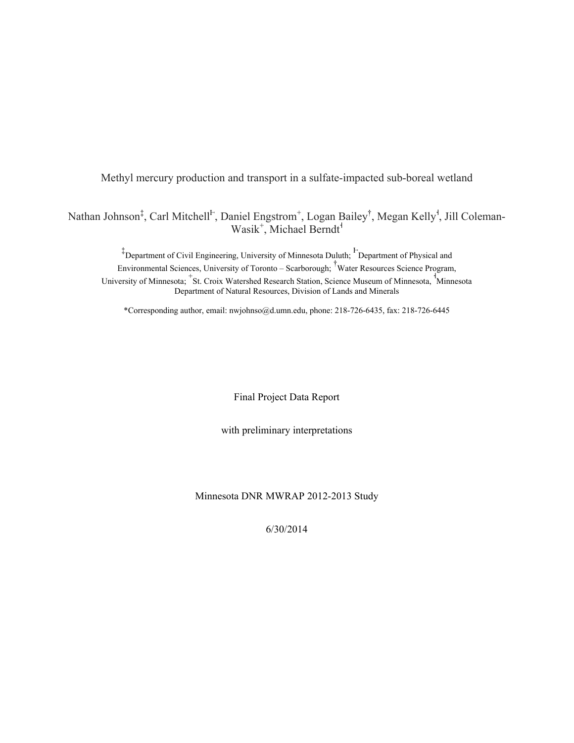Methyl mercury production and transport in a sulfate-impacted sub-boreal wetland

Nathan Johnson<sup>‡</sup>, Carl Mitchell<sup>F</sup>, Daniel Engstrom<sup>+</sup>, Logan Bailey<sup>†</sup>, Megan Kelly<sup>1</sup>, Jill Coleman-Wasik<sup>+</sup>, Michael Berndt<sup>1</sup>

<sup>‡</sup>Department of Civil Engineering, University of Minnesota Duluth; <sup>F</sup>Department of Physical and Environmental Sciences, University of Toronto – Scarborough; † Water Resources Science Program, University of Minnesota; <sup>+</sup>St. Croix Watershed Research Station, Science Museum of Minnesota, <sup>†</sup>Minnesota Department of Natural Resources, Division of Lands and Minerals

\*Corresponding author, email: nwjohnso@d.umn.edu, phone: 218-726-6435, fax: 218-726-6445

Final Project Data Report

with preliminary interpretations

### Minnesota DNR MWRAP 2012-2013 Study

6/30/2014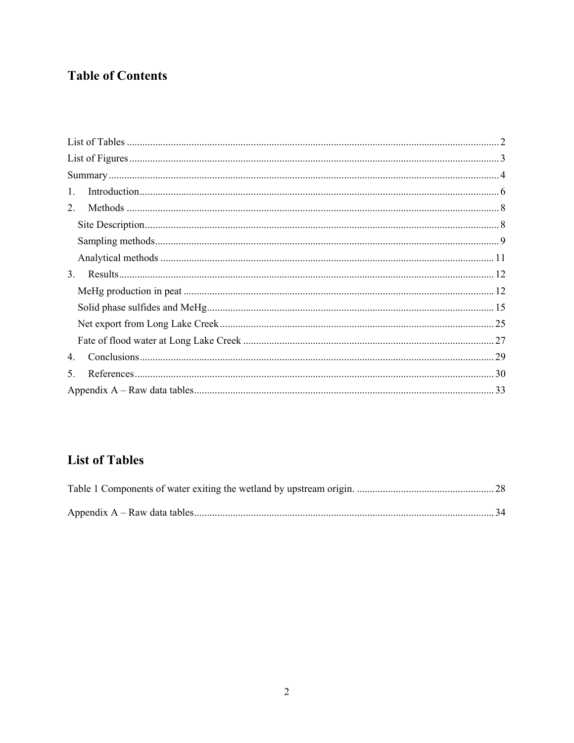# **Table of Contents**

| 1.          |  |
|-------------|--|
| $2_{-}$     |  |
|             |  |
|             |  |
|             |  |
| 3.          |  |
|             |  |
|             |  |
|             |  |
|             |  |
| $4_{\cdot}$ |  |
| 5.          |  |
|             |  |

# **List of Tables**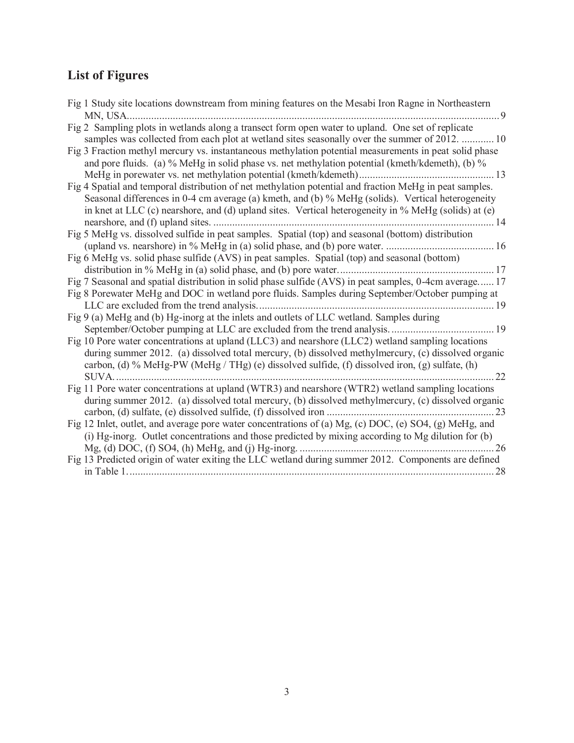# **List of Figures**

| Fig 1 Study site locations downstream from mining features on the Mesabi Iron Ragne in Northeastern     |    |
|---------------------------------------------------------------------------------------------------------|----|
| MN, USA.                                                                                                |    |
| Fig 2 Sampling plots in wetlands along a transect form open water to upland. One set of replicate       |    |
| samples was collected from each plot at wetland sites seasonally over the summer of 2012.  10           |    |
| Fig 3 Fraction methyl mercury vs. instantaneous methylation potential measurements in peat solid phase  |    |
| and pore fluids. (a) % MeHg in solid phase vs. net methylation potential (kmeth/kdemeth), (b) %         |    |
|                                                                                                         | 13 |
| Fig 4 Spatial and temporal distribution of net methylation potential and fraction MeHg in peat samples. |    |
| Seasonal differences in 0-4 cm average (a) kmeth, and (b) % MeHg (solids). Vertical heterogeneity       |    |
| in knet at LLC (c) nearshore, and (d) upland sites. Vertical heterogeneity in % MeHg (solids) at (e)    |    |
| nearshore, and (f) upland sites.                                                                        | 14 |
| Fig 5 MeHg vs. dissolved sulfide in peat samples. Spatial (top) and seasonal (bottom) distribution      |    |
|                                                                                                         |    |
| Fig 6 MeHg vs. solid phase sulfide (AVS) in peat samples. Spatial (top) and seasonal (bottom)           |    |
| distribution in % MeHg in (a) solid phase, and (b) pore water                                           |    |
| Fig 7 Seasonal and spatial distribution in solid phase sulfide (AVS) in peat samples, 0-4cm average 17  |    |
| Fig 8 Porewater MeHg and DOC in wetland pore fluids. Samples during September/October pumping at        |    |
| . 19                                                                                                    |    |
| Fig 9 (a) MeHg and (b) Hg-inorg at the inlets and outlets of LLC wetland. Samples during                |    |
|                                                                                                         |    |
| Fig 10 Pore water concentrations at upland (LLC3) and nearshore (LLC2) wetland sampling locations       |    |
| during summer 2012. (a) dissolved total mercury, (b) dissolved methylmercury, (c) dissolved organic     |    |
| carbon, (d) % MeHg-PW (MeHg / THg) (e) dissolved sulfide, (f) dissolved iron, (g) sulfate, (h)          |    |
| <b>SUVA</b>                                                                                             | 22 |
| Fig 11 Pore water concentrations at upland (WTR3) and nearshore (WTR2) wetland sampling locations       |    |
| during summer 2012. (a) dissolved total mercury, (b) dissolved methylmercury, (c) dissolved organic     |    |
|                                                                                                         | 23 |
| Fig 12 Inlet, outlet, and average pore water concentrations of (a) Mg, (c) DOC, (e) SO4, (g) MeHg, and  |    |
| (i) Hg-inorg. Outlet concentrations and those predicted by mixing according to Mg dilution for (b)      |    |
|                                                                                                         | 26 |
| Fig 13 Predicted origin of water exiting the LLC wetland during summer 2012. Components are defined     |    |
|                                                                                                         | 28 |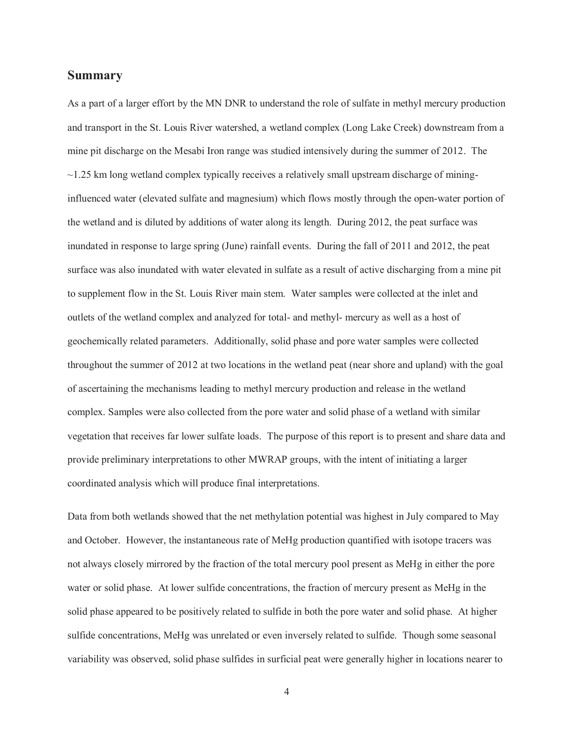## **Summary**

As a part of a larger effort by the MN DNR to understand the role of sulfate in methyl mercury production and transport in the St. Louis River watershed, a wetland complex (Long Lake Creek) downstream from a mine pit discharge on the Mesabi Iron range was studied intensively during the summer of 2012. The  $\sim$ 1.25 km long wetland complex typically receives a relatively small upstream discharge of mininginfluenced water (elevated sulfate and magnesium) which flows mostly through the open-water portion of the wetland and is diluted by additions of water along its length. During 2012, the peat surface was inundated in response to large spring (June) rainfall events. During the fall of 2011 and 2012, the peat surface was also inundated with water elevated in sulfate as a result of active discharging from a mine pit to supplement flow in the St. Louis River main stem. Water samples were collected at the inlet and outlets of the wetland complex and analyzed for total- and methyl- mercury as well as a host of geochemically related parameters. Additionally, solid phase and pore water samples were collected throughout the summer of 2012 at two locations in the wetland peat (near shore and upland) with the goal of ascertaining the mechanisms leading to methyl mercury production and release in the wetland complex. Samples were also collected from the pore water and solid phase of a wetland with similar vegetation that receives far lower sulfate loads. The purpose of this report is to present and share data and provide preliminary interpretations to other MWRAP groups, with the intent of initiating a larger coordinated analysis which will produce final interpretations.

Data from both wetlands showed that the net methylation potential was highest in July compared to May and October. However, the instantaneous rate of MeHg production quantified with isotope tracers was not always closely mirrored by the fraction of the total mercury pool present as MeHg in either the pore water or solid phase. At lower sulfide concentrations, the fraction of mercury present as MeHg in the solid phase appeared to be positively related to sulfide in both the pore water and solid phase. At higher sulfide concentrations, MeHg was unrelated or even inversely related to sulfide. Though some seasonal variability was observed, solid phase sulfides in surficial peat were generally higher in locations nearer to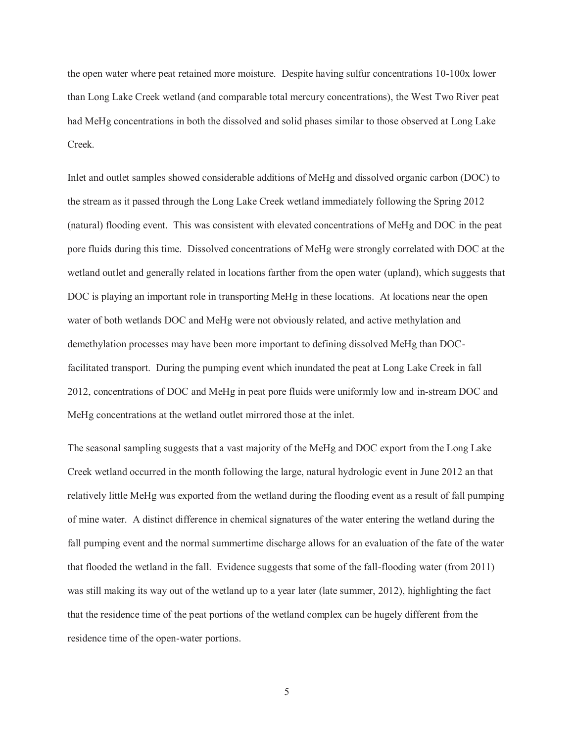the open water where peat retained more moisture. Despite having sulfur concentrations 10-100x lower than Long Lake Creek wetland (and comparable total mercury concentrations), the West Two River peat had MeHg concentrations in both the dissolved and solid phases similar to those observed at Long Lake Creek.

Inlet and outlet samples showed considerable additions of MeHg and dissolved organic carbon (DOC) to the stream as it passed through the Long Lake Creek wetland immediately following the Spring 2012 (natural) flooding event. This was consistent with elevated concentrations of MeHg and DOC in the peat pore fluids during this time. Dissolved concentrations of MeHg were strongly correlated with DOC at the wetland outlet and generally related in locations farther from the open water (upland), which suggests that DOC is playing an important role in transporting MeHg in these locations. At locations near the open water of both wetlands DOC and MeHg were not obviously related, and active methylation and demethylation processes may have been more important to defining dissolved MeHg than DOCfacilitated transport. During the pumping event which inundated the peat at Long Lake Creek in fall 2012, concentrations of DOC and MeHg in peat pore fluids were uniformly low and in-stream DOC and MeHg concentrations at the wetland outlet mirrored those at the inlet.

The seasonal sampling suggests that a vast majority of the MeHg and DOC export from the Long Lake Creek wetland occurred in the month following the large, natural hydrologic event in June 2012 an that relatively little MeHg was exported from the wetland during the flooding event as a result of fall pumping of mine water. A distinct difference in chemical signatures of the water entering the wetland during the fall pumping event and the normal summertime discharge allows for an evaluation of the fate of the water that flooded the wetland in the fall. Evidence suggests that some of the fall-flooding water (from 2011) was still making its way out of the wetland up to a year later (late summer, 2012), highlighting the fact that the residence time of the peat portions of the wetland complex can be hugely different from the residence time of the open-water portions.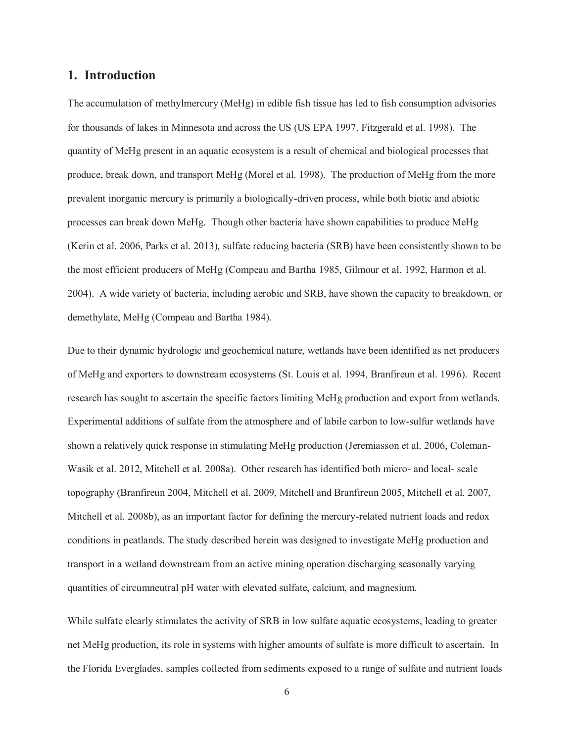## **1. Introduction**

The accumulation of methylmercury (MeHg) in edible fish tissue has led to fish consumption advisories for thousands of lakes in Minnesota and across the US (US EPA 1997, Fitzgerald et al. 1998). The quantity of MeHg present in an aquatic ecosystem is a result of chemical and biological processes that produce, break down, and transport MeHg (Morel et al. 1998). The production of MeHg from the more prevalent inorganic mercury is primarily a biologically-driven process, while both biotic and abiotic processes can break down MeHg. Though other bacteria have shown capabilities to produce MeHg (Kerin et al. 2006, Parks et al. 2013), sulfate reducing bacteria (SRB) have been consistently shown to be the most efficient producers of MeHg (Compeau and Bartha 1985, Gilmour et al. 1992, Harmon et al. 2004). A wide variety of bacteria, including aerobic and SRB, have shown the capacity to breakdown, or demethylate, MeHg (Compeau and Bartha 1984).

Due to their dynamic hydrologic and geochemical nature, wetlands have been identified as net producers of MeHg and exporters to downstream ecosystems (St. Louis et al. 1994, Branfireun et al. 1996). Recent research has sought to ascertain the specific factors limiting MeHg production and export from wetlands. Experimental additions of sulfate from the atmosphere and of labile carbon to low-sulfur wetlands have shown a relatively quick response in stimulating MeHg production (Jeremiasson et al. 2006, Coleman-Wasik et al. 2012, Mitchell et al. 2008a). Other research has identified both micro- and local- scale topography (Branfireun 2004, Mitchell et al. 2009, Mitchell and Branfireun 2005, Mitchell et al. 2007, Mitchell et al. 2008b), as an important factor for defining the mercury-related nutrient loads and redox conditions in peatlands. The study described herein was designed to investigate MeHg production and transport in a wetland downstream from an active mining operation discharging seasonally varying quantities of circumneutral pH water with elevated sulfate, calcium, and magnesium.

While sulfate clearly stimulates the activity of SRB in low sulfate aquatic ecosystems, leading to greater net MeHg production, its role in systems with higher amounts of sulfate is more difficult to ascertain. In the Florida Everglades, samples collected from sediments exposed to a range of sulfate and nutrient loads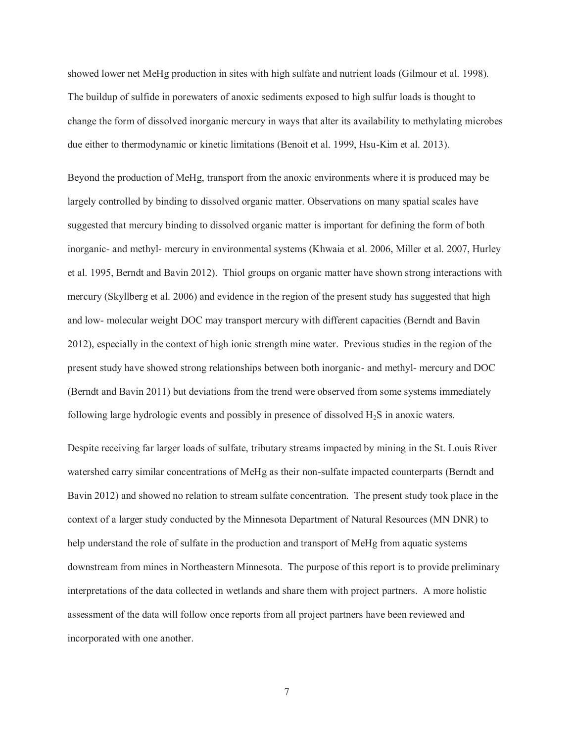showed lower net MeHg production in sites with high sulfate and nutrient loads (Gilmour et al. 1998). The buildup of sulfide in porewaters of anoxic sediments exposed to high sulfur loads is thought to change the form of dissolved inorganic mercury in ways that alter its availability to methylating microbes due either to thermodynamic or kinetic limitations (Benoit et al. 1999, Hsu-Kim et al. 2013).

Beyond the production of MeHg, transport from the anoxic environments where it is produced may be largely controlled by binding to dissolved organic matter. Observations on many spatial scales have suggested that mercury binding to dissolved organic matter is important for defining the form of both inorganic- and methyl- mercury in environmental systems (Khwaia et al. 2006, Miller et al. 2007, Hurley et al. 1995, Berndt and Bavin 2012). Thiol groups on organic matter have shown strong interactions with mercury (Skyllberg et al. 2006) and evidence in the region of the present study has suggested that high and low- molecular weight DOC may transport mercury with different capacities (Berndt and Bavin 2012), especially in the context of high ionic strength mine water. Previous studies in the region of the present study have showed strong relationships between both inorganic- and methyl- mercury and DOC (Berndt and Bavin 2011) but deviations from the trend were observed from some systems immediately following large hydrologic events and possibly in presence of dissolved H2S in anoxic waters.

Despite receiving far larger loads of sulfate, tributary streams impacted by mining in the St. Louis River watershed carry similar concentrations of MeHg as their non-sulfate impacted counterparts (Berndt and Bavin 2012) and showed no relation to stream sulfate concentration. The present study took place in the context of a larger study conducted by the Minnesota Department of Natural Resources (MN DNR) to help understand the role of sulfate in the production and transport of MeHg from aquatic systems downstream from mines in Northeastern Minnesota. The purpose of this report is to provide preliminary interpretations of the data collected in wetlands and share them with project partners. A more holistic assessment of the data will follow once reports from all project partners have been reviewed and incorporated with one another.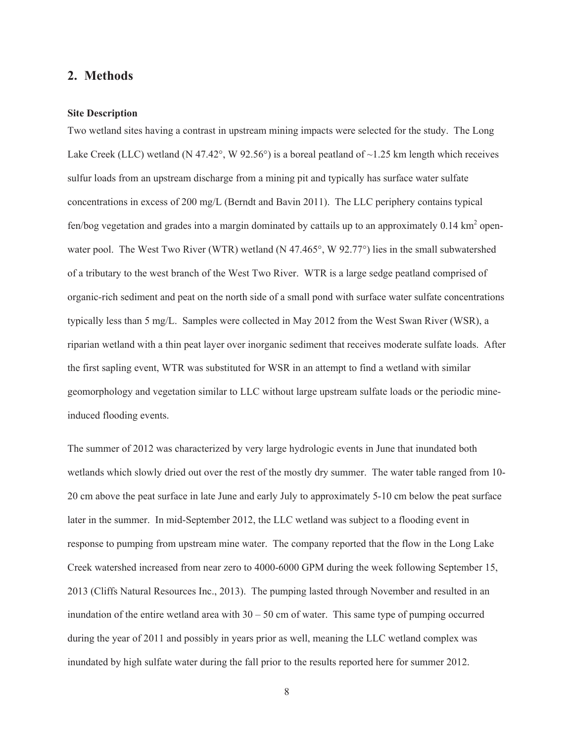## 2. Methods

### **Site Description**

Two wetland sites having a contrast in upstream mining impacts were selected for the study. The Long Lake Creek (LLC) wetland (N 47.42°, W 92.56°) is a boreal peatland of  $\sim$ 1.25 km length which receives sulfur loads from an upstream discharge from a mining pit and typically has surface water sulfate concentrations in excess of 200 mg/L (Berndt and Bavin 2011). The LLC periphery contains typical fen/bog vegetation and grades into a margin dominated by cattails up to an approximately  $0.14 \text{ km}^2$  openwater pool. The West Two River (WTR) wetland (N 47.465 $^{\circ}$ , W 92.77 $^{\circ}$ ) lies in the small subwatershed of a tributary to the west branch of the West Two River. WTR is a large sedge peatland comprised of organic-rich sediment and peat on the north side of a small pond with surface water sulfate concentrations typically less than 5 mg/L. Samples were collected in May 2012 from the West Swan River (WSR), a riparian wetland with a thin peat layer over inorganic sediment that receives moderate sulfate loads. After the first sapling event, WTR was substituted for WSR in an attempt to find a wetland with similar geomorphology and vegetation similar to LLC without large upstream sulfate loads or the periodic mineinduced flooding events.

The summer of 2012 was characterized by very large hydrologic events in June that inundated both wetlands which slowly dried out over the rest of the mostly dry summer. The water table ranged from 10-20 cm above the peat surface in late June and early July to approximately 5-10 cm below the peat surface later in the summer. In mid-September 2012, the LLC wetland was subject to a flooding event in response to pumping from upstream mine water. The company reported that the flow in the Long Lake Creek watershed increased from near zero to 4000-6000 GPM during the week following September 15, 2013 (Cliffs Natural Resources Inc., 2013). The pumping lasted through November and resulted in an inundation of the entire wetland area with  $30 - 50$  cm of water. This same type of pumping occurred during the year of 2011 and possibly in years prior as well, meaning the LLC wetland complex was inundated by high sulfate water during the fall prior to the results reported here for summer 2012.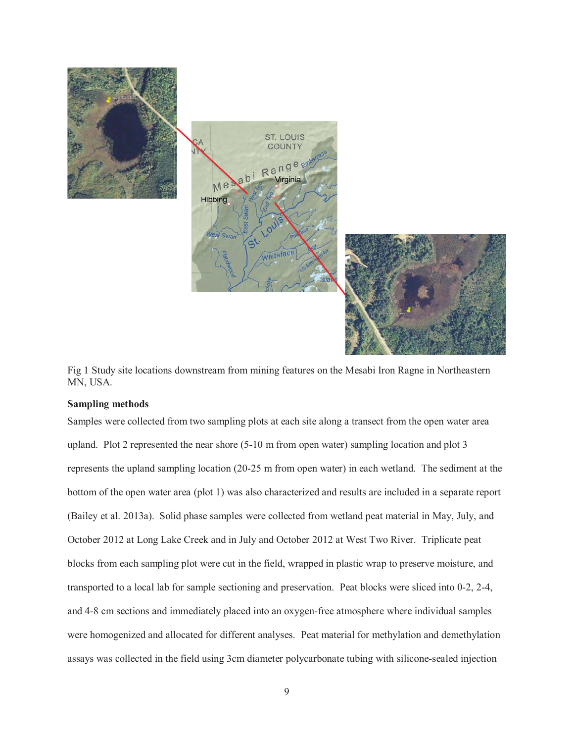

Fig 1 Study site locations downstream from mining features on the Mesabi Iron Ragne in Northeastern MN, USA.

#### **Sampling methods**

Samples were collected from two sampling plots at each site along a transect from the open water area upland. Plot 2 represented the near shore (5-10 m from open water) sampling location and plot 3 represents the upland sampling location (20-25 m from open water) in each wetland. The sediment at the bottom of the open water area (plot 1) was also characterized and results are included in a separate report (Bailey et al. 2013a). Solid phase samples were collected from wetland peat material in May, July, and October 2012 at Long Lake Creek and in July and October 2012 at West Two River. Triplicate peat blocks from each sampling plot were cut in the field, wrapped in plastic wrap to preserve moisture, and transported to a local lab for sample sectioning and preservation. Peat blocks were sliced into 0-2, 2-4, and 4-8 cm sections and immediately placed into an oxygen-free atmosphere where individual samples were homogenized and allocated for different analyses. Peat material for methylation and demethylation assays was collected in the field using 3cm diameter polycarbonate tubing with silicone-sealed injection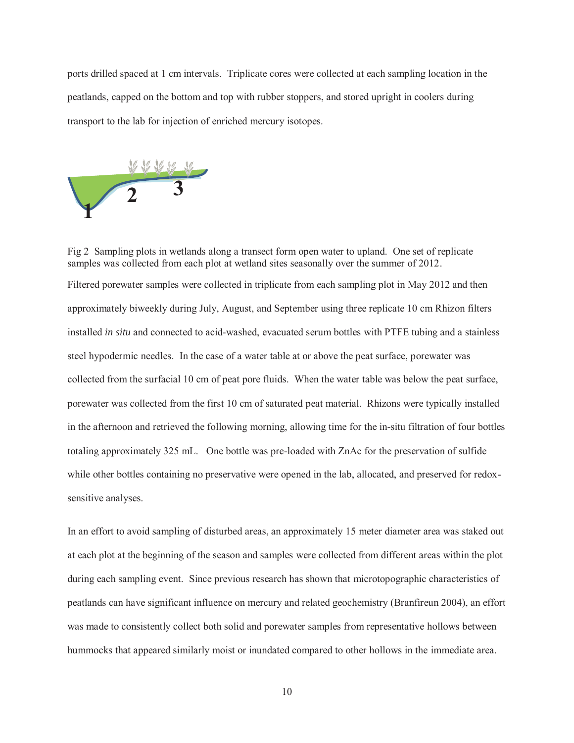ports drilled spaced at 1 cm intervals. Triplicate cores were collected at each sampling location in the peatlands, capped on the bottom and top with rubber stoppers, and stored upright in coolers during transport to the lab for injection of enriched mercury isotopes.



Fig 2 Sampling plots in wetlands along a transect form open water to upland. One set of replicate samples was collected from each plot at wetland sites seasonally over the summer of 2012. Filtered porewater samples were collected in triplicate from each sampling plot in May 2012 and then approximately biweekly during July, August, and September using three replicate 10 cm Rhizon filters installed *in situ* and connected to acid-washed, evacuated serum bottles with PTFE tubing and a stainless steel hypodermic needles. In the case of a water table at or above the peat surface, porewater was collected from the surfacial 10 cm of peat pore fluids. When the water table was below the peat surface, porewater was collected from the first 10 cm of saturated peat material. Rhizons were typically installed in the afternoon and retrieved the following morning, allowing time for the in-situ filtration of four bottles totaling approximately 325 mL. One bottle was pre-loaded with ZnAc for the preservation of sulfide while other bottles containing no preservative were opened in the lab, allocated, and preserved for redoxsensitive analyses.

In an effort to avoid sampling of disturbed areas, an approximately 15 meter diameter area was staked out at each plot at the beginning of the season and samples were collected from different areas within the plot during each sampling event. Since previous research has shown that microtopographic characteristics of peatlands can have significant influence on mercury and related geochemistry (Branfireun 2004), an effort was made to consistently collect both solid and porewater samples from representative hollows between hummocks that appeared similarly moist or inundated compared to other hollows in the immediate area.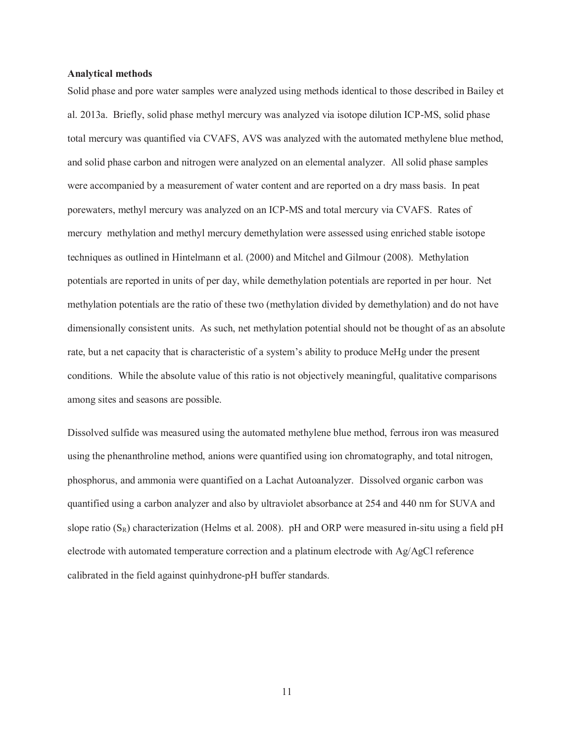#### **Analytical methods**

Solid phase and pore water samples were analyzed using methods identical to those described in Bailey et al. 2013a. Briefly, solid phase methyl mercury was analyzed via isotope dilution ICP-MS, solid phase total mercury was quantified via CVAFS, AVS was analyzed with the automated methylene blue method, and solid phase carbon and nitrogen were analyzed on an elemental analyzer. All solid phase samples were accompanied by a measurement of water content and are reported on a dry mass basis. In peat porewaters, methyl mercury was analyzed on an ICP-MS and total mercury via CVAFS. Rates of mercury methylation and methyl mercury demethylation were assessed using enriched stable isotope techniques as outlined in Hintelmann et al. (2000) and Mitchel and Gilmour (2008). Methylation potentials are reported in units of per day, while demethylation potentials are reported in per hour. Net methylation potentials are the ratio of these two (methylation divided by demethylation) and do not have dimensionally consistent units. As such, net methylation potential should not be thought of as an absolute rate, but a net capacity that is characteristic of a system's ability to produce MeHg under the present conditions. While the absolute value of this ratio is not objectively meaningful, qualitative comparisons among sites and seasons are possible.

Dissolved sulfide was measured using the automated methylene blue method, ferrous iron was measured using the phenanthroline method, anions were quantified using ion chromatography, and total nitrogen, phosphorus, and ammonia were quantified on a Lachat Autoanalyzer. Dissolved organic carbon was quantified using a carbon analyzer and also by ultraviolet absorbance at 254 and 440 nm for SUVA and slope ratio  $(S_R)$  characterization (Helms et al. 2008). pH and ORP were measured in-situ using a field pH electrode with automated temperature correction and a platinum electrode with Ag/AgCl reference calibrated in the field against quinhydrone-pH buffer standards.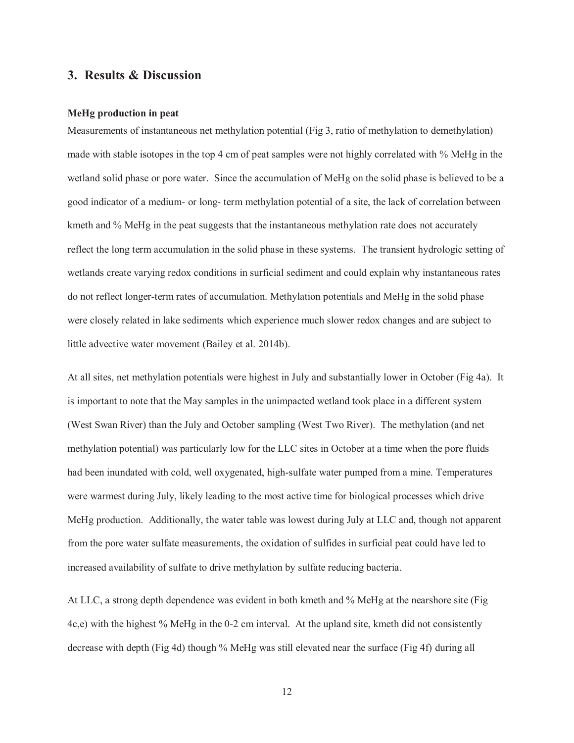## **3. Results & Discussion**

#### **MeHg production in peat**

Measurements of instantaneous net methylation potential (Fig 3, ratio of methylation to demethylation) made with stable isotopes in the top 4 cm of peat samples were not highly correlated with % MeHg in the wetland solid phase or pore water. Since the accumulation of MeHg on the solid phase is believed to be a good indicator of a medium- or long- term methylation potential of a site, the lack of correlation between kmeth and % MeHg in the peat suggests that the instantaneous methylation rate does not accurately reflect the long term accumulation in the solid phase in these systems. The transient hydrologic setting of wetlands create varying redox conditions in surficial sediment and could explain why instantaneous rates do not reflect longer-term rates of accumulation. Methylation potentials and MeHg in the solid phase were closely related in lake sediments which experience much slower redox changes and are subject to little advective water movement (Bailey et al. 2014b).

At all sites, net methylation potentials were highest in July and substantially lower in October (Fig 4a). It is important to note that the May samples in the unimpacted wetland took place in a different system (West Swan River) than the July and October sampling (West Two River). The methylation (and net methylation potential) was particularly low for the LLC sites in October at a time when the pore fluids had been inundated with cold, well oxygenated, high-sulfate water pumped from a mine. Temperatures were warmest during July, likely leading to the most active time for biological processes which drive MeHg production. Additionally, the water table was lowest during July at LLC and, though not apparent from the pore water sulfate measurements, the oxidation of sulfides in surficial peat could have led to increased availability of sulfate to drive methylation by sulfate reducing bacteria.

At LLC, a strong depth dependence was evident in both kmeth and % MeHg at the nearshore site (Fig 4c,e) with the highest % MeHg in the 0-2 cm interval. At the upland site, kmeth did not consistently decrease with depth (Fig 4d) though % MeHg was still elevated near the surface (Fig 4f) during all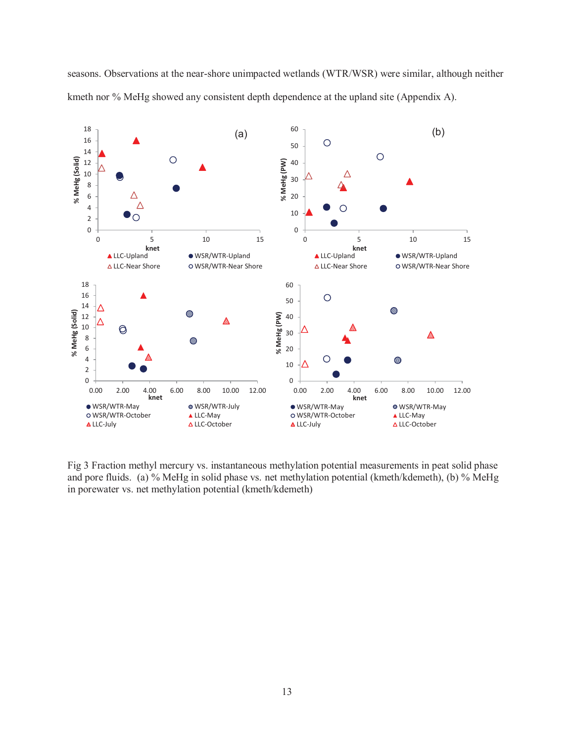seasons. Observations at the near-shore unimpacted wetlands (WTR/WSR) were similar, although neither kmeth nor % MeHg showed any consistent depth dependence at the upland site (Appendix A).



Fig 3 Fraction methyl mercury vs. instantaneous methylation potential measurements in peat solid phase and pore fluids. (a) % MeHg in solid phase vs. net methylation potential (kmeth/kdemeth), (b) % MeHg in porewater vs. net methylation potential (kmeth/kdemeth)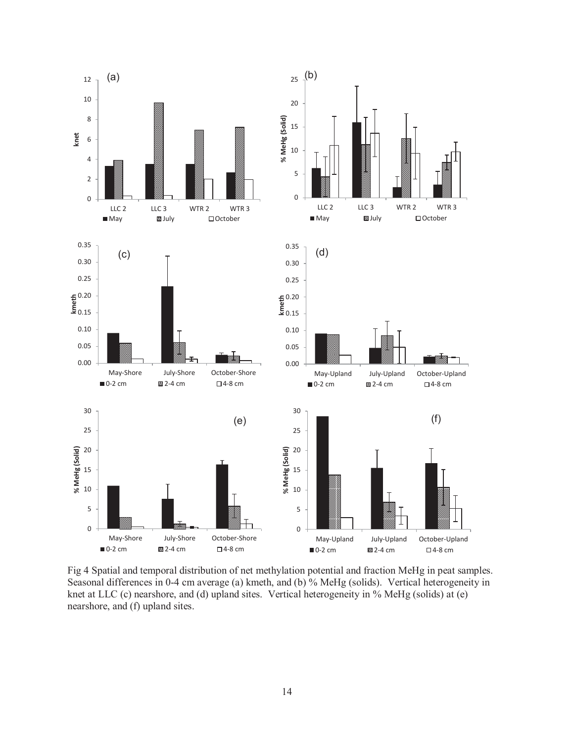

Fig 4 Spatial and temporal distribution of net methylation potential and fraction MeHg in peat samples. Seasonal differences in 0-4 cm average (a) kmeth, and (b) % MeHg (solids). Vertical heterogeneity in knet at LLC (c) nearshore, and (d) upland sites. Vertical heterogeneity in % MeHg (solids) at (e) nearshore, and (f) upland sites.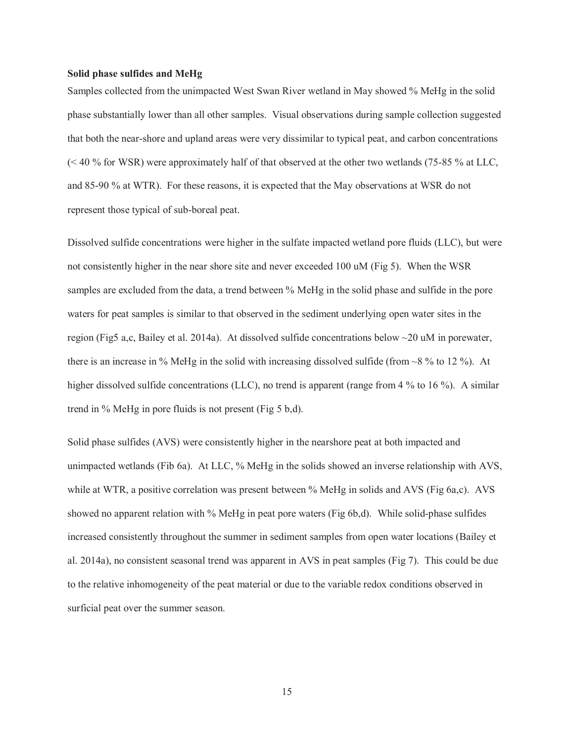#### **Solid phase sulfides and MeHg**

Samples collected from the unimpacted West Swan River wetland in May showed % MeHg in the solid phase substantially lower than all other samples. Visual observations during sample collection suggested that both the near-shore and upland areas were very dissimilar to typical peat, and carbon concentrations (< 40 % for WSR) were approximately half of that observed at the other two wetlands (75-85 % at LLC, and 85-90 % at WTR). For these reasons, it is expected that the May observations at WSR do not represent those typical of sub-boreal peat.

Dissolved sulfide concentrations were higher in the sulfate impacted wetland pore fluids (LLC), but were not consistently higher in the near shore site and never exceeded 100 uM (Fig 5). When the WSR samples are excluded from the data, a trend between % MeHg in the solid phase and sulfide in the pore waters for peat samples is similar to that observed in the sediment underlying open water sites in the region (Fig5 a,c, Bailey et al. 2014a). At dissolved sulfide concentrations below ~20 uM in porewater, there is an increase in % MeHg in the solid with increasing dissolved sulfide (from  $\sim$  8 % to 12 %). At higher dissolved sulfide concentrations (LLC), no trend is apparent (range from 4 % to 16 %). A similar trend in % MeHg in pore fluids is not present (Fig 5 b,d).

Solid phase sulfides (AVS) were consistently higher in the nearshore peat at both impacted and unimpacted wetlands (Fib 6a). At LLC, % MeHg in the solids showed an inverse relationship with AVS, while at WTR, a positive correlation was present between % MeHg in solids and AVS (Fig 6a,c). AVS showed no apparent relation with % MeHg in peat pore waters (Fig 6b,d). While solid-phase sulfides increased consistently throughout the summer in sediment samples from open water locations (Bailey et al. 2014a), no consistent seasonal trend was apparent in AVS in peat samples (Fig 7). This could be due to the relative inhomogeneity of the peat material or due to the variable redox conditions observed in surficial peat over the summer season.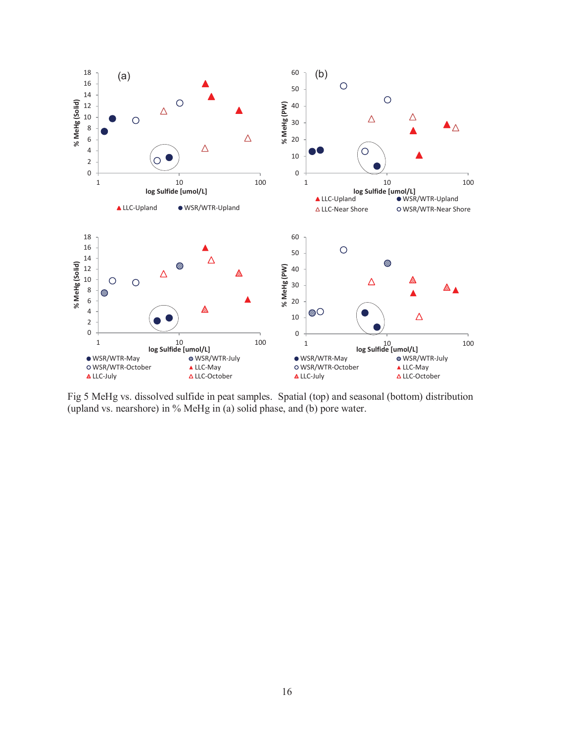

Fig 5 MeHg vs. dissolved sulfide in peat samples. Spatial (top) and seasonal (bottom) distribution (upland vs. nearshore) in % MeHg in (a) solid phase, and (b) pore water.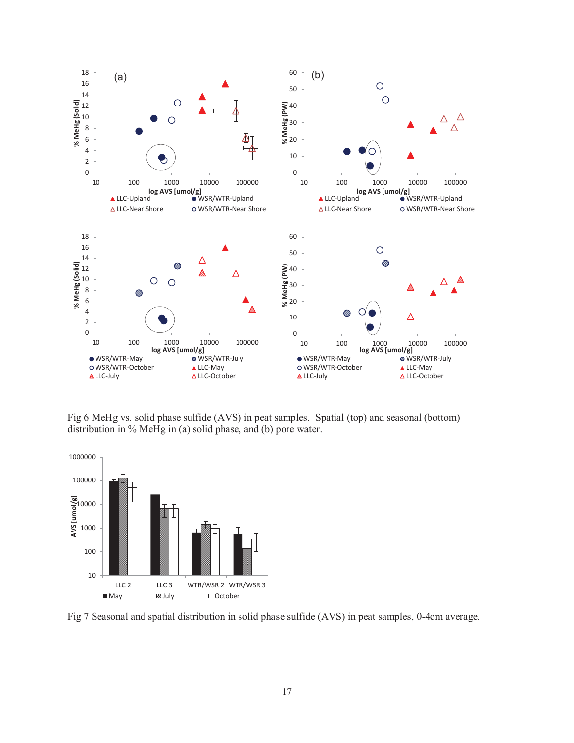

Fig 6 MeHg vs. solid phase sulfide (AVS) in peat samples. Spatial (top) and seasonal (bottom) distribution in % MeHg in (a) solid phase, and (b) pore water.



Fig 7 Seasonal and spatial distribution in solid phase sulfide (AVS) in peat samples, 0-4cm average.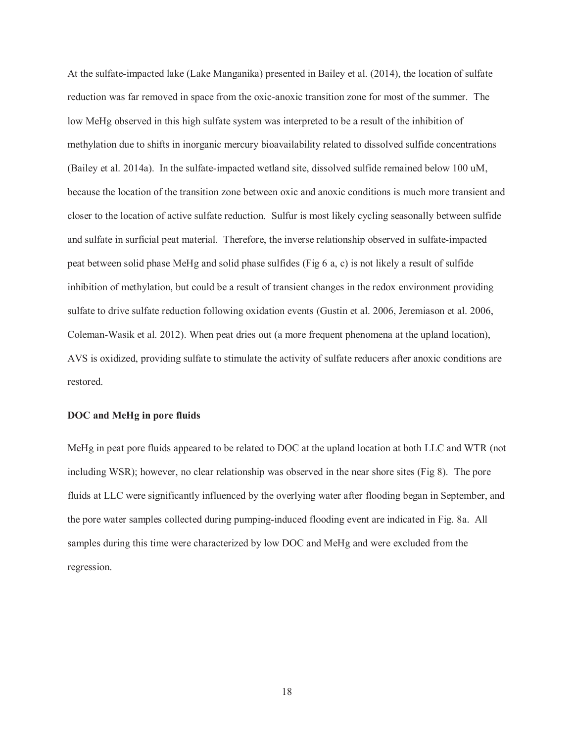At the sulfate-impacted lake (Lake Manganika) presented in Bailey et al. (2014), the location of sulfate reduction was far removed in space from the oxic-anoxic transition zone for most of the summer. The low MeHg observed in this high sulfate system was interpreted to be a result of the inhibition of methylation due to shifts in inorganic mercury bioavailability related to dissolved sulfide concentrations (Bailey et al. 2014a). In the sulfate-impacted wetland site, dissolved sulfide remained below 100 uM, because the location of the transition zone between oxic and anoxic conditions is much more transient and closer to the location of active sulfate reduction. Sulfur is most likely cycling seasonally between sulfide and sulfate in surficial peat material. Therefore, the inverse relationship observed in sulfate-impacted peat between solid phase MeHg and solid phase sulfides (Fig 6 a, c) is not likely a result of sulfide inhibition of methylation, but could be a result of transient changes in the redox environment providing sulfate to drive sulfate reduction following oxidation events (Gustin et al. 2006, Jeremiason et al. 2006, Coleman-Wasik et al. 2012). When peat dries out (a more frequent phenomena at the upland location), AVS is oxidized, providing sulfate to stimulate the activity of sulfate reducers after anoxic conditions are restored.

#### **DOC and MeHg in pore fluids**

MeHg in peat pore fluids appeared to be related to DOC at the upland location at both LLC and WTR (not including WSR); however, no clear relationship was observed in the near shore sites (Fig 8). The pore fluids at LLC were significantly influenced by the overlying water after flooding began in September, and the pore water samples collected during pumping-induced flooding event are indicated in Fig. 8a. All samples during this time were characterized by low DOC and MeHg and were excluded from the regression.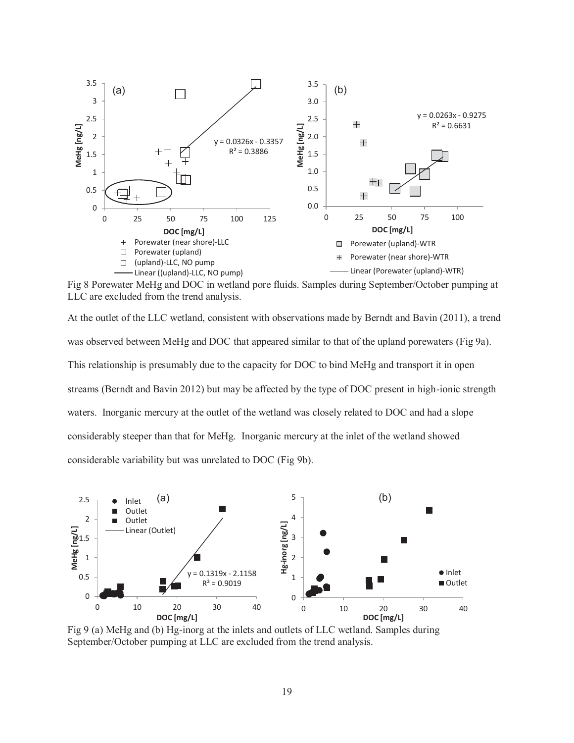

Fig 8 Porewater MeHg and DOC in wetland pore fluids. Samples during September/October pumping at LLC are excluded from the trend analysis.

At the outlet of the LLC wetland, consistent with observations made by Berndt and Bavin (2011), a trend was observed between MeHg and DOC that appeared similar to that of the upland porewaters (Fig 9a). This relationship is presumably due to the capacity for DOC to bind MeHg and transport it in open streams (Berndt and Bavin 2012) but may be affected by the type of DOC present in high-ionic strength waters. Inorganic mercury at the outlet of the wetland was closely related to DOC and had a slope considerably steeper than that for MeHg. Inorganic mercury at the inlet of the wetland showed considerable variability but was unrelated to DOC (Fig 9b).



 Fig 9 (a) MeHg and (b) Hg-inorg at the inlets and outlets of LLC wetland. Samples during September/October pumping at LLC are excluded from the trend analysis.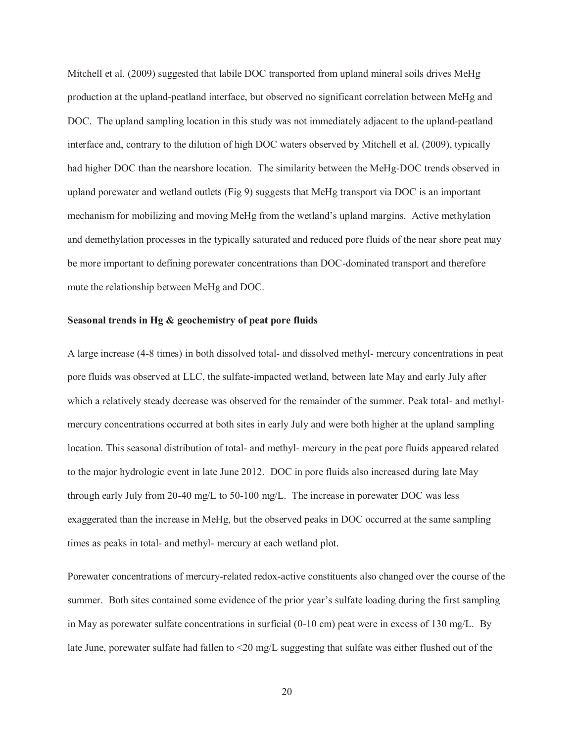Mitchell et al. (2009) suggested that labile DOC transported from upland mineral soils drives MeHg production at the upland-peatland interface, but observed no significant correlation between MeHg and DOC. The upland sampling location in this study was not immediately adjacent to the upland-peatland interface and, contrary to the dilution of high DOC waters observed by Mitchell et al. (2009), typically had higher DOC than the nearshore location. The similarity between the MeHg-DOC trends observed in upland porewater and wetland outlets (Fig 9) suggests that MeHg transport via DOC is an important mechanism for mobilizing and moving MeHg from the wetland's upland margins. Active methylation and demethylation processes in the typically saturated and reduced pore fluids of the near shore peat may be more important to defining porewater concentrations than DOC-dominated transport and therefore mute the relationship between MeHg and DOC.

#### **Seasonal trends in Hg & geochemistry of peat pore fluids**

A large increase (4-8 times) in both dissolved total- and dissolved methyl- mercury concentrations in peat pore fluids was observed at LLC, the sulfate-impacted wetland, between late May and early July after which a relatively steady decrease was observed for the remainder of the summer. Peak total- and methylmercury concentrations occurred at both sites in early July and were both higher at the upland sampling location. This seasonal distribution of total- and methyl- mercury in the peat pore fluids appeared related to the major hydrologic event in late June 2012. DOC in pore fluids also increased during late May through early July from 20-40 mg/L to 50-100 mg/L. The increase in porewater DOC was less exaggerated than the increase in MeHg, but the observed peaks in DOC occurred at the same sampling times as peaks in total- and methyl- mercury at each wetland plot.

Porewater concentrations of mercury-related redox-active constituents also changed over the course of the summer. Both sites contained some evidence of the prior year's sulfate loading during the first sampling in May as porewater sulfate concentrations in surficial (0-10 cm) peat were in excess of 130 mg/L. By late June, porewater sulfate had fallen to <20 mg/L suggesting that sulfate was either flushed out of the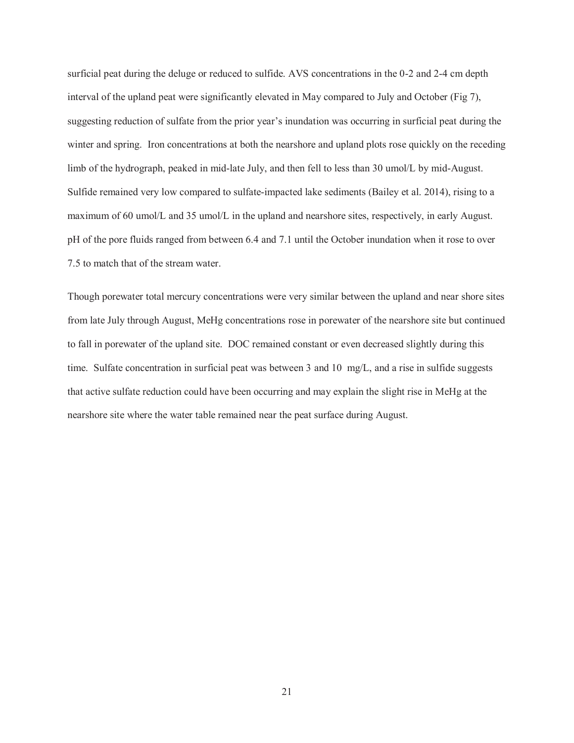surficial peat during the deluge or reduced to sulfide. AVS concentrations in the 0-2 and 2-4 cm depth interval of the upland peat were significantly elevated in May compared to July and October (Fig 7), suggesting reduction of sulfate from the prior year's inundation was occurring in surficial peat during the winter and spring. Iron concentrations at both the nearshore and upland plots rose quickly on the receding limb of the hydrograph, peaked in mid-late July, and then fell to less than 30 umol/L by mid-August. Sulfide remained very low compared to sulfate-impacted lake sediments (Bailey et al. 2014), rising to a maximum of 60 umol/L and 35 umol/L in the upland and nearshore sites, respectively, in early August. pH of the pore fluids ranged from between 6.4 and 7.1 until the October inundation when it rose to over 7.5 to match that of the stream water.

Though porewater total mercury concentrations were very similar between the upland and near shore sites from late July through August, MeHg concentrations rose in porewater of the nearshore site but continued to fall in porewater of the upland site. DOC remained constant or even decreased slightly during this time. Sulfate concentration in surficial peat was between 3 and 10 mg/L, and a rise in sulfide suggests that active sulfate reduction could have been occurring and may explain the slight rise in MeHg at the nearshore site where the water table remained near the peat surface during August.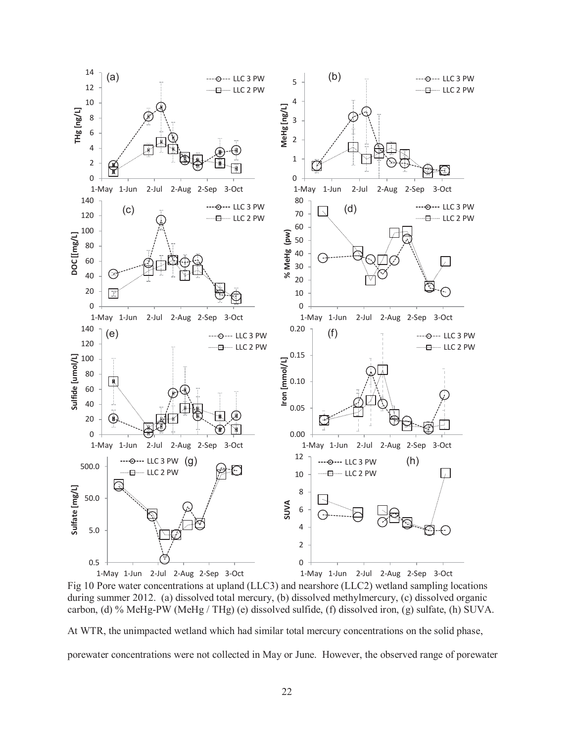

Fig 10 Pore water concentrations at upland (LLC3) and nearshore (LLC2) wetland sampling locations during summer 2012. (a) dissolved total mercury, (b) dissolved methylmercury, (c) dissolved organic carbon, (d) % MeHg-PW (MeHg / THg) (e) dissolved sulfide, (f) dissolved iron, (g) sulfate, (h) SUVA.

At WTR, the unimpacted wetland which had similar total mercury concentrations on the solid phase,

porewater concentrations were not collected in May or June. However, the observed range of porewater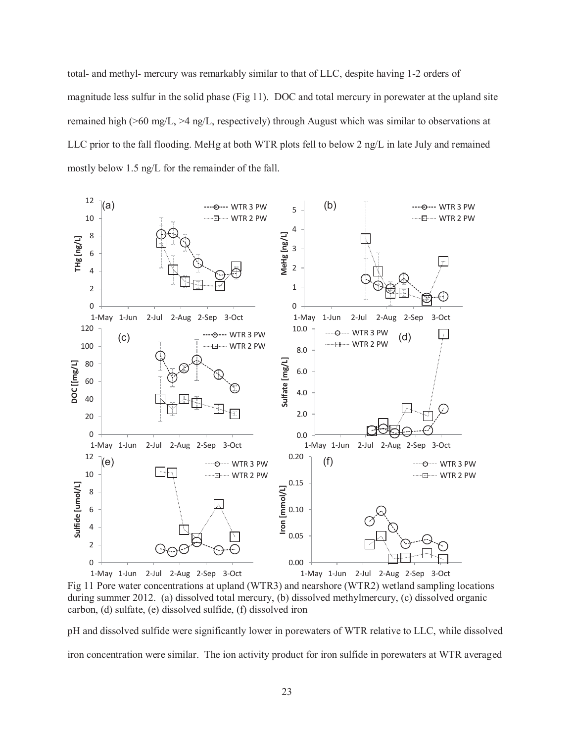total- and methyl- mercury was remarkably similar to that of LLC, despite having 1-2 orders of magnitude less sulfur in the solid phase (Fig 11). DOC and total mercury in porewater at the upland site remained high (>60 mg/L, >4 ng/L, respectively) through August which was similar to observations at LLC prior to the fall flooding. MeHg at both WTR plots fell to below 2 ng/L in late July and remained mostly below 1.5 ng/L for the remainder of the fall.



Fig 11 Pore water concentrations at upland (WTR3) and nearshore (WTR2) wetland sampling locations during summer 2012. (a) dissolved total mercury, (b) dissolved methylmercury, (c) dissolved organic carbon, (d) sulfate, (e) dissolved sulfide, (f) dissolved iron

pH and dissolved sulfide were significantly lower in porewaters of WTR relative to LLC, while dissolved iron concentration were similar. The ion activity product for iron sulfide in porewaters at WTR averaged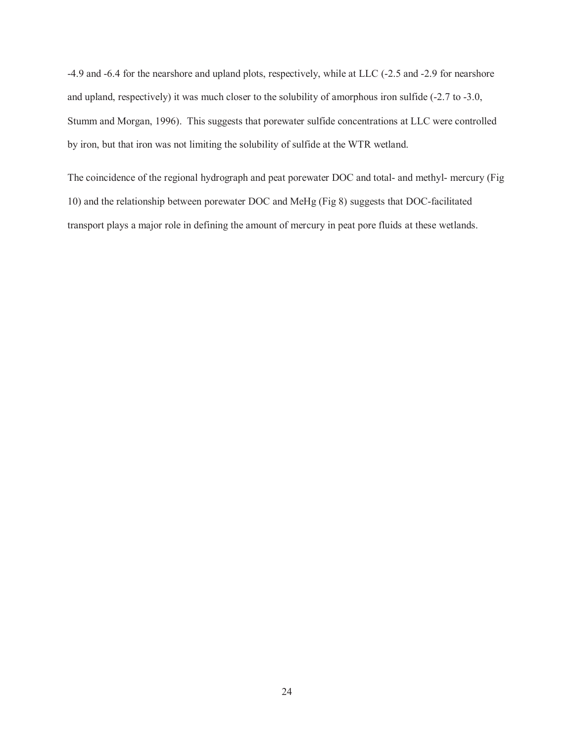-4.9 and -6.4 for the nearshore and upland plots, respectively, while at LLC (-2.5 and -2.9 for nearshore and upland, respectively) it was much closer to the solubility of amorphous iron sulfide (-2.7 to -3.0, Stumm and Morgan, 1996). This suggests that porewater sulfide concentrations at LLC were controlled by iron, but that iron was not limiting the solubility of sulfide at the WTR wetland.

The coincidence of the regional hydrograph and peat porewater DOC and total- and methyl- mercury (Fig 10) and the relationship between porewater DOC and MeHg (Fig 8) suggests that DOC-facilitated transport plays a major role in defining the amount of mercury in peat pore fluids at these wetlands.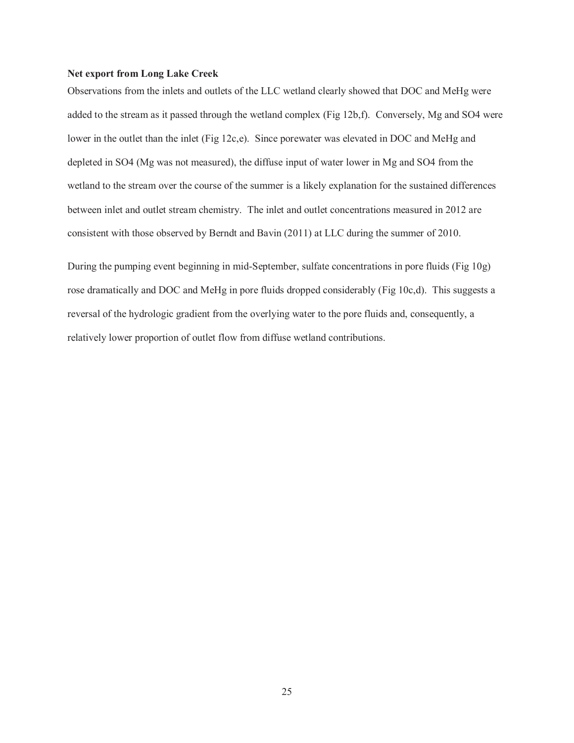### **Net export from Long Lake Creek**

Observations from the inlets and outlets of the LLC wetland clearly showed that DOC and MeHg were added to the stream as it passed through the wetland complex (Fig 12b,f). Conversely, Mg and SO4 were lower in the outlet than the inlet (Fig 12c,e). Since porewater was elevated in DOC and MeHg and depleted in SO4 (Mg was not measured), the diffuse input of water lower in Mg and SO4 from the wetland to the stream over the course of the summer is a likely explanation for the sustained differences between inlet and outlet stream chemistry. The inlet and outlet concentrations measured in 2012 are consistent with those observed by Berndt and Bavin (2011) at LLC during the summer of 2010.

During the pumping event beginning in mid-September, sulfate concentrations in pore fluids (Fig 10g) rose dramatically and DOC and MeHg in pore fluids dropped considerably (Fig 10c,d). This suggests a reversal of the hydrologic gradient from the overlying water to the pore fluids and, consequently, a relatively lower proportion of outlet flow from diffuse wetland contributions.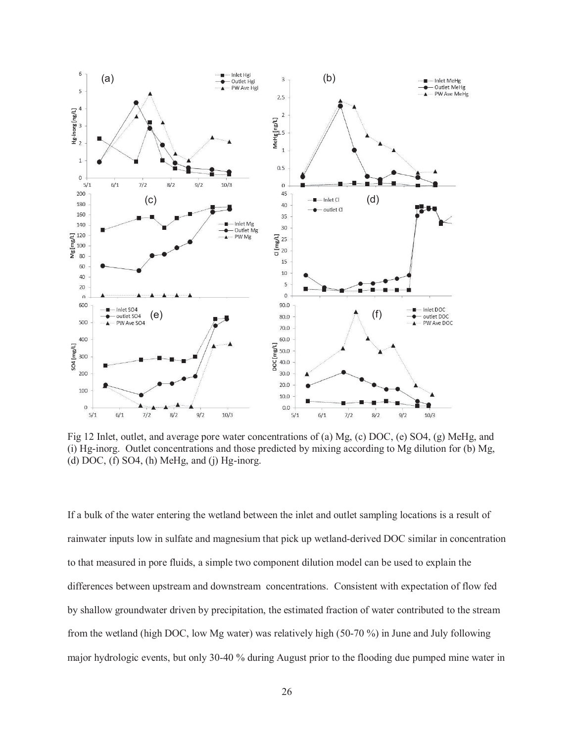

Fig 12 Inlet, outlet, and average pore water concentrations of (a) Mg, (c) DOC, (e) SO4, (g) MeHg, and (i) Hg-inorg. Outlet concentrations and those predicted by mixing according to Mg dilution for (b) Mg, (d) DOC, (f) SO4, (h) MeHg, and (j) Hg-inorg.

If a bulk of the water entering the wetland between the inlet and outlet sampling locations is a result of rainwater inputs low in sulfate and magnesium that pick up wetland-derived DOC similar in concentration to that measured in pore fluids, a simple two component dilution model can be used to explain the differences between upstream and downstream concentrations. Consistent with expectation of flow fed by shallow groundwater driven by precipitation, the estimated fraction of water contributed to the stream from the wetland (high DOC, low Mg water) was relatively high (50-70 %) in June and July following major hydrologic events, but only 30-40 % during August prior to the flooding due pumped mine water in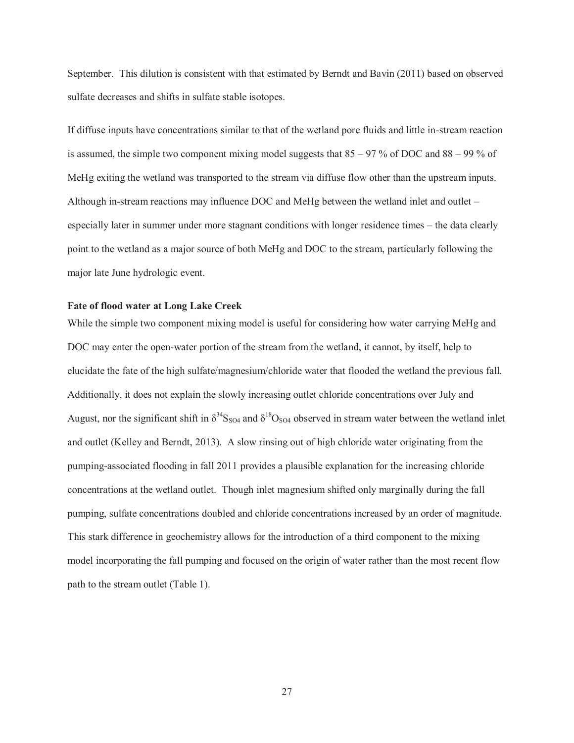September. This dilution is consistent with that estimated by Berndt and Bavin (2011) based on observed sulfate decreases and shifts in sulfate stable isotopes.

If diffuse inputs have concentrations similar to that of the wetland pore fluids and little in-stream reaction is assumed, the simple two component mixing model suggests that  $85 - 97$ % of DOC and  $88 - 99$ % of MeHg exiting the wetland was transported to the stream via diffuse flow other than the upstream inputs. Although in-stream reactions may influence DOC and MeHg between the wetland inlet and outlet – especially later in summer under more stagnant conditions with longer residence times – the data clearly point to the wetland as a major source of both MeHg and DOC to the stream, particularly following the major late June hydrologic event.

### **Fate of flood water at Long Lake Creek**

While the simple two component mixing model is useful for considering how water carrying MeHg and DOC may enter the open-water portion of the stream from the wetland, it cannot, by itself, help to elucidate the fate of the high sulfate/magnesium/chloride water that flooded the wetland the previous fall. Additionally, it does not explain the slowly increasing outlet chloride concentrations over July and August, nor the significant shift in  $\delta^{34}S_{SO4}$  and  $\delta^{18}O_{SO4}$  observed in stream water between the wetland inlet and outlet (Kelley and Berndt, 2013). A slow rinsing out of high chloride water originating from the pumping-associated flooding in fall 2011 provides a plausible explanation for the increasing chloride concentrations at the wetland outlet. Though inlet magnesium shifted only marginally during the fall pumping, sulfate concentrations doubled and chloride concentrations increased by an order of magnitude. This stark difference in geochemistry allows for the introduction of a third component to the mixing model incorporating the fall pumping and focused on the origin of water rather than the most recent flow path to the stream outlet (Table 1).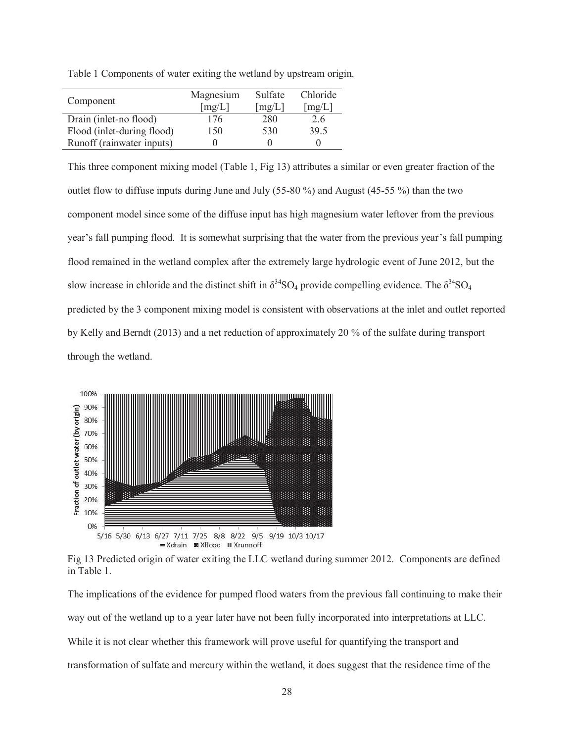|                            | Magnesium | Sulfate | Chloride |
|----------------------------|-----------|---------|----------|
| Component                  | [mg/L]    | [mg/L]  | [mg/L]   |
| Drain (inlet-no flood)     | 176       | 280     | 2.6      |
| Flood (inlet-during flood) | 150       | 530     | 39.5     |
| Runoff (rainwater inputs)  |           |         |          |

Table 1 Components of water exiting the wetland by upstream origin.

This three component mixing model (Table 1, Fig 13) attributes a similar or even greater fraction of the outlet flow to diffuse inputs during June and July (55-80 %) and August (45-55 %) than the two component model since some of the diffuse input has high magnesium water leftover from the previous year's fall pumping flood. It is somewhat surprising that the water from the previous year's fall pumping flood remained in the wetland complex after the extremely large hydrologic event of June 2012, but the slow increase in chloride and the distinct shift in  $\delta^{34}SO_4$  provide compelling evidence. The  $\delta^{34}SO_4$ predicted by the 3 component mixing model is consistent with observations at the inlet and outlet reported by Kelly and Berndt (2013) and a net reduction of approximately 20 % of the sulfate during transport through the wetland.



Fig 13 Predicted origin of water exiting the LLC wetland during summer 2012. Components are defined in Table 1.

The implications of the evidence for pumped flood waters from the previous fall continuing to make their way out of the wetland up to a year later have not been fully incorporated into interpretations at LLC. While it is not clear whether this framework will prove useful for quantifying the transport and transformation of sulfate and mercury within the wetland, it does suggest that the residence time of the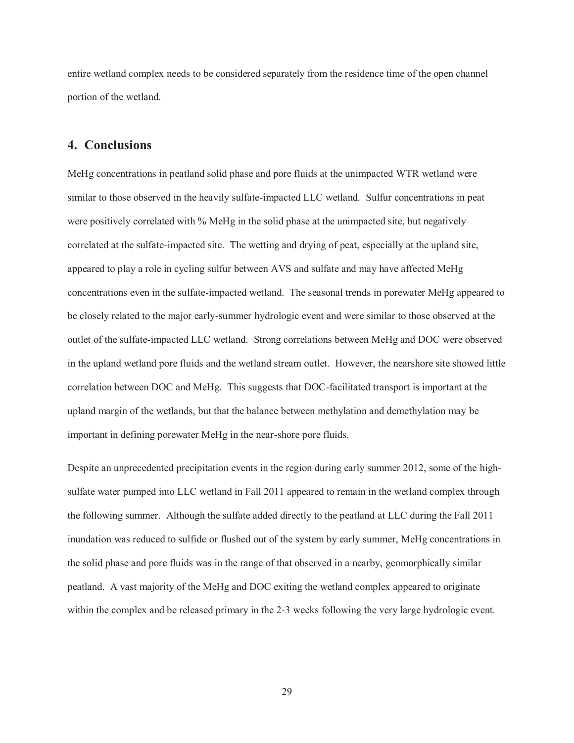entire wetland complex needs to be considered separately from the residence time of the open channel portion of the wetland.

## **4. Conclusions**

MeHg concentrations in peatland solid phase and pore fluids at the unimpacted WTR wetland were similar to those observed in the heavily sulfate-impacted LLC wetland. Sulfur concentrations in peat were positively correlated with % MeHg in the solid phase at the unimpacted site, but negatively correlated at the sulfate-impacted site. The wetting and drying of peat, especially at the upland site, appeared to play a role in cycling sulfur between AVS and sulfate and may have affected MeHg concentrations even in the sulfate-impacted wetland. The seasonal trends in porewater MeHg appeared to be closely related to the major early-summer hydrologic event and were similar to those observed at the outlet of the sulfate-impacted LLC wetland. Strong correlations between MeHg and DOC were observed in the upland wetland pore fluids and the wetland stream outlet. However, the nearshore site showed little correlation between DOC and MeHg. This suggests that DOC-facilitated transport is important at the upland margin of the wetlands, but that the balance between methylation and demethylation may be important in defining porewater MeHg in the near-shore pore fluids.

Despite an unprecedented precipitation events in the region during early summer 2012, some of the highsulfate water pumped into LLC wetland in Fall 2011 appeared to remain in the wetland complex through the following summer. Although the sulfate added directly to the peatland at LLC during the Fall 2011 inundation was reduced to sulfide or flushed out of the system by early summer, MeHg concentrations in the solid phase and pore fluids was in the range of that observed in a nearby, geomorphically similar peatland. A vast majority of the MeHg and DOC exiting the wetland complex appeared to originate within the complex and be released primary in the 2-3 weeks following the very large hydrologic event.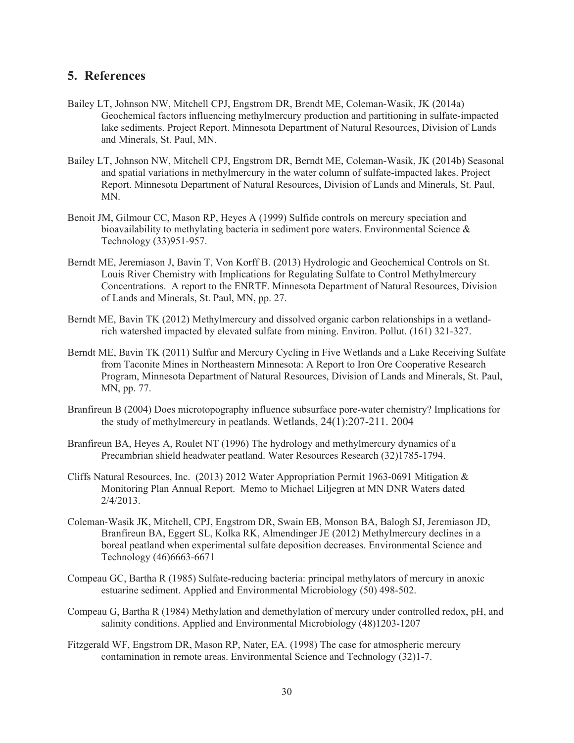## **5. References**

- Bailey LT, Johnson NW, Mitchell CPJ, Engstrom DR, Brendt ME, Coleman-Wasik, JK (2014a) Geochemical factors influencing methylmercury production and partitioning in sulfate-impacted lake sediments. Project Report. Minnesota Department of Natural Resources, Division of Lands and Minerals, St. Paul, MN.
- Bailey LT, Johnson NW, Mitchell CPJ, Engstrom DR, Berndt ME, Coleman-Wasik, JK (2014b) Seasonal and spatial variations in methylmercury in the water column of sulfate-impacted lakes. Project Report. Minnesota Department of Natural Resources, Division of Lands and Minerals, St. Paul, MN.
- Benoit JM. Gilmour CC, Mason RP, Heyes A (1999) Sulfide controls on mercury speciation and bioavailability to methylating bacteria in sediment pore waters. Environmental Science  $\&$ Technology (33)951-957.
- Berndt ME, Jeremiason J, Bavin T, Von Korff B. (2013) Hydrologic and Geochemical Controls on St. Louis River Chemistry with Implications for Regulating Sulfate to Control Methylmercury Concentrations. A report to the ENRTF. Minnesota Department of Natural Resources, Division of Lands and Minerals, St. Paul, MN, pp. 27.
- Berndt ME, Bavin TK (2012) Methylmercury and dissolved organic carbon relationships in a wetlandrich watershed impacted by elevated sulfate from mining. Environ. Pollut.  $(161)$  321-327.
- Berndt ME, Bavin TK (2011) Sulfur and Mercury Cycling in Five Wetlands and a Lake Receiving Sulfate from Taconite Mines in Northeastern Minnesota: A Report to Iron Ore Cooperative Research Program, Minnesota Department of Natural Resources, Division of Lands and Minerals, St. Paul, MN, pp. 77.
- Branfireun B (2004) Does microtopography influence subsurface pore-water chemistry? Implications for the study of methylmercury in peatlands. Wetlands,  $24(1)$ :  $207-211$ .  $2004$
- Branfireun BA, Heyes A, Roulet NT (1996) The hydrology and methylmercury dynamics of a Precambrian shield headwater peatland. Water Resources Research (32)1785-1794.
- Cliffs Natural Resources, Inc. (2013) 2012 Water Appropriation Permit 1963-0691 Mitigation  $\&$ Monitoring Plan Annual Report. Memo to Michael Liljegren at MN DNR Waters dated  $2/4/2013$ .
- Coleman-Wasik JK, Mitchell, CPJ, Engstrom DR, Swain EB, Monson BA, Balogh SJ, Jeremiason JD, Branfireun BA, Eggert SL, Kolka RK, Almendinger JE (2012) Methylmercury declines in a boreal peatland when experimental sulfate deposition decreases. Environmental Science and Technology (46)6663-6671
- Compeau GC, Bartha R (1985) Sulfate-reducing bacteria: principal methylators of mercury in anoxic estuarine sediment. Applied and Environmental Microbiology  $(50)$  498-502.
- Compeau G, Bartha R (1984) Methylation and demethylation of mercury under controlled redox, pH, and salinity conditions. Applied and Environmental Microbiology  $(48)1203-1207$
- Fitzgerald WF, Engstrom DR, Mason RP, Nater, EA. (1998) The case for atmospheric mercury contamination in remote areas. Environmental Science and Technology  $(32)1$ -7.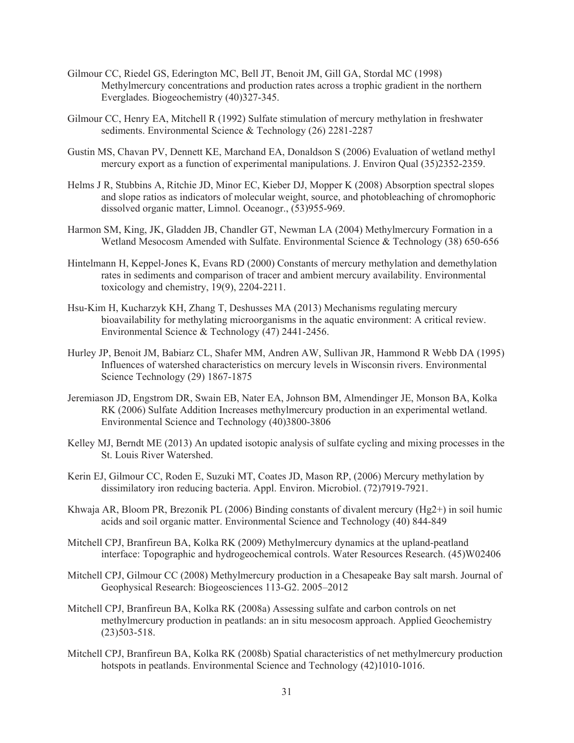- Gilmour CC, Riedel GS, Ederington MC, Bell JT, Benoit JM, Gill GA, Stordal MC (1998) Methylmercury concentrations and production rates across a trophic gradient in the northern Everglades. Biogeochemistry (40)327-345.
- Gilmour CC, Henry EA, Mitchell R (1992) Sulfate stimulation of mercury methylation in freshwater sediments. Environmental Science & Technology (26) 2281-2287
- Gustin MS, Chavan PV, Dennett KE, Marchand EA, Donaldson S (2006) Evaluation of wetland methyl mercury export as a function of experimental manipulations. J. Environ Qual (35)2352-2359.
- Helms J R, Stubbins A, Ritchie JD, Minor EC, Kieber DJ, Mopper K (2008) Absorption spectral slopes and slope ratios as indicators of molecular weight, source, and photobleaching of chromophoric dissolved organic matter, Limnol. Oceanogr., (53)955-969.
- Harmon SM, King, JK, Gladden JB, Chandler GT, Newman LA (2004) Methylmercury Formation in a Wetland Mesocosm Amended with Sulfate. Environmental Science & Technology (38) 650-656
- Hintelmann H, Keppel-Jones K, Evans RD (2000) Constants of mercury methylation and demethylation rates in sediments and comparison of tracer and ambient mercury availability. Environmental toxicology and chemistry,  $19(9)$ ,  $2204-2211$ .
- Hsu-Kim H, Kucharzyk KH, Zhang T, Deshusses MA (2013) Mechanisms regulating mercury bioavailability for methylating microorganisms in the aquatic environment: A critical review. Environmental Science & Technology  $(47)$  2441-2456.
- Hurley JP, Benoit JM, Babiarz CL, Shafer MM, Andren AW, Sullivan JR, Hammond R Webb DA (1995) Influences of watershed characteristics on mercury levels in Wisconsin rivers. Environmental Science Technology  $(29)$  1867-1875
- Jeremiason JD, Engstrom DR, Swain EB, Nater EA, Johnson BM, Almendinger JE, Monson BA, Kolka RK (2006) Sulfate Addition Increases methylmercury production in an experimental wetland. Environmental Science and Technology (40)3800-3806
- Kelley MJ, Berndt ME (2013) An updated isotopic analysis of sulfate cycling and mixing processes in the St. Louis River Watershed.
- Kerin EJ, Gilmour CC, Roden E, Suzuki MT, Coates JD, Mason RP,  $(2006)$  Mercury methylation by dissimilatory iron reducing bacteria. Appl. Environ. Microbiol. (72)7919-7921.
- Khwaja AR, Bloom PR, Brezonik PL (2006) Binding constants of divalent mercury (Hg2+) in soil humic acids and soil organic matter. Environmental Science and Technology (40) 844-849
- Mitchell CPJ, Branfireun BA, Kolka RK (2009) Methylmercury dynamics at the upland-peatland interface: Topographic and hydrogeochemical controls. Water Resources Research. (45)W02406
- Mitchell CPJ, Gilmour CC (2008) Methylmercury production in a Chesapeake Bay salt marsh. Journal of Geophysical Research: Biogeosciences 113-G2. 2005-2012
- Mitchell CPJ, Branfireun BA, Kolka RK (2008a) Assessing sulfate and carbon controls on net methylmercury production in peatlands: an in situ mesocosm approach. Applied Geochemistry  $(23)503 - 518.$
- Mitchell CPJ, Branfireun BA, Kolka RK (2008b) Spatial characteristics of net methylmercury production hotspots in peatlands. Environmental Science and Technology (42)1010-1016.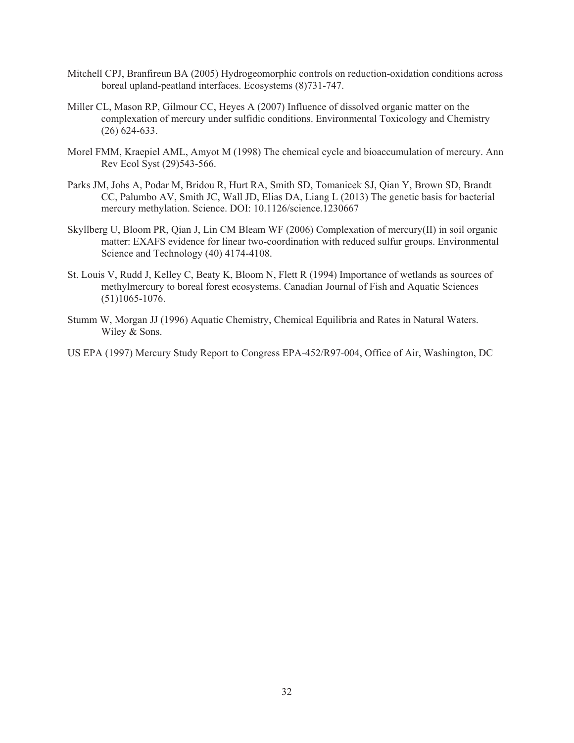- Mitchell CPJ, Branfireun BA (2005) Hydrogeomorphic controls on reduction-oxidation conditions across boreal upland-peatland interfaces. Ecosystems (8)731-747.
- Miller CL, Mason RP, Gilmour CC, Heyes A (2007) Influence of dissolved organic matter on the complexation of mercury under sulfidic conditions. Environmental Toxicology and Chemistry  $(26)$  624-633.
- Morel FMM, Kraepiel AML, Amyot M (1998) The chemical cycle and bioaccumulation of mercury. Ann Rev Ecol Syst (29)543-566.
- Parks JM, Johs A, Podar M, Bridou R, Hurt RA, Smith SD, Tomanicek SJ, Qian Y, Brown SD, Brandt CC, Palumbo AV, Smith JC, Wall JD, Elias DA, Liang L (2013) The genetic basis for bacterial mercury methylation. Science. DOI: 10.1126/science.1230667
- Skyllberg U, Bloom PR, Qian J, Lin CM Bleam WF (2006) Complexation of mercury(II) in soil organic matter: EXAFS evidence for linear two-coordination with reduced sulfur groups. Environmental Science and Technology  $(40)$  4174-4108.
- St. Louis V, Rudd J, Kelley C, Beaty K, Bloom N, Flett R (1994) Importance of wetlands as sources of methylmercury to boreal forest ecosystems. Canadian Journal of Fish and Aquatic Sciences  $(51)1065 - 1076.$
- Stumm W, Morgan JJ (1996) Aquatic Chemistry, Chemical Equilibria and Rates in Natural Waters. Wiley & Sons.

US EPA (1997) Mercury Study Report to Congress EPA-452/R97-004, Office of Air, Washington, DC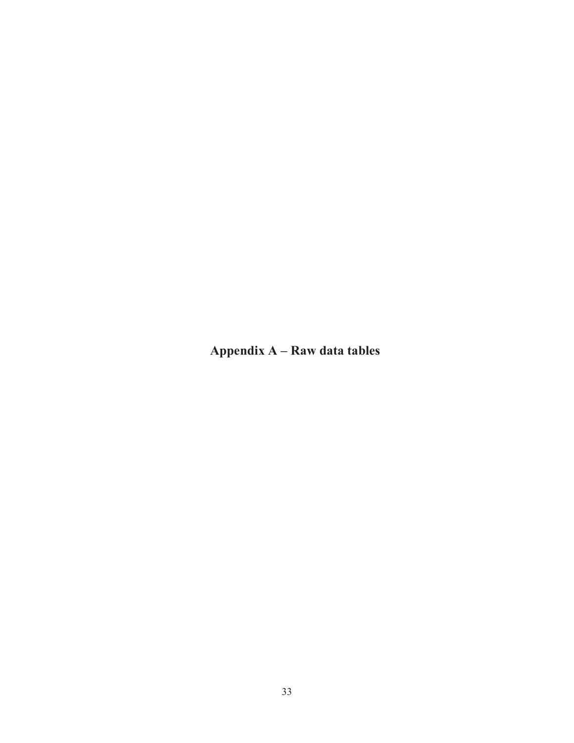**Appendix A – Raw data tables**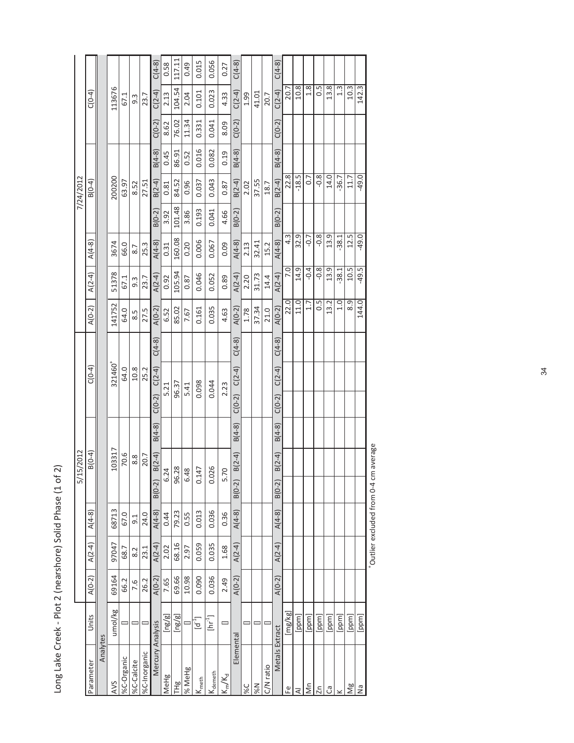| J<br>¢                                |
|---------------------------------------|
| ,<br>$\frac{1}{2}$                    |
|                                       |
| J<br>י<br>המנה<br>;<br>5<br>ī         |
| ۔<br>ن<br>ì                           |
| ı<br>S<br>S<br>)<br>)<br>!<br>こうにく    |
| $\epsilon$<br>$\frac{1}{2}$<br>ī<br>ï |
| らりう<br>S<br>S<br>I                    |
| <b>PYE</b> DUO<br>ı                   |
| no.                                   |

|                                        |                                          |          |          |          | 15/2012<br><u>ણ</u>               |          |                      |          |                  |                  |                  |          | 7/24/2012 |          |          |                  |          |
|----------------------------------------|------------------------------------------|----------|----------|----------|-----------------------------------|----------|----------------------|----------|------------------|------------------|------------------|----------|-----------|----------|----------|------------------|----------|
| Parameter                              | Units                                    | $A(0-2)$ | $A(2-4)$ | $A(4-8)$ | $B(0-4)$                          |          | $C(0-4)$             |          | $A(0-2)$         | $A(2-4)$         | $A(4-8)$         |          | $B(0-4)$  |          |          | $C(0-4)$         |          |
| Analytes                               |                                          |          |          |          |                                   |          |                      |          |                  |                  |                  |          |           |          |          |                  |          |
| AVS                                    | umol/kg                                  | 69164    | 97047    | 68713    | 103317                            |          | 321460+              |          | 141752           | 51378            | 3674             |          | 200200    |          |          | 113676           |          |
| %C-Organic                             |                                          | 66.2     | 68.7     | 67.0     | 70.6                              |          | 64.0                 |          | 64.0             | 67.1             | 66.0             |          | 63.97     |          |          | 67.1             |          |
| %C-Calcite                             |                                          | 7.6      | 8.2      | 9.1      | 8.8                               |          | 10.8                 |          | 8.5              | $9.\overline{3}$ | 8.7              |          | 8.52      |          |          | 9.3              |          |
| %C-Inorganic                           |                                          | 26.2     | 23.1     | 24.0     | 20.7                              |          | 25.2                 |          | 27.5             | 23.7             | 25.3             |          | 27.51     |          |          | 23.7             |          |
| Mercury Analysis                       |                                          | $A(0-2)$ | $A(2-4)$ | $A(4-8)$ | $B(2-4)$<br>$B(0-2)$              | $B(4-8)$ | $C(2-4)$<br>$C(0-2)$ | $C(4-8)$ | $A(0-2)$         | $A(2-4)$         | $A(4-8)$         | $B(0-2)$ | $B(2-4)$  | $B(4-8)$ | $C(0-2)$ | $C(2-4)$         | $C(4-8)$ |
| MeHg                                   | $\lbrack \mathsf{ng}/\mathsf{g} \rbrack$ | 7.65     | 2.02     | 0.44     | 6.24                              |          | 5.21                 |          | 6.52             | 0.92             | 0.31             | 3.92     | 0.81      | 0.45     | 8.62     | 2.13             | 0.58     |
| THg                                    | [ng/g]                                   | 69.66    | 68.16    | 79.23    | 96.28                             |          | 96.37                |          | 85.02            | 105.94           | 160.08           | 101.48   | 84.52     | 86.91    | 76.02    | 104.54           | 117.11   |
| % MeHg                                 |                                          | 10.98    | 2.97     | 0.55     | 48<br>ق                           |          | 5.41                 |          | 7.67             | 0.87             | 0.20             | 3.86     | 0.96      | 0.52     | 11.34    | 2.04             | 0.49     |
| $\mathsf{I}\mathsf{K}_{\mathsf{meth}}$ | $\mathsf{d}^1$                           | 0.090    | 0.059    | 0.013    | $\overline{47}$<br>$\overline{c}$ |          | 0.098                |          | 0.161            | 0.046            | 0.006            | 0.193    | 0.037     | 0.016    | 0.331    | 0.101            | 0.015    |
| <b>K</b><br>demeth                     | ך<br>E                                   | 0.036    | 0.035    | 0.036    | 0.026                             |          | 0.044                |          | 0.035            | 0.052            | 0.067            | 0.041    | 0.043     | 0.082    | 0.041    | 0.023            | 0.056    |
| $K_{m}/K_{d}$                          | $\equiv$                                 | 2.49     | 1.68     | 0.36     | 5.70                              |          | 2.23                 |          | 4.63             | 0.89             | 0.09             | 4.66     | 0.87      | 0.19     | 8.09     | 4.33             | 0.27     |
| Elemental                              |                                          | $A(0-2)$ | $A(2-4)$ | $A(4-8)$ | $B(2-4)$<br>$B(0-2)$              | $B(4-8)$ | $C(2-4)$<br>$C(0-2)$ | $C(4-8)$ | $A(0-2)$         | $A(2-4)$         | $A(4-8)$         | $B(0-2)$ | $B(2-4)$  | $B(4-8)$ | $C(0-2)$ | $C(2-4)$         | $C(4-8)$ |
| 9%C                                    |                                          |          |          |          |                                   |          |                      |          | 1.78             | 2.20             | 2.13             |          | 2.02      |          |          | 1.99             |          |
| N%                                     | Е                                        |          |          |          |                                   |          |                      |          | 37.34            | 31.73            | 32.41            |          | 37.55     |          |          | 41.01            |          |
| C/N ratio                              |                                          |          |          |          |                                   |          |                      |          | 21.0             | 14.4             | 15.2             |          | 18.7      |          |          | 20.7             |          |
| Metals Extract                         |                                          | $A(0-2)$ | $A(2-4)$ | $A(4-8)$ | $B(2-4)$<br>$B(0-2)$              | $B(4-8)$ | $C(2-4)$<br>$C(0-2)$ | $C(4-8)$ | $A(0-2)$         | $A(2-4)$         | $A(4-8)$         | $B(0-2)$ | $B(2-4)$  | $B(4-8)$ | $C(0-2)$ | $C(2-4)$         | $C(4-8)$ |
| Ψō                                     | [mg/kg]                                  |          |          |          |                                   |          |                      |          | 22.0             | 7.0              | $4.\overline{3}$ |          | 22.8      |          |          | 20.7             |          |
| ₹                                      | [ppm]                                    |          |          |          |                                   |          |                      |          | 11.0             | 14.9             | 32.9             |          | $-18.5$   |          |          | 10.8             |          |
| Σñ                                     | [ppm]                                    |          |          |          |                                   |          |                      |          | 1.7              | $-0.4$           | $-0.7$           |          | 0.7       |          |          | 1.8              |          |
| Zn                                     | [ppm]                                    |          |          |          |                                   |          |                      |          | 0.5              | $-0.8$           | $-0.8$           |          | $-0.8$    |          |          | 0.5              |          |
| ී                                      | [ppm]                                    |          |          |          |                                   |          |                      |          | 13.2             | 13.9             | 13.9             |          | 14.0      |          |          | 13.8             |          |
|                                        | [ppm]                                    |          |          |          |                                   |          |                      |          | 1.0              | $-38.1$          | $-38.1$          |          | $-36.7$   |          |          | $1.\overline{3}$ |          |
| Ng                                     | [ppm]                                    |          |          |          |                                   |          |                      |          | $\overline{8.9}$ | 10.5             | 12.5             |          | 11.7      |          |          | 10.3             |          |
| Ξ                                      | [ppm]                                    |          |          |          |                                   |          |                      |          | 144.0            | $-49.5$          | $-49.0$          |          | $-49.0$   |          |          | 142.3            |          |

\*Outlier excluded from 0-4 cm average +Outlier excluded from 0-4 cm average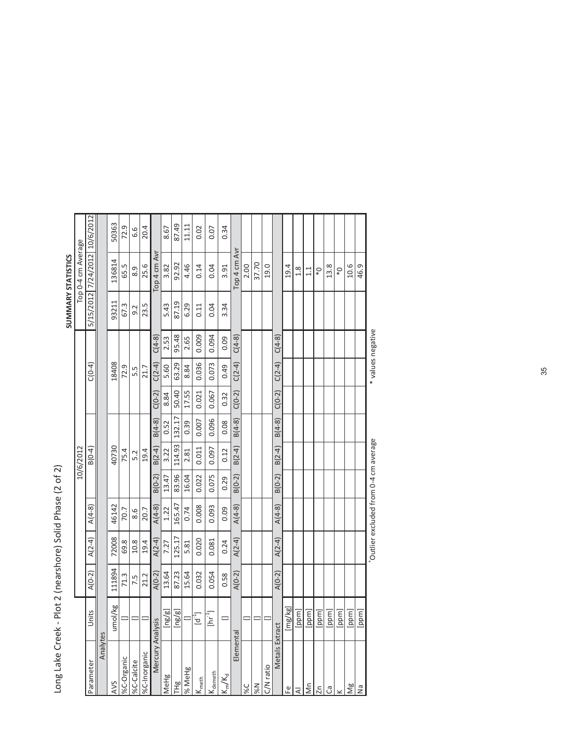| ı<br>Ï        |
|---------------|
|               |
|               |
| I<br>C        |
| C<br>C<br>ī   |
| ć             |
| 1<br>i        |
| ı<br>٢        |
| Ĺ<br>ı        |
| )<br>)<br>İ   |
| $\frac{1}{2}$ |
| J             |

|                        |                              |          |          |                                      |          |           |          |          |          |                   |       | SUMMARY STATISTICS            |       |
|------------------------|------------------------------|----------|----------|--------------------------------------|----------|-----------|----------|----------|----------|-------------------|-------|-------------------------------|-------|
|                        |                              |          |          |                                      |          | 10/6/2012 |          |          |          |                   |       | Top 0-4 cm Average            |       |
| Parameter              | Units                        | $A(0-2)$ | $A(2-4)$ | $A(4-8)$                             |          | $B(0-4)$  |          |          | $C(0-4)$ |                   |       | 5/15/2012 7/24/2012 10/6/2012 |       |
| Analytes               |                              |          |          |                                      |          |           |          |          |          |                   |       |                               |       |
| AVS                    | umol/kg                      | 111894   | 72008    | 46142                                |          | 40730     |          |          | 18408    |                   | 93211 | 136814                        | 50363 |
| %C-Organic             |                              | 71.3     | 69.8     | 70.7                                 |          | 75.4      |          |          | 72.9     |                   | 67.3  | 65.5                          | 72.9  |
| %C-Calcite             |                              | 7.5      | 10.8     | 8.6                                  |          | 5.2       |          |          | 5.5      |                   | 9.2   | 8.9                           | 6.6   |
| %C-Inorganic           |                              | 21.2     | 19.4     | 20.7                                 |          | 19.4      |          |          | 21.7     |                   | 23.5  | 25.6                          | 20.4  |
| Mercury Analysis       |                              | $A(0-2)$ | $A(2-4)$ | $A(4-8)$                             | $B(0-2)$ | $B(2-4)$  | $B(4-8)$ | $C(0-2)$ | $C(2-4)$ | $C(4-8)$          |       | Top 4 cm Avr                  |       |
| MeHg                   | [ng/g]                       | 13.64    | 7.27     | 1.22                                 | 13.47    | 3.22      | 0.52     | 8.84     | 5.60     | 2.53              | 5.43  | 3.82                          | 8.67  |
| TH <sub>g</sub>        | [ng/g]                       | 87.23    | 125.17   | 165.47                               | 83.96    | 114.93    | 132.17   | 50.40    | 63.29    | 95.48             | 87.19 | 92.92                         | 87.49 |
| % MeHg                 |                              | 15.64    | 5.81     | 0.74                                 | 16.04    | 2.81      | 0.39     | 17.55    | 8.84     | 2.65              | 6.29  | 4.46                          | 11.11 |
| $K_{\text{meth}}$      | id.<br>E                     | 0.032    | 0.020    | 0.008                                | 0.022    | 0.011     | 0.007    | 0.021    | 0.036    | 0.009             | 0.11  | 0.14                          | 0.02  |
| K <sub>demeth</sub>    | $[\mathsf{hr}^{\mathsf{T}}]$ | 0.054    | 0.081    | 0.093                                | 0.075    | 0.097     | 0.096    | 0.067    | 0.073    | 0.094             | 0.04  | 0.04                          | 0.07  |
| $K_m/K_d$              | =                            | 0.58     | 0.24     | 0.09                                 | 0.29     | 0.12      | 0.08     | 0.32     | 0.49     | 0.09              | 3.34  | 3.91                          | 0.34  |
| Elemental              |                              | $A(0-2)$ | $A(2-4)$ | $A(4-8)$                             | $B(0-2)$ | $B(2-4)$  | $B(4-8)$ | $C(0-2)$ | $C(2-4)$ | $C(4-8)$          |       | Top 4 cm Avr                  |       |
| s                      |                              |          |          |                                      |          |           |          |          |          |                   |       | 2.00                          |       |
|                        |                              |          |          |                                      |          |           |          |          |          |                   |       | 37.70                         |       |
| C/N ratio              |                              |          |          |                                      |          |           |          |          |          |                   |       | 19.0                          |       |
| Metals Extract         |                              | $A(0-2)$ | $A(2-4)$ | $A(4-8)$                             | $B(0-2)$ | $B(2-4)$  | $B(4-8)$ | $C(0-2)$ | $C(2-4)$ | $C(4-8)$          |       |                               |       |
| $\mathop{\mathbb{E}}$  | [mg/kg]                      |          |          |                                      |          |           |          |          |          |                   |       | 19.4                          |       |
| $\overline{\prec}$     | [ppm]                        |          |          |                                      |          |           |          |          |          |                   |       | 1.8                           |       |
| $\mathop{\mathsf{Mn}}$ | [ppm]                        |          |          |                                      |          |           |          |          |          |                   |       | 1.1                           |       |
| 2n                     | [ppm]                        |          |          |                                      |          |           |          |          |          |                   |       | $\mathsf{O}^*$                |       |
| ී                      | [ppm]                        |          |          |                                      |          |           |          |          |          |                   |       | 13.8                          |       |
| $\geq$                 | [ppm]                        |          |          |                                      |          |           |          |          |          |                   |       | $\mathbb{Q}^*$                |       |
| $\frac{8}{2}$          | [ppm]                        |          |          |                                      |          |           |          |          |          |                   |       | 10.6                          |       |
| Δã                     | [ppm]                        |          |          |                                      |          |           |          |          |          |                   |       | 46.9                          |       |
|                        |                              |          |          | Outlier excluded from 0-4 cm average |          |           |          |          |          | * values negative |       |                               |       |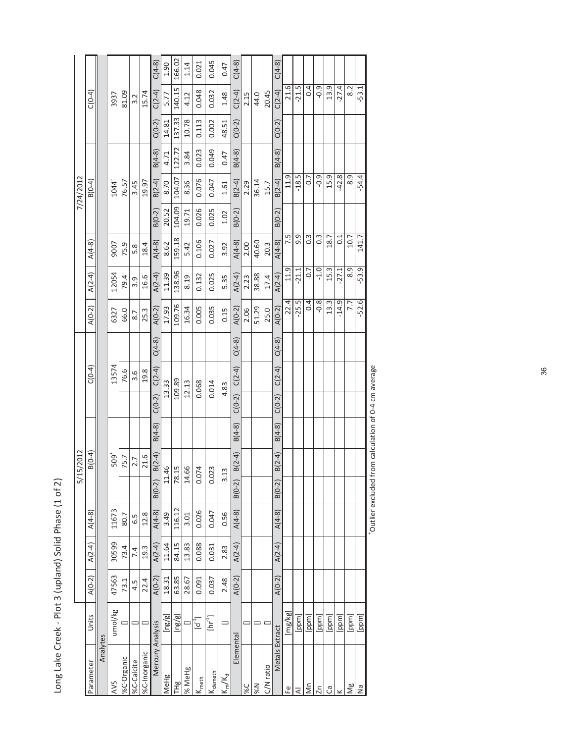| Ò<br>ï                           |
|----------------------------------|
|                                  |
| ;<br>                            |
|                                  |
|                                  |
| )<br>S<br>-                      |
|                                  |
|                                  |
| ć                                |
|                                  |
|                                  |
| ć                                |
|                                  |
|                                  |
| くらい                              |
|                                  |
|                                  |
|                                  |
|                                  |
|                                  |
|                                  |
| $\overline{a}$<br>$\overline{)}$ |
|                                  |
| $\frac{1}{6}$                    |
| Ï                                |
|                                  |
|                                  |
| ;<br>)<br>í                      |
| ;<br>ı                           |
|                                  |
|                                  |
|                                  |
|                                  |
| ū<br>J                           |
|                                  |
| パクーク                             |

|                   |                                          |          |          |          | 으              | 15/2012        |          |          |          |          |          |          |                  |          | 7/24/2012        |          |          |          |          |
|-------------------|------------------------------------------|----------|----------|----------|----------------|----------------|----------|----------|----------|----------|----------|----------|------------------|----------|------------------|----------|----------|----------|----------|
| Parameter         | Units                                    | $A(0-2)$ | $A(2-4)$ | $A(4-8)$ |                | $B(0-4)$       |          |          | $C(0-4)$ |          | $A(0-2)$ | $A(2-4)$ | $A(4-8)$         |          | $B(0-4)$         |          |          | $C(0-4)$ |          |
| Analytes          |                                          |          |          |          |                |                |          |          |          |          |          |          |                  |          |                  |          |          |          |          |
| <b>AVS</b>        | umol/kg                                  | 47563    | 30599    | 11673    |                | $509+$         |          |          | 13574    |          | 6327     | 12054    | 9007             |          | $1044^{+}$       |          |          | 3937     |          |
| %C-Organic        |                                          | 73.1     | 73.4     | 80.7     |                | 75.7           |          |          | 76.6     |          | 66.0     | 79.4     | 75.9             |          | 76.57            |          |          | 81.09    |          |
| %C-Calcite        |                                          | 4.5      | 7.4      | 6.5      |                | 2.7            |          |          | 3.6      |          | 8.7      | 3.9      | 5.8              |          | 3.45             |          |          | 3.2      |          |
| %C-Inorganic      |                                          | 22.4     | 19.3     | 12.8     |                | 21.6           |          |          | 19.8     |          | 25.3     | 16.6     | 18.4             |          | 19.97            |          |          | 15.74    |          |
| Mercury Analysis  |                                          | $A(0-2)$ | $A(2-4)$ | $A(4-8)$ | $B(0-2)$       | $B(2-4)$       | $B(4-8)$ | $C(0-2)$ | $C(2-4)$ | $C(4-8)$ | $A(0-2)$ | $A(2-4)$ | $A(4-8)$         | $B(0-2)$ | $B(2-4)$         | $B(4-8)$ | $C(0-2)$ | $C(2-4)$ | $C(4-8)$ |
| MeHg              | $\lbrack \mathsf{ng}/\mathsf{g} \rbrack$ | 18.31    | 11.64    | 3.49     | $\Xi$          | 46             |          |          | 13.33    |          | 17.93    | 11.39    | 8.62             | 20.52    | 8.70             | 4.71     | 14.81    | 5.77     | 1.90     |
| 巴<br>巴            | [ng/g]                                   | 63.85    | 84.15    | 116.12   |                | 78.15          |          |          | 109.89   |          | 109.76   | 138.96   | 159.18           | 104.09   | 104.07           | 122.72   | 137.33   | 140.15   | 166.02   |
| % MeHg            |                                          | 28.67    | 13.83    | 3.01     | $\overline{1}$ | .66            |          |          | 12.13    |          | 16.34    | 8.19     | 5.42             | 19.71    | 8.36             | 3.84     | 10.78    | 4.12     | 1.14     |
| $K_{\text{meth}}$ | Ē                                        | 0.091    | 0.088    | 0.026    |                | 0.074          |          | 0.068    |          |          | 0.005    | 0.132    | 0.106            | 0.026    | 0.076            | 0.023    | 0.113    | 0.048    | 0.021    |
| demeth            | .<br>E                                   | 0.037    | 0.031    | 0.047    |                | 0.023          |          |          | 0.014    |          | 0.035    | 0.025    | 0.027            | 0.025    | 0.047            | 0.049    | 0.002    | 0.032    | 0.045    |
| $K_m/K_d$         | =                                        | 2.48     | 2.83     | 0.56     | ന്             | $\frac{13}{2}$ |          | 4.83     |          |          | 0.15     | 5.35     | 3.92             | 1.02     | 1.61             | 0.47     | 48.51    | 1.48     | 0.47     |
| Elemental         |                                          | $A(0-2)$ | $A(2-4)$ | $A(4-8)$ | $B(0-2)$       | $B(2-4)$       | $B(4-8)$ | $C(0-2)$ | $C(2-4)$ | $C(4-8)$ | $A(0-2)$ | $A(2-4)$ | $A(4-8)$         | $B(0-2)$ | $B(2-4)$         | $B(4-8)$ | $C(0-2)$ | $C(2-4)$ | $C(4-8)$ |
| 9%C               |                                          |          |          |          |                |                |          |          |          |          | 2.06     | 2.23     | 2.00             |          | 2.29             |          |          | 2.15     |          |
| N%                |                                          |          |          |          |                |                |          |          |          |          | 51.29    | 38.88    | 40.60            |          | 36.14            |          |          | 44.0     |          |
| C/N ratio         |                                          |          |          |          |                |                |          |          |          |          | 25.0     | 17.4     | 20.3             |          | 15.7             |          |          | 20.45    |          |
| Metals Extract    |                                          | $A(0-2)$ | $A(2-4)$ | $A(4-8)$ | $B(0-2)$       | $B(2-4)$       | $B(4-8)$ | $C(0-2)$ | $C(2-4)$ | $C(4-8)$ | $A(0-2)$ | $A(2-4)$ | $A(4-8)$         | $B(0-2)$ | $B(2-4)$         | $B(4-8)$ | $C(0-2)$ | $C(2-4)$ | $C(4-8)$ |
| Ψ                 | [mg/kg <sup>:</sup>                      |          |          |          |                |                |          |          |          |          | 22.4     | 11.9     | 7.5              |          | 11.9             |          |          | 21.6     |          |
| ⋜                 | [ppm]                                    |          |          |          |                |                |          |          |          |          | $-25.5$  | $-21.1$  | o.               |          | $-18.5$          |          |          | $-21.5$  |          |
| δn                | [ppm]                                    |          |          |          |                |                |          |          |          |          | $-0.4$   | $-0.7$   | $0.\overline{3}$ |          | $-0.7$           |          |          | $-0.4$   |          |
| $\overline{2n}$   | [ppm]                                    |          |          |          |                |                |          |          |          |          | $-0.8$   | $-1.0$   | $0.\overline{3}$ |          | $-0.9$           |          |          | $-0.9$   |          |
| ී                 | [ppm]                                    |          |          |          |                |                |          |          |          |          | 13.3     | 15.3     | 18.7             |          | 15.9             |          |          | 13.9     |          |
|                   | [ppm]                                    |          |          |          |                |                |          |          |          |          | $-14.9$  | $-27.1$  | C <sub>1</sub>   |          | $-42.8$          |          |          | $-27.4$  |          |
| Ng                | [ppm]                                    |          |          |          |                |                |          |          |          |          | 7.7      | 8.9      | 10.7             |          | $\overline{8.9}$ |          |          | 8.2      |          |
| Σâ                | [ppm]                                    |          |          |          |                |                |          |          |          |          | $-52.6$  | $-53.9$  | 141.7            |          | $-54.4$          |          |          | $-53.1$  |          |

\*Outlier excluded from calculation of 0-4 cm average +Outlier excluded from calculation of 0-4 cm average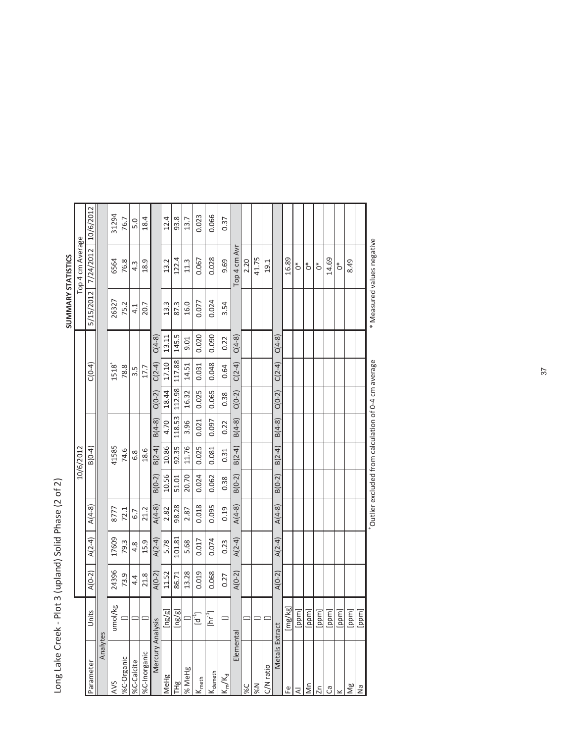|                                                  |                    |          |          |          |          |           |          |          |                  |          | SUMMARY STATISTICS |                  |           |
|--------------------------------------------------|--------------------|----------|----------|----------|----------|-----------|----------|----------|------------------|----------|--------------------|------------------|-----------|
|                                                  |                    |          |          |          |          | 10/6/2012 |          |          |                  |          |                    | Top 4 cm Average |           |
| Parameter                                        | Jnits              | $A(0-2)$ | $A(2-4)$ | $A(4-8)$ |          | $B(0-4)$  |          |          | $C(0-4)$         |          | 5/15/2012          | 7/24/2012        | 10/6/2012 |
| Analytes                                         |                    |          |          |          |          |           |          |          |                  |          |                    |                  |           |
| AVS                                              | umol/kg            | 24396    | 17609    | 8777     |          | 41585     |          |          | $1518^{+}$       |          | 26327              | 6564             | 31294     |
| %C-Organic                                       |                    | 73.9     | 79.3     | 72.1     |          | 74.6      |          |          | 78.8             |          | 75.2               | 76.8             | 76.7      |
| %C-Calcite                                       |                    | 4.4      | 4.8      | 6.7      |          | 6.8       |          |          | $3.\overline{5}$ |          | 4.1                | 4.3              | 5.0       |
| %C-Inorganic                                     |                    | 21.8     | 15.9     | 21.2     |          | 18.6      |          |          | 17.7             |          | 20.7               | 18.9             | 18.4      |
| Mercury Analysis                                 |                    | $A(0-2)$ | $A(2-4)$ | $A(4-8)$ | $B(0-2)$ | $B(2-4)$  | $B(4-8)$ | $C(0-2)$ | $C(2-4)$         | $C(4-8)$ |                    |                  |           |
| <b>IMeHg</b>                                     | la/al              | 11.52    | 5.78     | 2.82     | 10.56    | 10.86     | 4.70     | 18.44    | 17.10            | 13.11    | 13.3               | 13.2             | 12.4      |
| THg                                              | la/al              | 86.71    | 101.81   | 98.28    | 51.01    | 92.35     | 118.53   | 112.98   | 117.88           | 145.5    | 87.3               | 122.4            | 93.8      |
| % MeHg                                           |                    | 13.28    | 5.68     | 2.87     | 20.70    | 11.76     | 3.96     | 16.32    | 14.51            | 9.01     | 16.0               | 11.3             | 13.7      |
| $\frac{1}{\sqrt{\frac{2}{n}}\sqrt{\frac{1}{n}}}$ | $\mathsf{d}^1$     | 0.019    | 0.017    | 0.018    | 0.024    | 0.025     | 0.021    | 0.025    | 0.031            | 0.020    | 0.077              | 0.067            | 0.023     |
| <b>K</b> demeth                                  | hr <sup>-1</sup> ] | 0.068    | 0.074    | 0.095    | 0.062    | 0.081     | 0.097    | 0.065    | 0.048            | 0.090    | 0.024              | 0.028            | 0.066     |
| $K_m/K_d$                                        |                    | 0.27     | 0.23     | 0.19     | 0.38     | 0.31      | 0.22     | 0.38     | 0.64             | 0.22     | 3.54               | 9.69             | 0.37      |
| Elemental                                        |                    | $A(0-2)$ | $A(2-4)$ | $A(4-8)$ | $B(0-2)$ | $B(2-4)$  | $B(4-8)$ | $C(0-2)$ | $C(2-4)$         | $C(4-8)$ |                    | Top 4 cm Avr     |           |
| 9%                                               |                    |          |          |          |          |           |          |          |                  |          |                    | 2.20             |           |
| N%                                               |                    |          |          |          |          |           |          |          |                  |          |                    | 41.75            |           |
| C/N ratio                                        |                    |          |          |          |          |           |          |          |                  |          |                    | 19.1             |           |
| Metals Extract                                   |                    | $A(0-2)$ | $A(2-4)$ | $A(4-8)$ | $B(0-2)$ | $B(2-4)$  | $B(4-8)$ | $C(0-2)$ | $C(2-4)$         | $C(4-8)$ |                    |                  |           |
| 운                                                | [mg/kg]            |          |          |          |          |           |          |          |                  |          |                    | 16.89            |           |
| ₹                                                | [ppm]              |          |          |          |          |           |          |          |                  |          |                    | ្លែ              |           |
| δm                                               | [ppm]              |          |          |          |          |           |          |          |                  |          |                    | $\zeta$          |           |
| $\overline{z}$                                   | [ppm]              |          |          |          |          |           |          |          |                  |          |                    | $\sum_{i=1}^{n}$ |           |
| ී                                                | [ppm]              |          |          |          |          |           |          |          |                  |          |                    | 14.69            |           |
|                                                  | [ppm]              |          |          |          |          |           |          |          |                  |          |                    | $\circ$          |           |
| Ng                                               | [ppm]              |          |          |          |          |           |          |          |                  |          |                    | 8.49             |           |
| $\overline{\mathsf{z}}$                          | [ppm]              |          |          |          |          |           |          |          |                  |          |                    |                  |           |

+Outlier excluded from calculation of 0-4 cm average \* Measured values negative

\*Outlier excluded from calculation of 0-4 cm average

\* Measured values negative

[ppm]<br>[ppm]

Long Lake Creek - Plot 3 (upland) Solid Phase (2 of 2) Long Lake Creek - Plot 3 (upland) Solid Phase (2 of 2)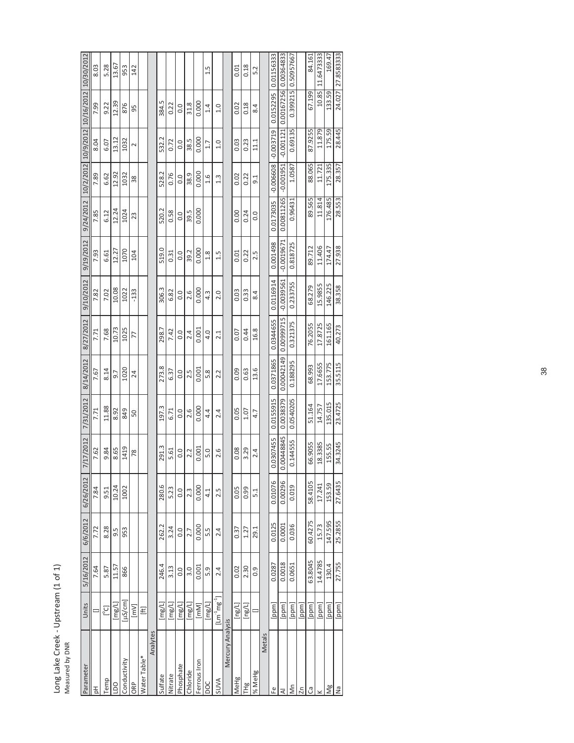| ć<br>$\leq$ |
|-------------|
|             |
|             |

|                                           | 8.03 | 5.28  | 13.67          | 953           | 142                                                                                                                                                                                                                                                                    |              |          |         |         |           |          |              | 1.5           |                          |                  | 0.01   | 0.18                      | 5.2              |        |                      |                       | 0.50957667 |                 | 84.161  | 11.6473333 | 169.47  | 27.8583333 |
|-------------------------------------------|------|-------|----------------|---------------|------------------------------------------------------------------------------------------------------------------------------------------------------------------------------------------------------------------------------------------------------------------------|--------------|----------|---------|---------|-----------|----------|--------------|---------------|--------------------------|------------------|--------|---------------------------|------------------|--------|----------------------|-----------------------|------------|-----------------|---------|------------|---------|------------|
| 10/2/2012 10/9/2012 10/16/2012 10/30/2012 | 7.99 | 9.22  | 12.39          | 876           | 95                                                                                                                                                                                                                                                                     |              |          | 384.5   | 0.22    | 0.0       | 31.8     | 0.000        | 1.4           | 1.0                      |                  | 0.02   | 0.18                      | 8.4              |        | 0.0152295 0.01156333 | 0.00167256 0.00364833 | 0.399215   |                 | 67.199  | 10.85      | 133.59  | 24.027     |
|                                           | 8.04 | 6.07  | 13.12          | 1032          | $\sim$                                                                                                                                                                                                                                                                 |              |          | 532.2   | 0.72    | 0.0       | 38.5     | 0.000        | 1.7           | 1.0                      |                  | 0.03   | 0.23                      | 11.1             |        | $-0.003719$          | $-0.001121$           | 0.69135    |                 | 87.9255 | 11.879     | 175.59  | 28.445     |
|                                           | 7.89 | 6.62  | 12.92          | 1032          | 38                                                                                                                                                                                                                                                                     |              |          | 528.2   | 0.76    | 0.0       | 38.9     | 0.000        | $\frac{6}{1}$ | $1.\overline{3}$         |                  | 0.02   | 0.22                      | $\frac{1}{9}$    |        | $-0.006608$          | $-0.001951$           | 1.0587     |                 | 88.065  | 11.721     | 175.335 | 28.357     |
| 9/24/2012                                 | 7.85 | 6.12  | 12.24          | 1024          | 23                                                                                                                                                                                                                                                                     |              |          | 520.2   | 0.58    | 0.0       | 39.5     | 0.000        |               |                          |                  | 0.00   | 0.24                      | 0.0              |        | 0.0173035            | 0.00811265            | 0.96431    |                 | 89.565  | 11.814     | 176.485 | 28.553     |
| 9/19/2012                                 | 7.93 | 6.61  | 12.27          | 1070          | 104                                                                                                                                                                                                                                                                    |              |          | 519.0   | 0.31    | 0.0       | 39.2     | 0.000        | 1.8           | 1.5                      |                  | 0.01   | 0.22                      | 2.5              |        | 0.001498             | $-0.0019671$          | 0.818725   |                 | 89.712  | 11.406     | 174.47  | 27.938     |
| 9/10/2012                                 | 7.82 | 7.02  | 10.08          | 1022          | $-133$                                                                                                                                                                                                                                                                 |              |          | 306.3   | 6.82    | 0.0       | 2.6      | 0.000        | 4.3           | 2.0                      |                  | 0.03   | 0.33                      | 8.4              |        | 0.0116914            | $-0.0039561$          | 0.233755   |                 | 68.279  | 15.9855    | 146.225 | 38.358     |
| 8/27/2012                                 | 7.71 | 7.68  | 10.73          | 1025          | 77                                                                                                                                                                                                                                                                     |              |          | 298.7   | 7.42    | 0.0       | 2.4      | 0.001        | 4.0           | 2.1                      |                  | 0.07   | 0.44                      | 16.8             |        | 0.0344655            | 0.00999715            | 0.321375   |                 | 76.2055 | 17.8725    | 161.165 | 40.273     |
| 8/14/2012                                 | 7.67 | 8.14  | 9.7            | 1020          | 24                                                                                                                                                                                                                                                                     |              |          | 273.8   | 6.37    | 0.0       | 2.5      | 0.001        | 5.8           | 2.2                      |                  | 0.09   | 0.63                      | 13.6             |        | 0.0371865            | 0.00042149            | 0.188295   |                 | 68.993  | 17.6655    | 153.775 | 35.5115    |
| 7/31/2012                                 | 7.71 | 11.88 | 8.92           | 849           | 50                                                                                                                                                                                                                                                                     |              |          | 197.3   | 6.71    | 0.0       | 2.6      | 0.000        | 4.4           | 2.4                      |                  | 0.05   | 1.07                      | 4.7              |        | 0.0155915            | 0.0038379             | 0.0540205  |                 | 51.164  | 14.757     | 135.015 | 23.4725    |
| 7/17/2012                                 | 7.62 | 9.84  | 8.65           | 1419          | 78                                                                                                                                                                                                                                                                     |              |          | 291.3   | 5.61    | 0.0       | 2.2      | 0.001        | 5.0           | 2.6                      |                  | 0.08   | 3.29                      | 2.4              |        | 0.0307455            | 0.00448845            | 0.144555   |                 | 66.9055 | 18.3385    | 155.55  | 34.3245    |
| 6/26/2012                                 | 7.84 | 9.51  | 10.24          | 1002          |                                                                                                                                                                                                                                                                        |              |          | 280.6   | 5.23    | 0.0       | 2.3      | 0.000        | 4.1           | 2.5                      |                  | 0.05   | 0.99                      | 5.1              |        | 0.01076              | 0.00296               | 0.019      |                 | 58.4105 | 17.241     | 153.59  | 27.6435    |
| 6/6/2012                                  | 7.72 | 8.28  | 9.5            | 953           |                                                                                                                                                                                                                                                                        |              |          | 262.2   | 3.24    | 0.0       | 2.7      | 0.000        | 5.5           | 2.4                      |                  | 0.37   | 1.27                      | 29.1             |        | 0.0125               | 0.0001                | 0.036      |                 | 60.4275 | 15.73      | 147.595 | 25.2855    |
| 5/16/2012                                 | 7.64 | 5.87  | 11.57          | 866           |                                                                                                                                                                                                                                                                        |              |          | 246.4   | 3.13    | 0.0       | 3.0      | 0.001        | 5.9           | 2.4                      |                  | 0.02   | 2.30                      | $\overline{0}$ . |        | 0.0287               | 0.0018                | 0.0651     |                 | 63.8045 | 14.4785    | 130.4   | 27.755     |
| Units                                     |      | [°c]  | [mg/L]         | $[{\mu}S/cm]$ | $[NN] % \begin{center} % {\includegraphics[width=0.5\textwidth]{figs/figs-matrices.png} \caption{The image shows the number of parameters of the data and the number of data are shown in the left and the number of data are shown in the right.} \label{fig:smat} %$ | E            |          | [mg/L]  | [mg/L]  | [mg/L]    | [mg/L]   | [mm]         | [mg/L]        | $[{\sf Lm}^1{\sf mg}^1]$ |                  | [ng/L] | $\lfloor \log(1) \rfloor$ |                  |        | [ppm]                | [ppm]                 | [ppm]      | [ppm]           | [ppm]   | [ppm]      | [ppm]   | [ppm]      |
| Parameter                                 | 공    | Temp  | $\overline{a}$ | Conductivity  | <b>ORP</b>                                                                                                                                                                                                                                                             | Water Table* | Analytes | Sulfate | Nitrate | Phosphate | Chloride | Ferrous Iron | DOC           | <b>SUVA</b>              | Mercury Analysis | MeHg   | 出<br>上                    | 1% MeHg          | Metals | Ψ                    | ₹                     | Ś          | $\overline{2n}$ | ී       |            | Ng      | Σã         |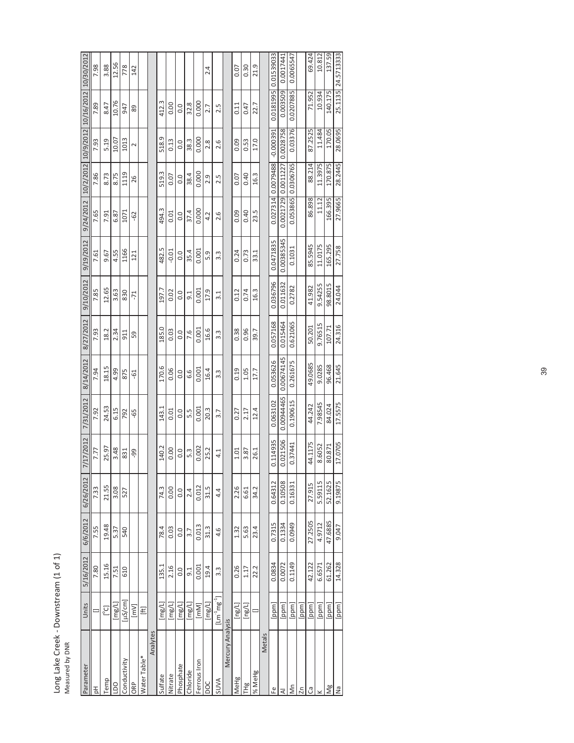| ł<br>$\ddot{\phantom{0}}$<br>mstream<br>Ï<br>؟<br>م<br>j<br>$\mathfrak{a}$ |  |
|----------------------------------------------------------------------------|--|
| ong                                                                        |  |

|                                           | 7.98 | 3.88  | 12.56                         | 778          | 142    |              |          |         |         |           |               |              | 2.4    |                                                    |                  | 0.07   | 0.30   | 21.9   |        | 0.01539033  | 0.0017441  | 0.0065547 |       | 69.424  | 10.812  | 137.59  | 25.1135 24.5713333 |
|-------------------------------------------|------|-------|-------------------------------|--------------|--------|--------------|----------|---------|---------|-----------|---------------|--------------|--------|----------------------------------------------------|------------------|--------|--------|--------|--------|-------------|------------|-----------|-------|---------|---------|---------|--------------------|
| 10/2/2012 10/9/2012 10/16/2012 10/30/2012 | 7.89 | 8.47  | 10.76                         | 947          | 89     |              |          | 412.3   | 0.00    | 0.0       | 32.8          | 0.000        | 2.7    | 2.5                                                |                  | 0.11   | 0.47   | 22.7   |        | 0.0181995   | 0.003509   | 0.0207885 |       | 71.952  | 10.934  | 140.175 |                    |
|                                           | 7.93 | 5.19  | 10.07                         | 1013         | $\sim$ |              |          | 518.9   | 0.13    | 0.0       | 38.3          | 0.000        | 2.8    | 2.6                                                |                  | 0.09   | 0.53   | 17.0   |        | $-0.000391$ | 0.0028758  | 0.03376   |       | 87.2525 | 11.484  | 170.05  | 28.0695            |
|                                           | 7.86 | 8.73  | 8.75                          | 1119         | 26     |              |          | 519.3   | 0.07    | 0.0       | 38.4          | 0.000        | 2.9    | 2.5                                                |                  | 0.07   | 0.40   | 16.3   |        | 0.0079488   | 0.0011227  | 0.0306765 |       | 88.214  | 11.3975 | 170.875 | 28.2445            |
| 9/24/2012                                 | 7.65 | 7.91  | 6.87                          | 1071         | $-62$  |              |          | 494.3   | 0.01    | 0.0       | 37.4          | 0.000        | 4.2    | 2.6                                                |                  | 0.09   | 0.40   | 23.5   |        | 0.027314    | 0.0021729  | 0.053865  |       | 86.898  | 11.12   | 166.395 | 27.9665            |
| 9/19/2012                                 | 7.61 | 9.67  | 4.55                          | 1166         | 121    |              |          | 482.5   | $-0.01$ | 0.0       | 35.4          | 0.001        | 5.9    | 3.3                                                |                  | 0.24   | 0.73   | 33.1   |        | 0.0471835   | 0.00385345 | 0.1031    |       | 85.5945 | 11.0175 | 165.295 | 27.758             |
| 9/10/2012                                 | 7.85 | 12.65 | 3.63                          | 830          | $-71$  |              |          | 197.7   | 0.02    | 0.0       | $\frac{1}{9}$ | 0.001        | 17.9   | 3.1                                                |                  | 0.12   | 0.74   | 16.3   |        | 0.036796    | 0.011632   | 0.2782    |       | 41.982  | 9.54255 | 98.8015 | 24.044             |
| 8/27/2012                                 | 7.93 | 18.2  | 2.34                          | 911          | 59     |              |          | 185.0   | 0.03    | 0.0       | 7.6           | 0.001        | 16.6   | 3.3                                                |                  | 0.38   | 0.96   | 39.7   |        | 0.057168    | 0.015464   | 0.621065  |       | 50.201  | 9.76515 | 107.71  | 24.316             |
| 8/14/2012                                 | 7.94 | 18.15 | 4.99                          | 875          | $-61$  |              |          | 170.6   | 0.06    | 0.0       | 6.6           | 0.001        | 16.4   | 3.3                                                |                  | 0.19   | 1.05   | 17.7   |        | 0.053626    | 0.00674145 | 0.261675  |       | 49.0685 | 9.0285  | 96.468  | 21.645             |
| 7/31/2012                                 | 7.92 | 24.53 | 6.15                          | 792          | -65    |              |          | 143.1   | 0.01    | 0.0       | 5.3           | 0.001        | 20.3   | 3.7                                                |                  | 0.27   | 2.17   | 12.4   |        | 0.063102    | 0.00944465 | 0.190615  |       | 44.242  | 7.98545 | 84.024  | 17.5575            |
| 7/17/2012                                 | 7.77 | 25.97 | 3.48                          | 831          | 99     |              |          | 140.2   | 0.00    | 0.0       | 5.3           | 0.002        | 25.2   | 4.1                                                |                  | 1.01   | 3.87   | 26.1   |        | 0.114935    | 0.021506   | 0.37441   |       | 44.1175 | 8.6052  | 80.871  | 17.0705            |
| 6/26/2012                                 | 7.33 | 21.55 | 3.08                          | 527          |        |              |          | 74.3    | 0.00    | 0.0       | 2.4           | 0.012        | 31.5   | 4.4                                                |                  | 2.26   | 6.61   | 34.2   |        | 0.64312     | 0.10508    | 0.16331   |       | 27.915  | 5.59115 | 52.1625 | 9.19875            |
| 6/6/2012                                  | 7.55 | 19.48 | 5.37                          | 540          |        |              |          | 78.4    | 0.03    | 0.0       | 3.7           | 0.013        | 31.3   | 4.6                                                |                  | 1.32   | 5.63   | 23.4   |        | 0.7315      | 0.1334     | 0.0949    |       | 27.2505 | 4.9712  | 47.6885 | 9.047              |
| 5/16/2012                                 | 7.80 | 15.16 | 7.51                          | 610          |        |              |          | 135.1   | 2.16    | 0.0       | $\frac{1}{9}$ | 0.001        | 19.4   | $3.\overline{3}$                                   |                  | 0.26   | 1.17   | 22.2   |        | 0.0834      | 0.0072     | 0.1149    |       | 42.122  | 6.6571  | 61.262  | 14.328             |
| Units                                     |      | [°C]  | $\lbrack \text{mg/L} \rbrack$ | $[\mu S/cm]$ | $[mv]$ | E            |          | [mg/L]  | [mg/L]  | [mg/L]    | [mg/L]        | [mm]         | [mg/L] | $[{\sf Lm}^{\text{-1}}{\sf m}{\sf g}^{\text{-1}}]$ |                  | [mg/L] | [ng/L] |        |        | [ppm]       | [ppm]      | [ppm]     | [ppm] | [ppm]   | [ppm]   | [ppm]   | [ppm]              |
| Parameter                                 | 공    | Temp  | $\overline{a}$                | Conductivity | ORP    | Water Table* | Analytes | Sulfate | Nitrate | Phosphate | Chloride      | Ferrous Iron | DOC    | SUVA                                               | Mercury Analysis | MeHg   | THg    | % MeHg | Metals | Ψ           | ₹          | δñ        | Σn    | ී       |         | Ng      | Σã                 |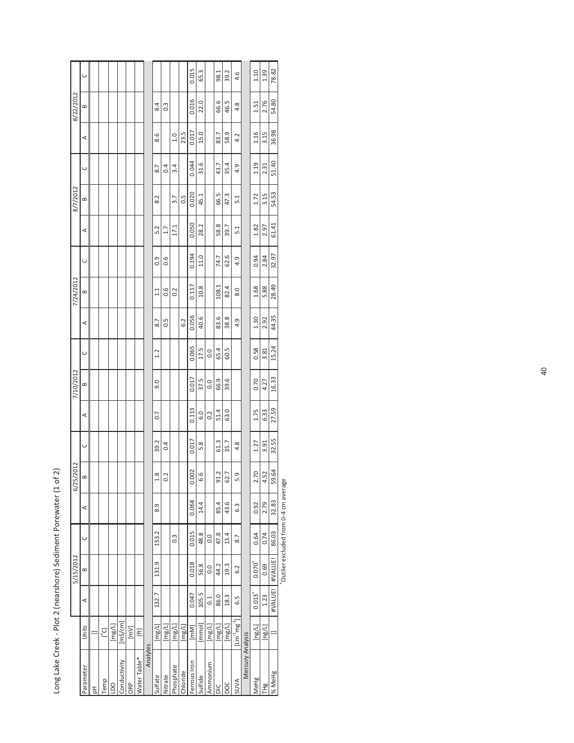Long Lake Creek - Plot 2 (nearshore) Sediment Porewater (1 of 2) Long Lake Creek - Plot 2 (nearshore) Sediment Porewater (1 of 2)

<sup>+</sup>Outlier excluded from 0-4 cm average +Outlier excluded from 0-4 cm average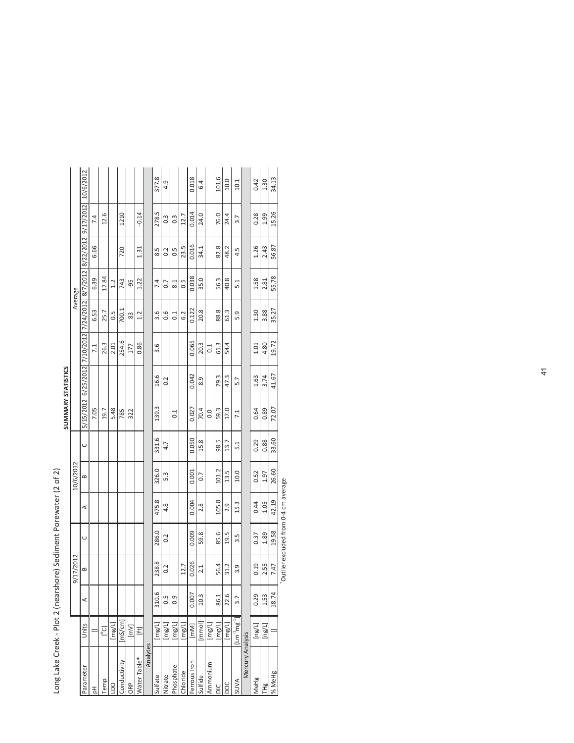| J<br>1                             |
|------------------------------------|
| )<br>l<br>j<br>¢                   |
| j                                  |
| J                                  |
|                                    |
| Ï                                  |
|                                    |
|                                    |
|                                    |
|                                    |
| ı<br>١                             |
| í                                  |
| I<br>١                             |
| Į<br>d                             |
| Ì<br>J                             |
| $\overline{\phantom{a}}$<br>Ï<br>Ï |
| j<br>١                             |
| I<br>$\overline{ }$<br>i<br>ı      |
| ı                                  |
| í<br>١<br>ׇ֠                       |
| u<br>ļ<br>l<br>Ì<br>۱              |
| j<br>֡֡֡                           |

|                  |                                          |                  |           |        |       |              |               | <b>SUMMARY STATISTICS</b> |       |                   |                  |                        |       |                  |           |
|------------------|------------------------------------------|------------------|-----------|--------|-------|--------------|---------------|---------------------------|-------|-------------------|------------------|------------------------|-------|------------------|-----------|
|                  |                                          |                  | 9/17/2012 |        |       | 10/6/2012    |               |                           |       |                   |                  | Average                |       |                  |           |
| Parameter        | Units                                    | ⋖                | $\approx$ | $\cup$ | ⋖     | $\mathbf{r}$ | $\cup$        |                           |       |                   |                  |                        |       |                  | 10/6/2012 |
| 공                |                                          |                  |           |        |       |              |               | 7.05                      |       | 7.1               | 6.53             | 6.39                   | 6.66  | 7.4              |           |
| Temp             | [3]                                      |                  |           |        |       |              |               | 19.7                      |       | 26.3              | 25.7             | 17.84                  |       | 12.6             |           |
| <b>DO</b>        | $\lbrack \mathsf{mg/L} \rbrack$          |                  |           |        |       |              |               | 5.48                      |       | 2.01              | 0.5              | 1.2                    |       |                  |           |
| Conductivity     | mS/cm                                    |                  |           |        |       |              |               | 785                       |       | 254.6             | 700.1            | 743                    | 720   | 1210             |           |
| ORP              | $\lceil mV \rceil$                       |                  |           |        |       |              |               | 322                       |       | 177               | 83               | -95                    |       |                  |           |
| Water Table*     | E                                        |                  |           |        |       |              |               |                           |       | 0.86              | 1.2              | 1.22                   | 1.31  | $-0.14$          |           |
| Analytes         |                                          |                  |           |        |       |              |               |                           |       |                   |                  |                        |       |                  |           |
| Sulfate          | $\lbrack \mathsf{mg/L} \rbrack$          | 310.6            | 238.8     | 286.0  | 475.8 | 326.0        | 331.6         | 139.3                     | 16.6  | 3.6               | 3.6              | 7.4                    | 5.8   | 278.5            | 377.8     |
| Nitrate          | $\lbrack \mathsf{mg/L} \rbrack$          | $\frac{5}{2}$    | 0.2       | 0.2    | 4.8   | 5.3          | 4.7           |                           | 0.2   |                   | 0.6              | 0.7                    | 0.2   | $0.\overline{3}$ | 4.9       |
| Phosphate        | $\lbrack \mathsf{img}/\mathsf{L}\rbrack$ | $\overline{0}$ . |           |        |       |              |               | $\overline{0}$ :1         |       |                   | $\overline{0.1}$ | $\approx$ <sup>1</sup> | 0.5   | $0.\overline{3}$ |           |
| Chloride         | $\lbrack\mathsf{msg/L}\rbrack$           |                  | 12.7      |        |       |              |               |                           |       |                   | 6.2              | 0.5                    | 23.5  | 12.7             |           |
| Ferrous Iron     | $\left[\mathsf{mm}\right]$               | 0.007            | 0.026     | 0.009  | 0.004 | 0.001        | 0.050         | 0.027                     | 0.042 | 0.065             | 0.122            | 0.038                  | 0.016 | 0.014            | 0.018     |
| Sulfide          | mmol                                     | 10.3             | 2.1       | 59.8   | 2.8   | 0.7          | 15.8          | 70.4                      | 8.9   | 20.3              | 20.8             | 35.0                   | 34.1  | 24.0             | 6.4       |
| Ammonium         | $\lbrack \mathsf{mg/L} \rbrack$          |                  |           |        |       |              |               | 0.0                       |       | $\overline{0}$ :1 |                  |                        |       |                  |           |
| ŏ                | $\lbrack\mathsf{mg/L}\rbrack$            | 86.1             | 56.4      | 85.6   | 105.0 | 101.2        | 98.5          | 59.3                      | 79.3  | 61.3              | 88.8             | 56.3                   | 82.8  | 76.0             | 101.6     |
| poc              | [mg/L]                                   | 22.6             | 31.2      | 19.5   | 2.9   | 13.5         | 13.7          | 17.0                      | 47.3  | 54.4              | 61.3             | 40.8                   | 48.2  | 24.4             | 10.0      |
| <b>AVVIS</b>     | $[Im-1mg-1]$                             | 3.7              | 3.9       | 3.5    | 15.3  | 10.0         | $\frac{1}{2}$ | 7.1                       | 5.7   |                   | 5.9              | $\frac{1}{2}$          | 4.5   | 3.7              | 10.1      |
| Mercury Analysis |                                          |                  |           |        |       |              |               |                           |       |                   |                  |                        |       |                  |           |
| MeHg             | $\lbrack \log/L \rbrack$                 | 0.29             | 0.19      | 0.37   | 0.44  | 0.52         | 0.29          | 0.64                      | 1.63  | 1.01              | 1.30             | 1.58                   | 1.26  | 0.28             | 0.42      |
| 出<br>上           | [ng/L]                                   | 1.53             | 2.55      | 1.89   | 1.05  | 1.97         | 0.88          | 0.89                      | 3.74  | 4.80              | 3.88             | 2.81                   | 2.43  | 1.99             | 1.30      |
| % MeHg           |                                          | 18.74            | 7.47      | 19.58  | 42.19 | 26.60        | 33.60         | 72.07                     | 41.67 | 19.72             | 35.27            | 55.78                  | 56.87 | 15.26            | 34.13     |

7.47  $\begin{array}{|c|c|c|} \hline \text{7.47} & 19.58 & 42.19 & 26.60 \ \hline \text{7} & \text{7} & \text{7} & \text{8} \end{array}$ +Outlier excluded from 0-4 cm average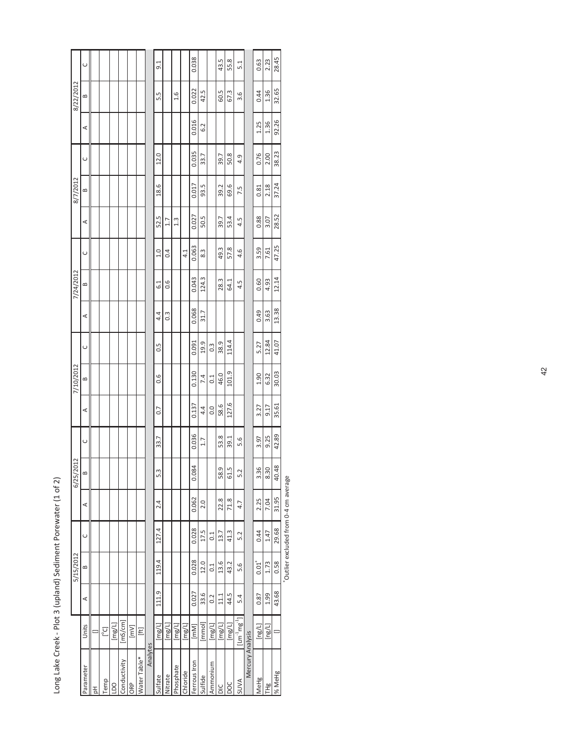| 8/22/2012 | $\cup$<br>≃<br>⋖       |   |      |           |              |      |              |          | 9.1<br>5.5             |                                 | 1.6           |                                 | 0.038<br>0.022<br>0.016 | 42.5<br>6.2    |                                       | 43.5<br>60.5   | 55.8<br>67.3   | 5.1<br>3.6                                        |                  | 0.63<br>0.44<br>1.25 | 2.23<br>1.36<br>1.36              |
|-----------|------------------------|---|------|-----------|--------------|------|--------------|----------|------------------------|---------------------------------|---------------|---------------------------------|-------------------------|----------------|---------------------------------------|----------------|----------------|---------------------------------------------------|------------------|----------------------|-----------------------------------|
|           | $\cup$                 |   |      |           |              |      |              |          | 12.0                   |                                 |               |                                 | 0.035                   | 33.7           |                                       | 39.7           | 50.8           | 4.9                                               |                  | 0.76                 | 2.00                              |
| 8/7/2012  | $\mathbf{r}$<br>⋖      |   |      |           |              |      |              |          | 18.6<br>52.5           | 1.7                             | $\frac{3}{4}$ |                                 | 0.017<br>0.027          | 93.5<br>50.5   |                                       | 39.2<br>39.7   | 69.6<br>53.4   | 7.5<br>4.5                                        |                  | 0.81<br>0.88         | 2.18<br>3.07                      |
| 7/24/2012 | $\cup$<br>≃            |   |      |           |              |      |              |          | 1.0<br>$\overline{61}$ | 0.4<br>0.6                      |               | 4.1                             | 0.063<br>0.043          | 8.3<br>124.3   |                                       | 49.3<br>28.3   | 57.8<br>64.1   | 4.6<br>4.5                                        |                  | 3.59<br>0.60         | 7.61<br>4.93                      |
|           | ⋖                      |   |      |           |              |      |              |          | 4.4                    | $0.\overline{3}$                |               |                                 | 0.068                   | 31.7           |                                       |                |                |                                                   |                  | 0.49                 | 3.63                              |
| 7/10/2012 | $\cup$<br>$\mathbf{r}$ |   |      |           |              |      |              |          | 0.5<br>0.6             |                                 |               |                                 | 0.091<br>0.130          | 19.9<br>7.4    | $0.\overline{3}$<br>$\overline{0}$ .1 | 38.9<br>46.0   | 114.4<br>101.9 |                                                   |                  | 5.27<br>1.90         | 12.84<br>6.32                     |
|           | ⋖<br>$\cup$            |   |      |           |              |      |              |          | 0.7<br>33.7            |                                 |               |                                 | 0.137<br>0.036          | 4.4<br>1.7     | 0.0                                   | 58.6<br>53.8   | 127.6<br>39.1  | 5.6                                               |                  | 3.27<br>3.97         | 9.17<br>9.25                      |
| 6/25/2012 | $\infty$<br>⋖          |   |      |           |              |      |              |          | 5.3<br>2.4             |                                 |               |                                 | 0.084<br>0.062          | 2.0            |                                       | 58.9<br>22.8   | 61.5<br>71.8   | 5.2<br>4.7                                        |                  | 3.36<br>2.25         | 8.30<br>7.04                      |
| 5/15/2012 | $\cup$<br>$\mathbf{r}$ |   |      |           |              |      |              |          | 127.4<br>119.4         |                                 |               |                                 | 0.028<br>0.028          | 17.5<br>12.0   | $\overline{0}$ .1<br>0.1              | 13.7<br>13.6   | 41.3<br>43.2   | 5.2<br>5.6                                        |                  | 0.44<br>$0.01^{+}$   | 1.47<br>1.73                      |
|           | ⋖<br>Units             |   | [Col | [mg/L]    | [mS/cm]      | [mv] | [ft]         |          | 111.9<br>[mg/L]        | $\lbrack \mathsf{mg/L} \rbrack$ | [mg/L]        | $\lbrack \mathsf{mg/L} \rbrack$ | 0.027<br>[mm]           | 33.6<br>[mmol] | 0.2<br>[mg/L]                         | 11.1<br>[mg/L] | 44.5<br>[mg/L] | 5.4<br>$[{\sf Lm}^{\text{-1}}$ mg $^{\text{-1}}]$ |                  | 0.87<br>[ng/L]       | 1.99<br>$\lbrack \log /L \rbrack$ |
|           | Parameter              | 공 | Temp | <b>DO</b> | Conductivity | ORP  | Nater Table* | Analytes | Sulfate                | Nitrate                         | Phosphate     | Chloride                        | Ferrous Iron            | Sulfide        | Ammonium                              | ЗC             | DOC            | <b>AVVIS</b>                                      | Mercury Analysis | MeHg                 | THg                               |

Long Lake Creek - Plot 3 (upland) Sediment Porewater (1 of 2) Long Lake Creek - Plot 3 (upland) Sediment Porewater (1 of 2)

\*Outlier excluded from 0-4 cm average +Outlier excluded from 0-4 cm average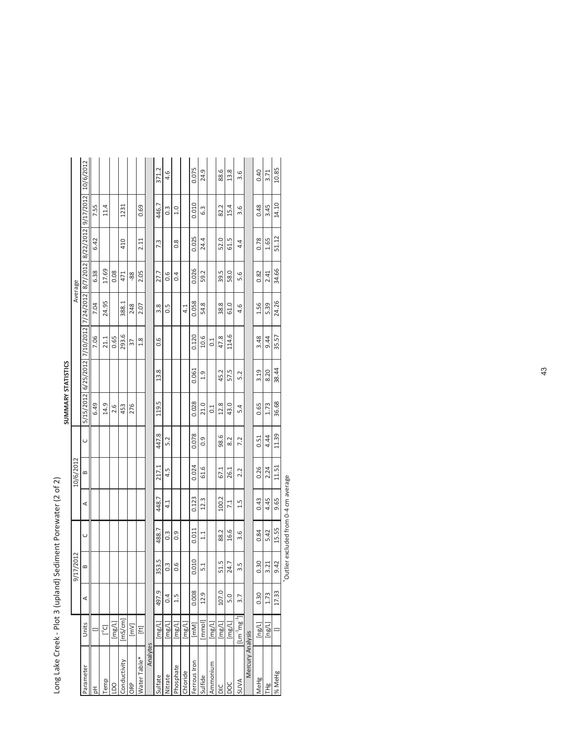| J<br>Ò                   |
|--------------------------|
| ١                        |
| ı<br>Ç                   |
|                          |
| ١<br>Ï<br>į              |
| S                        |
| I                        |
| I                        |
| Ó                        |
| I                        |
| Ï<br>l                   |
|                          |
|                          |
| ι<br>l                   |
|                          |
|                          |
|                          |
| í                        |
|                          |
| ¢<br>١<br>J              |
| ١<br>ļ                   |
| Ó<br>Ï                   |
|                          |
| )<br>١<br>l              |
| $\overline{ }$<br>١<br>Ì |
| ١                        |
| $\overline{\phantom{a}}$ |
| i<br>۱<br>ı              |
| l<br>ij<br>J             |
| Ś<br>Ć<br>١              |
|                          |

|                      |                                 |       |                   |                  |       |              |        |                  | SUMMARY STATISTICS |               |       |         |       |                  |           |
|----------------------|---------------------------------|-------|-------------------|------------------|-------|--------------|--------|------------------|--------------------|---------------|-------|---------|-------|------------------|-----------|
|                      |                                 |       | 17/2012<br>ରି     |                  |       | 10/6/2012    |        |                  |                    |               |       | Average |       |                  |           |
| Parameter            | Units                           | ⋖     | $\mathbf{\Omega}$ | $\cup$           | ⋖     | $\mathbf{r}$ | $\cup$ |                  |                    |               |       |         |       |                  | 10/6/2012 |
| 공                    |                                 |       |                   |                  |       |              |        | 6.49             |                    | 7.06          | 7.04  | 6.38    | 6.42  | 7.55             |           |
| Temp                 | $\Gamma^{\circ}$ Cl             |       |                   |                  |       |              |        | 14.9             |                    | 21.1          | 24.95 | 17.69   |       | 11.4             |           |
| <b>DO</b>            | [mg/L]                          |       |                   |                  |       |              |        | 2.6              |                    | 0.65          |       | 0.08    |       |                  |           |
| Conductivity         | $\left[\text{ms/cm}\right]$     |       |                   |                  |       |              |        | 453              |                    | 293.6         | 388.1 | 471     | 410   | 1231             |           |
| ORP                  | [mv]                            |       |                   |                  |       |              |        | 276              |                    | 37            | 248   | -88     |       |                  |           |
| Water Table*         | E                               |       |                   |                  |       |              |        |                  |                    | $\frac{8}{1}$ | 2.07  | 2.05    | 2.11  | 0.69             |           |
| Analytes             |                                 |       |                   |                  |       |              |        |                  |                    |               |       |         |       |                  |           |
| ulfate               | $\lbrack \mathsf{mg/L} \rbrack$ | 497.9 | 353.5             | 488.7            | 448.7 | 217.1        | 447.8  | 119.5            | 13.8               | 0.6           | 3.8   | 27.7    | 7.3   | 446.7            | 371.2     |
| Nitrate              | $\lbrack \mathsf{mg/l} \rbrack$ | 0.4   | $0.\overline{3}$  | $0.\overline{3}$ | 4.1   | 4.5          | 5.2    |                  |                    |               | 0.5   | 0.6     |       | $0.\overline{3}$ | 4.6       |
| hosphate<br>$\Omega$ | $\lbrack \mathsf{mg/l} \rbrack$ | 1.5   | 0.6               | 0.9              |       |              |        |                  |                    |               |       | 0.4     | 0.8   | 1.0              |           |
| Chloride             | $\lbrack \mathsf{mg/L} \rbrack$ |       |                   |                  |       |              |        |                  |                    |               | 4.1   |         |       |                  |           |
| Ferrous Iron         | [mm]                            | 0.008 | 0.010             | 0.011            | 0.123 | 0.024        | 0.078  | 0.028            | 0.061              | 0.120         | 0.058 | 0.026   | 0.025 | 0.010            | 0.075     |
| Sulfide              | [mmol]                          | 12.9  | $\overline{5.1}$  | $\frac{1}{1}$    | 12.3  | 61.6         | 0.9    | 21.0             | 1.9                | 10.6          | 54.8  | 59.2    | 24.4  | 6.3              | 24.9      |
| Ammonium             | $\lbrack \mathsf{mg/l} \rbrack$ |       |                   |                  |       |              |        | $\overline{0.1}$ |                    | $_{0.1}$      |       |         |       |                  |           |
| ŏ                    | $\lbrack \mathsf{mg/l} \rbrack$ | 107.0 | 51.5              | 88.2             | 100.2 | 67.1         | 98.6   | 12.8             | 45.2               | 47.8          | 38.8  | 39.5    | 52.0  | 82.2             | 88.6      |
| δ                    | [mg/L]                          | 5.0   | 24.7              | 16.6             | 7.1   | 26.1         | 8.2    | 43.0             | 57.5               | 114.6         | 61.0  | 58.0    | 61.5  | 15.4             | 13.8      |
| <b>SUVA</b>          | $[lm^1mg^1]$                    | 3.7   | 3.5               | 3.6              | 1.5   | 2.2          | 7.2    | 5.4              | 5.2                |               | 4.6   | 5.6     | 4.4   | 3.6              | 3.6       |
| Mercury Analysis     |                                 |       |                   |                  |       |              |        |                  |                    |               |       |         |       |                  |           |
| MeHg                 | [ng/L]                          | 0.30  | 0.30              | 0.84             | 0.43  | 0.26         | 0.51   | 0.65             | 3.19               | 3.48          | 1.56  | 0.82    | 0.78  | 0.48             | 0.40      |
| THg                  | $\lceil \log/L \rceil$          | 1.73  | 3.21              | 5.42             | 4.45  | 2.24         | 4.44   | 1.73             | 8.20               | 9.44          | 5.39  | 2.41    | 1.65  | 3.45             | 3.71      |
| % MeHg               |                                 | 17.33 | 9.42              | 15.55            | 9.65  | 11.51        | 11.39  | 36.68            | 38.44              | 35.57         | 24.26 | 34.66   | 51.12 | 14.10            | 10.85     |

<sup>+</sup>Outlier excluded from 0-4 cm average +Outlier excluded from 0-4 cm average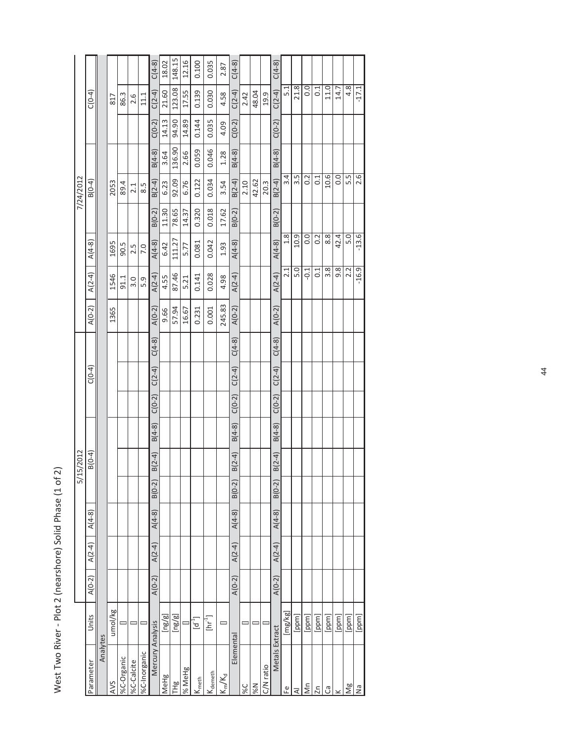West Two River - Plot 2 (nearshore) Solid Phase (1 of 2) West Two River - Plot 2 (nearshore) Solid Phase (1 of 2)

|                              |                                              |          |          |          | $\sum_{i=1}^{n}$ | 15/2012  |          |          |          |          |          |          |          |          | 7/24/2012        |          |          |                  |          |
|------------------------------|----------------------------------------------|----------|----------|----------|------------------|----------|----------|----------|----------|----------|----------|----------|----------|----------|------------------|----------|----------|------------------|----------|
| Parameter                    | Units                                        | $A(0-2)$ | $A(2-4)$ | $A(4-8)$ |                  | $B(0-4)$ |          |          | $C(0-4)$ |          | $A(0-2)$ | $A(2-4)$ | $A(4-8)$ |          | $B(0-4)$         |          |          | $C(0-4)$         |          |
| Analytes                     |                                              |          |          |          |                  |          |          |          |          |          |          |          |          |          |                  |          |          |                  |          |
| <b>AVS</b>                   | umol/kg                                      |          |          |          |                  |          |          |          |          |          | 1365     | 1546     | 1695     |          | 2053             |          |          | 817              |          |
| %C-Organic                   |                                              |          |          |          |                  |          |          |          |          |          |          | 91.1     | 90.5     |          | 89.4             |          |          | 86.3             |          |
| %C-Calcite                   |                                              |          |          |          |                  |          |          |          |          |          |          | 3.0      | 2.5      |          | 2.1              |          |          | 2.6              |          |
| %C-Inorganic                 |                                              |          |          |          |                  |          |          |          |          |          |          | 5.9      | 7.0      |          | 8.5              |          |          | 11.1             |          |
| Mercury Analysis             |                                              | $A(0-2)$ | $A(2-4)$ | $A(4-8)$ | $B(0-2)$         | $B(2-4)$ | $B(4-8)$ | $C(0-2)$ | $C(2-4)$ | $C(4-8)$ | $A(0-2)$ | $A(2-4)$ | $A(4-8)$ | $B(0-2)$ | $B(2-4)$         | $B(4-8)$ | $C(0-2)$ | $C(2-4)$         | $C(4-8)$ |
| MeHg                         | $\lbrack \mathsf{ng/g} \rbrack$              |          |          |          |                  |          |          |          |          |          | 9.66     | 4.55     | 6.42     | 11.30    | 6.23             | 3.64     | 14.13    | 21.60            | 18.02    |
| THg                          | [ng/g]                                       |          |          |          |                  |          |          |          |          |          | 57.94    | 87.46    | 111.27   | 78.65    | 92.09            | 136.90   | 94.90    | 123.08           | 148.15   |
| % MeHg                       |                                              |          |          |          |                  |          |          |          |          |          | 16.67    | 5.21     | 5.77     | 14.37    | 6.76             | 2.66     | 14.89    | 17.55            | 12.16    |
| $\mathsf{K}_{\mathsf{meth}}$ | $\left[\begin{matrix}d^1\end{matrix}\right]$ |          |          |          |                  |          |          |          |          |          | 0.231    | 0.141    | 0.081    | 0.320    | 0.122            | 0.059    | 0.144    | 0.139            | 0.100    |
| <b>N</b> demeth              | ן<br>E                                       |          |          |          |                  |          |          |          |          |          | 0.001    | 0.028    | 0.042    | 0.018    | 0.034            | 0.046    | 0.035    | 0.030            | 0.035    |
| $K_{m}/K_{d}$                | ᆖ                                            |          |          |          |                  |          |          |          |          |          | 245.83   | 4.98     | 1.93     | 17.62    | 3.54             | 1.28     | 4.09     | 4.58             | 2.87     |
| Elemental                    |                                              | $A(0-2)$ | $A(2-4)$ | $A(4-8)$ | $B(0-2)$         | $B(2-4)$ | $B(4-8)$ | $C(0-2)$ | $C(2-4)$ | $C(4-8)$ | $A(0-2)$ | $A(2-4)$ | $A(4-8)$ | $B(0-2)$ | $B(2-4)$         | $B(4-8)$ | $C(0-2)$ | $C(2-4)$         | $C(4-8)$ |
| %C                           |                                              |          |          |          |                  |          |          |          |          |          |          |          |          |          | 2.10             |          |          | 2.42             |          |
| N%                           |                                              |          |          |          |                  |          |          |          |          |          |          |          |          |          | 42.62            |          |          | 48.04            |          |
| C/N ratio                    |                                              |          |          |          |                  |          |          |          |          |          |          |          |          |          | 20.3             |          |          | 19.9             |          |
| Metals Extract               |                                              | $A(0-2)$ | $A(2-4)$ | $A(4-8)$ | $B(0-2)$         | $B(2-4)$ | $B(4-8)$ | $C(0-2)$ | $C(2-4)$ | $C(4-8)$ | $A(0-2)$ | $A(2-4)$ | $A(4-8)$ | $B(0-2)$ | $B(2-4)$         | $B(4-8)$ | $C(0-2)$ | $C(2-4)$         | $C(4-8)$ |
| டீ                           | [mg/kg]                                      |          |          |          |                  |          |          |          |          |          |          | 2.1      | 1.8      |          | 3.4              |          |          | 5.1              |          |
| ₹                            | [ppm]                                        |          |          |          |                  |          |          |          |          |          |          | 5.0      | 10.9     |          | 3.5              |          |          | 21.8             |          |
| δm                           | [ppm]                                        |          |          |          |                  |          |          |          |          |          |          | $-0.1$   | 0.0      |          | 0.2              |          |          | $\overline{0}$ . |          |
| 2n                           | [ppm]                                        |          |          |          |                  |          |          |          |          |          |          | 0.1      | 0.2      |          | $\overline{0}$ : |          |          | $\overline{0}$ : |          |
| ී                            | [ppm]                                        |          |          |          |                  |          |          |          |          |          |          | 3.8      | 8.8      |          | 10.6             |          |          | 11.0             |          |
|                              | [ppm]                                        |          |          |          |                  |          |          |          |          |          |          | 9.8      | 42.4     |          | $\overline{0}$ . |          |          | 14.7             |          |
| Ng                           | [ppm]                                        |          |          |          |                  |          |          |          |          |          |          | 2.2      | 5.0      |          | 5.5              |          |          | 4.8              |          |
| $\overline{\mathsf{S}}$      | [ppm]                                        |          |          |          |                  |          |          |          |          |          |          | $-16.9$  | $-13.6$  |          | 2.6              |          |          | $-17.1$          |          |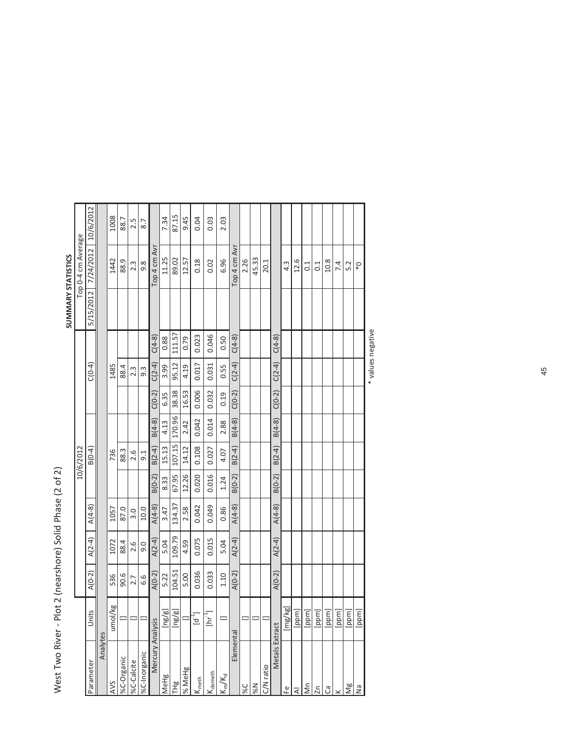|                                |                             |          |          |          |          |           |          |          |                  |          | SUMMARY STATISTICS |                    |           |
|--------------------------------|-----------------------------|----------|----------|----------|----------|-----------|----------|----------|------------------|----------|--------------------|--------------------|-----------|
|                                |                             |          |          |          |          | 10/6/2012 |          |          |                  |          |                    | Top 0-4 cm Average |           |
| Parameter                      | Units                       | $A(0-2)$ | $A(2-4)$ | $A(4-8)$ |          | $B(0-4)$  |          |          | $C(0-4)$         |          | 5/15/2012          | 7/24/2012          | 10/6/2012 |
| Analytes                       |                             |          |          |          |          |           |          |          |                  |          |                    |                    |           |
| <b>AVS</b>                     | umol/kg                     | 536      | 1072     | 1057     |          | 736       |          |          | 1485             |          |                    | 1442               | 1008      |
| %C-Organic                     |                             | 90.6     | 88.4     | 87.0     |          | 88.3      |          |          | 88.4             |          |                    | 88.9               | 88.7      |
| %C-Calcite                     | $\equiv$                    | 2.7      | 2.6      | 3.0      |          | 2.6       |          |          | 2.3              |          |                    | 2.3                | 2.5       |
| %C-Inorganic                   | l⊟l                         | 6.6      | 9.0      | 10.0     |          | 9.1       |          |          | $9.\overline{3}$ |          |                    | 9.8                | 8.7       |
| Mercury Analysis               |                             | $A(0-2)$ | $A(2-4)$ | $A(4-8)$ | $B(0-2)$ | $B(2-4)$  | $B(4-8)$ | $C(0-2)$ | $C(2-4)$         | $C(4-8)$ |                    | Top 4 cm Avr       |           |
| MeHg                           | ng/g]                       | 5.22     | 5.04     | 3.47     | 8.33     | 15.13     | 4.13     | 6.35     | 3.99             | 0.88     |                    | 11.25              | 7.34      |
| THg                            | ng/g]                       | 104.51   | 109.79   | 134.37   | 67.95    | 107.15    | 170.96   | 38.38    | 95.12            | 111.57   |                    | 89.02              | 87.15     |
| % MeHg                         | p                           | 5.00     | 4.59     | 2.58     | 12.26    | 14.12     | 2.42     | 16.53    | 4.19             | 0.79     |                    | 12.57              | 9.45      |
| $K_{\text{meth}}$              | $\left[\mathsf{d}^1\right]$ | 0.036    | 0.075    | 0.042    | 0.020    | 0.108     | 0.042    | 0.006    | 0.017            | 0.023    |                    | 0.18               | 0.04      |
| $\mathsf{K}_{\mathsf{dement}}$ | $[\text{hr}^1]$             | 0.033    | 0.015    | 0.049    | 0.016    | 0.027     | 0.014    | 0.032    | 0.031            | 0.046    |                    | 0.02               | 0.03      |
| $\mathsf{IK}_m/\mathsf{K}_d$   | $\equiv$                    | 1.10     | 5.04     | 0.86     | 1.24     | 4.07      | 2.88     | 0.19     | 0.55             | 0.50     |                    | 6.96               | 2.03      |
| Elemental                      |                             | $A(0-2)$ | $A(2-4)$ | $A(4-8)$ | $B(0-2)$ | $B(2-4)$  | $B(4-8)$ | $C(0-2)$ | $C(2-4)$         | $C(4-8)$ |                    | Top 4 cm Avr       |           |
| %C                             |                             |          |          |          |          |           |          |          |                  |          |                    | 2.26               |           |
| N%                             |                             |          |          |          |          |           |          |          |                  |          |                    | 45.33              |           |
| C/N ratio                      | Ξ                           |          |          |          |          |           |          |          |                  |          |                    | 20.1               |           |
| Metals Extract                 |                             | $A(0-2)$ | $A(2-4)$ | $A(4-8)$ | $B(0-2)$ | $B(2-4)$  | $B(4-8)$ | $C(0-2)$ | $C(2-4)$         | $C(4-8)$ |                    |                    |           |
| 운                              | [mg/kg]                     |          |          |          |          |           |          |          |                  |          |                    | $4.\overline{3}$   |           |
| ₹                              | ppm]                        |          |          |          |          |           |          |          |                  |          |                    | 12.6               |           |
| $\sum_{i=1}^{n}$               | ppm]                        |          |          |          |          |           |          |          |                  |          |                    | 0.1                |           |
| 2n                             | ppm]                        |          |          |          |          |           |          |          |                  |          |                    | 0.1                |           |
| ී                              | ppm]                        |          |          |          |          |           |          |          |                  |          |                    | 10.8               |           |
|                                | ppm]                        |          |          |          |          |           |          |          |                  |          |                    | 7.4                |           |
| Ng                             | ppm]                        |          |          |          |          |           |          |          |                  |          |                    | 5.2                |           |
| Ξ                              | ppm]                        |          |          |          |          |           |          |          |                  |          |                    | $\mathsf{O}^*$     |           |

West Two River - Plot 2 (nearshore) Solid Phase (2 of 2) West Two River - Plot 2 (nearshore) Solid Phase (2 of 2) \* values negative \* values negative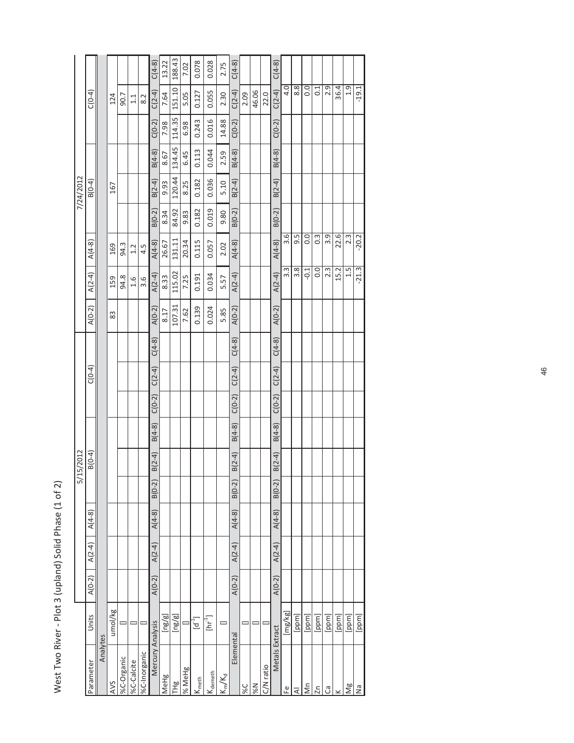West Two River - Plot 3 (upland) Solid Phase (1 of 2) West Two River - Plot 3 (upland) Solid Phase (1 of 2)

|                              |                                              |          |          |          | $\sum_{i=1}^{n}$ | 5/2012   |          |          |          |          |          |          |                  |          | 7/24/2012 |          |          |                  |          |
|------------------------------|----------------------------------------------|----------|----------|----------|------------------|----------|----------|----------|----------|----------|----------|----------|------------------|----------|-----------|----------|----------|------------------|----------|
| Parameter                    | Units                                        | $A(0-2)$ | $A(2-4)$ | $A(4-8)$ |                  | $B(0-4)$ |          |          | $C(0-4)$ |          | $A(0-2)$ | $A(2-4)$ | $A(4-8)$         |          | $B(0-4)$  |          |          | $C(0-4)$         |          |
| Analytes                     |                                              |          |          |          |                  |          |          |          |          |          |          |          |                  |          |           |          |          |                  |          |
| <b>AVS</b>                   | umol/kg                                      |          |          |          |                  |          |          |          |          |          | 83       | 159      | 169              |          | 167       |          |          | 124              |          |
| %C-Organic                   |                                              |          |          |          |                  |          |          |          |          |          |          | 94.8     | 94.3             |          |           |          |          | 90.7             |          |
| %C-Calcite                   |                                              |          |          |          |                  |          |          |          |          |          |          | 1.6      | 1.2              |          |           |          |          | 1.1              |          |
| %C-Inorganic                 |                                              |          |          |          |                  |          |          |          |          |          |          | 3.6      | 4.5              |          |           |          |          | 8.2              |          |
| Mercury Analysis             |                                              | $A(0-2)$ | $A(2-4)$ | $A(4-8)$ | $B(0-2)$         | $B(2-4)$ | $B(4-8)$ | $C(0-2)$ | $C(2-4)$ | $C(4-8)$ | $A(0-2)$ | $A(2-4)$ | $A(4-8)$         | $B(0-2)$ | $B(2-4)$  | $B(4-8)$ | $C(0-2)$ | $C(2-4)$         | $C(4-8)$ |
| MeHg                         | $\lbrack \mathsf{ng/g} \rbrack$              |          |          |          |                  |          |          |          |          |          | 8.17     | 8.33     | 26.67            | 8.34     | 9.93      | 8.67     | 7.98     | 7.64             | 13.22    |
| THg                          | [ng/g]                                       |          |          |          |                  |          |          |          |          |          | 107.31   | 115.02   | 131.11           | 84.92    | 120.44    | 134.45   | 114.35   | 151.10           | 188.43   |
| % MeHg                       |                                              |          |          |          |                  |          |          |          |          |          | 7.62     | 7.25     | 20.34            | 9.83     | 8.25      | 6.45     | 6.98     | 5.05             | 7.02     |
| $\mathsf{K}_{\mathsf{meth}}$ | $\left[\begin{matrix}d^1\end{matrix}\right]$ |          |          |          |                  |          |          |          |          |          | 0.139    | 0.191    | 0.115            | 0.182    | 0.182     | 0.113    | 0.243    | 0.127            | 0.078    |
| <b>S</b><br>demeth           | ן<br>E<br>E                                  |          |          |          |                  |          |          |          |          |          | 0.024    | 0.034    | 0.057            | 0.019    | 0.036     | 0.044    | 0.016    | 0.055            | 0.028    |
| $K_m/K_d$                    | ᆖ                                            |          |          |          |                  |          |          |          |          |          | 5.85     | 5.57     | 2.02             | 9.80     | 5.10      | 2.59     | 14.88    | 2.30             | 2.75     |
| Elemental                    |                                              | $A(0-2)$ | $A(2-4)$ | $A(4-8)$ | $B(0-2)$         | $B(2-4)$ | $B(4-8)$ | $C(0-2)$ | $C(2-4)$ | $C(4-8)$ | $A(0-2)$ | $A(2-4)$ | $A(4-8)$         | $B(0-2)$ | $B(2-4)$  | $B(4-8)$ | $C(0-2)$ | $C(2-4)$         | $C(4-8)$ |
| %C                           |                                              |          |          |          |                  |          |          |          |          |          |          |          |                  |          |           |          |          | 2.09             |          |
| N%                           |                                              |          |          |          |                  |          |          |          |          |          |          |          |                  |          |           |          |          | 46.06            |          |
| C/N ratio                    |                                              |          |          |          |                  |          |          |          |          |          |          |          |                  |          |           |          |          | 22.0             |          |
| Metals Extract               |                                              | $A(0-2)$ | $A(2-4)$ | $A(4-8)$ | $B(0-2)$         | $B(2-4)$ | $B(4-8)$ | $C(0-2)$ | $C(2-4)$ | $C(4-8)$ | $A(0-2)$ | $A(2-4)$ | $A(4-8)$         | $B(0-2)$ | $B(2-4)$  | $B(4-8)$ | $C(0-2)$ | $C(2-4)$         | $C(4-8)$ |
| டீ                           | [mg/kg]                                      |          |          |          |                  |          |          |          |          |          |          | 3.3      | 3.6              |          |           |          |          | 4.0              |          |
| ₹                            | [ppm]                                        |          |          |          |                  |          |          |          |          |          |          | 3.8      | 9.5              |          |           |          |          | 8.8              |          |
| S                            | [ppm]                                        |          |          |          |                  |          |          |          |          |          |          | $-0.1$   | 0.0              |          |           |          |          | 0.0              |          |
| $\overline{2n}$              | [ppm]                                        |          |          |          |                  |          |          |          |          |          |          | 0.0      | $0.\overline{3}$ |          |           |          |          | $\overline{0}$ . |          |
| ී                            | [ppm]                                        |          |          |          |                  |          |          |          |          |          |          | 2.3      | 3.9              |          |           |          |          | 2.9              |          |
|                              | [ppm]                                        |          |          |          |                  |          |          |          |          |          |          | 15.2     | 22.6             |          |           |          |          | 36.4             |          |
| Ng                           | [ppm]                                        |          |          |          |                  |          |          |          |          |          |          | 1.5      | 2.3              |          |           |          |          | 1.9              |          |
| $\frac{1}{2}$                | [ppm]                                        |          |          |          |                  |          |          |          |          |          |          | $-21.3$  | $-20.2$          |          |           |          |          | $-19.1$          |          |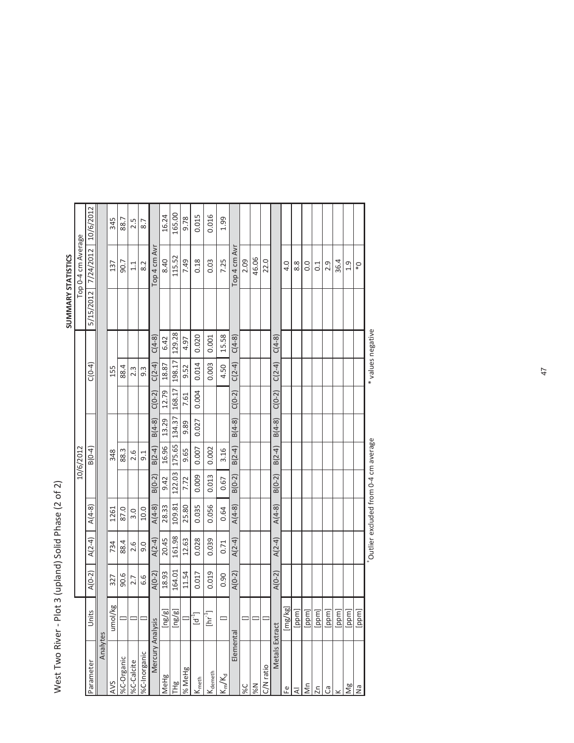| ลิ                                  |
|-------------------------------------|
| io z                                |
|                                     |
| Phase                               |
| ل<br>ان<br>ا                        |
| ₹<br>י<br>ג                         |
|                                     |
| $\frac{1}{2}$<br>$\frac{1}{2}$<br>Ĺ |
|                                     |
| N N N N N N N N                     |
|                                     |

|                 |                           |          |          |                                      |          |           |          |          |                   |          | SUMMARY STATISTICS |                    |           |
|-----------------|---------------------------|----------|----------|--------------------------------------|----------|-----------|----------|----------|-------------------|----------|--------------------|--------------------|-----------|
|                 |                           |          |          |                                      |          | 10/6/2012 |          |          |                   |          |                    | Top 0-4 cm Average |           |
| Parameter       | $\frac{1}{2}$<br>⊃        | $A(0-2)$ | $A(2-4)$ | $A(4-8)$                             |          | $B(0-4)$  |          |          | $C(0-4)$          |          | 5/15/2012          | 7/24/2012          | 10/6/2012 |
| Analytes        |                           |          |          |                                      |          |           |          |          |                   |          |                    |                    |           |
| <b>AVS</b>      | umol/kg                   | 327      | 734      | 1261                                 |          | 348       |          |          | 155               |          |                    | 137                | 345       |
| %C-Organic      |                           | 90.6     | 88.4     | 87.0                                 |          | 88.3      |          |          | 88.4              |          |                    | 50.7               | 88.7      |
| %C-Calcite      |                           | 2.7      | 2.6      | 3.0                                  |          | 2.6       |          |          | 2.3               |          |                    | 1.1                | 2.5       |
| %C-Inorganic    |                           | 6.6      | 0.6      | 10.0                                 |          | 9.1       |          |          | $9.\overline{3}$  |          |                    | 8.2                | 8.7       |
| Mercury Analysi |                           | $A(0-2)$ | $A(2-4)$ | $A(4-8)$                             | $B(0-2)$ | $B(2-4)$  | $B(4-8)$ | $C(0-2)$ | $C(2-4)$          | $C(4-8)$ |                    | Top 4 cm Avr       |           |
| MeHg            | [ng/g]                    | 18.93    | 20.45    | 28.33                                | 9.42     | 16.96     | 13.29    | 12.79    | 18.87             | 6.42     |                    | 8.40               | 16.24     |
| <b>THg</b>      | [ng/g]                    | 164.01   | 161.98   | 109.81                               | 122.03   | 175.65    | 134.37   | 168.17   | 198.17            | 129.28   |                    | 115.52             | 165.00    |
| % MeHg          | $\qquad \qquad \Box$      | 11.54    | 12.63    | 25.80                                | 7.72     | 9.65      | 9.89     | 7.61     | 9.52              | 4.97     |                    | 7.49               | 9.78      |
| Ymeth           | $[d^1]$                   | 0.017    | 0.028    | 0.035                                | 0.009    | 0.007     | 0.027    | 0.004    | 0.014             | 0.020    |                    | 0.18               | 0.015     |
| <b>Nameth</b>   | $[\text{hr}^{\text{-1}}]$ | 0.019    | 0.039    | 0.056                                | 0.013    | 0.002     |          |          | 0.003             | 0.001    |                    | 0.03               | 0.016     |
| $K_m/K_d$       | $\equiv$                  | 0.90     | 0.71     | 0.64                                 | 0.67     | 3.16      |          |          | 4.50              | 15.58    |                    | 7.25               | 1.99      |
| Elemental       |                           | $A(0-2)$ | $A(2-4)$ | $A(4-8)$                             | $B(0-2)$ | $B(2-4)$  | $B(4-8)$ | $C(0-2)$ | $C(2-4)$          | $C(4-8)$ |                    | Top 4 cm Avr       |           |
| 9%              |                           |          |          |                                      |          |           |          |          |                   |          |                    | 2.09               |           |
| N%              | 디그                        |          |          |                                      |          |           |          |          |                   |          |                    | 46.06              |           |
| C/N ratio       |                           |          |          |                                      |          |           |          |          |                   |          |                    | 22.0               |           |
| Metals Extract  |                           | $A(0-2)$ | $A(2-4)$ | $A(4-8)$                             | $B(0-2)$ | $B(2-4)$  | $B(4-8)$ | $C(0-2)$ | $C(2-4)$          | $C(4-8)$ |                    |                    |           |
| ٥               | [mg/kg]                   |          |          |                                      |          |           |          |          |                   |          |                    | 4.0                |           |
| ⋜               | [ppm]                     |          |          |                                      |          |           |          |          |                   |          |                    | 8.8                |           |
| ξ               | [ppm]                     |          |          |                                      |          |           |          |          |                   |          |                    | 0.0                |           |
| $\overline{2n}$ | [ppm]                     |          |          |                                      |          |           |          |          |                   |          |                    | 0.1                |           |
| ී               | [ppm]                     |          |          |                                      |          |           |          |          |                   |          |                    | 2.9                |           |
|                 | [ppm]                     |          |          |                                      |          |           |          |          |                   |          |                    | 36.4               |           |
| Ng              | [ppm]                     |          |          |                                      |          |           |          |          |                   |          |                    | 1.9                |           |
| Ρã              | [ppm]                     |          |          |                                      |          |           |          |          |                   |          |                    | $\mathbb{Q}^*$     |           |
|                 |                           |          |          | Outlier excluded from 0-4 cm average |          |           |          |          | * values negative |          |                    |                    |           |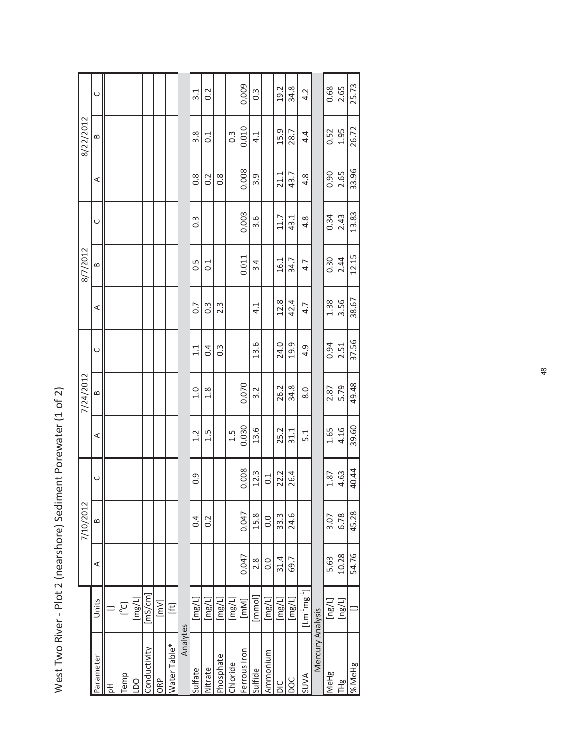|                                                            | ה והמה ה   |
|------------------------------------------------------------|------------|
|                                                            | ה לה הלה ה |
| Iwo River - Plot 2 (nearshore) Sediment Porewater (1 of 2) | ה להראה ל  |
| Vest Ty                                                    |            |

|                  |                                             |               | 7/10/2012        |        |       | 7/24/2012     |               |                  | 8/7/2012      |               |               | 8/22/2012         |               |
|------------------|---------------------------------------------|---------------|------------------|--------|-------|---------------|---------------|------------------|---------------|---------------|---------------|-------------------|---------------|
| Parameter        | Units                                       | ⋖             | B                | $\cup$ | ⋖     | $\infty$      | $\cup$        | ⋖                | $\approx$     | $\cup$        | ⋖             | $\mathbf{\Omega}$ | C             |
| 공                |                                             |               |                  |        |       |               |               |                  |               |               |               |                   |               |
| Temp             | [°c]                                        |               |                  |        |       |               |               |                  |               |               |               |                   |               |
| 0q               | [mg/L]                                      |               |                  |        |       |               |               |                  |               |               |               |                   |               |
| Conductivity     | $[\mathrm{ms/cm}]$                          |               |                  |        |       |               |               |                  |               |               |               |                   |               |
| ORP              | [mv]                                        |               |                  |        |       |               |               |                  |               |               |               |                   |               |
| Water Table*     | E                                           |               |                  |        |       |               |               |                  |               |               |               |                   |               |
| Analytes         |                                             |               |                  |        |       |               |               |                  |               |               |               |                   |               |
| Sulfate          | $\lbrack \mathsf{mg/L} \rbrack$             |               | 0.4              | 0.9    | 1.2   | $\frac{0}{1}$ | $\frac{1}{1}$ | 0.7              | 50            | $\frac{3}{2}$ | $\frac{8}{2}$ | 3.8               | $\frac{1}{3}$ |
| Nitrate          | $\lbrack \text{mg/l} \rbrack$               |               | $\sim$           |        | 1.5   | $\frac{8}{1}$ | 0.4           | $\ddot{0}$ .     | $\frac{1}{0}$ |               | 0.2           | $\overline{0}$ :1 | 0.2           |
| Phosphate        | $\lceil \log/L \rceil$                      |               |                  |        |       |               | 0.3           | $2.\overline{3}$ |               |               | $\frac{8}{2}$ |                   |               |
| Chloride         | [mg/L]                                      |               |                  |        | 1.5   |               |               |                  |               |               |               | $0.\overline{3}$  |               |
| Ferrous Iron     | [mm]                                        | 0.047         | 0.047            | 0.008  | 0.030 | 0.070         |               |                  | 0.011         | 0.003         | 0.008         | 0.010             | 0.009         |
| Sulfide          | $\frac{1}{2}$                               | $\frac{8}{2}$ | 15.8             | 12.3   | 13.6  | 3.2           | 13.6          | 4.1              | 3.4           | 3.6           | 3.9           | 4.1               | $\frac{3}{2}$ |
| Ammonium         | $\lbrack \text{mg/L} \rbrack$               | 0.0           | $\overline{0}$ . | 0.1    |       |               |               |                  |               |               |               |                   |               |
| ΟIC              | $\lbrack \text{mg/L} \rbrack$               | 31.4          | 33.3             | 22.2   | 25.2  | 26.2          | 24.0          | 12.8             | 16.1          | 11.7          | 21.1          | 15.9              | 19.2          |
| DOC              | [mg/L]                                      | 69.7          | 24.6             | 26.4   | 31.1  | 34.8          | 19.9          | 42.4             | 34.7          | 43.1          | 43.7          | 28.7              | 34.8          |
| <b>AVUS</b>      | $[{\rm Lm}^{\text{-1}}$ mg $^{\text{-1}}$ ] |               |                  |        | 5.1   | 8.0           | 4.9           | 4.7              | 4.7           | 4.8           | 4.8           | 4.4               | 4.2           |
| Mercury Analysis |                                             |               |                  |        |       |               |               |                  |               |               |               |                   |               |
| <b>IMeHg</b>     | [ng/L]                                      | 5.63          | 3.07             | 1.87   | 1.65  | 2.87          | 0.94          | 1.38             | 0.30          | 0.34          | 0.90          | 0.52              | 0.68          |
| <b>THB</b>       | [ng/L]                                      | 10.28         | 6.78             | 4.63   | 4.16  | 5.79          | 2.51          | 3.56             | 2.44          | 2.43          | 2.65          | 1.95              | 2.65          |
| % MeHg           |                                             | 54.76         | 45.28            | 40.44  | 39.60 | 49.48         | 37.56         | 38.67            | 12.15         | 13.83         | 33.96         | 26.72             | 25.73         |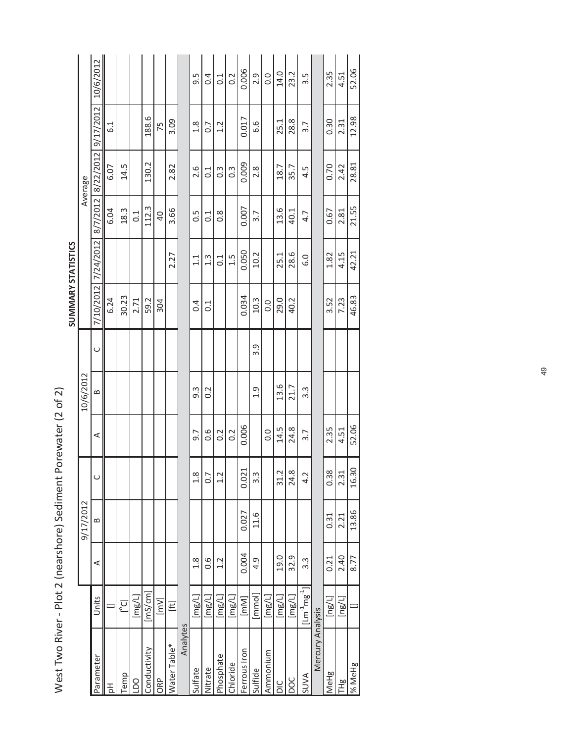|                           |           | 10/6/2012<br>9/17/2012 | 6.1  |            |        | 188.6        | 75             | 3.09         |          | 9.5<br>1.8       | 0.4<br>$\overline{0}$ .         | 0.1<br>1.2    | 0.2              | 0.006<br>0.017 | 2.9<br>6.6       | 0.0      | 14.0<br>25.1                  | 23.2<br>28.8 | 3.5<br>3.7                |                  | 2.35<br>0.30              | 4.51<br>2.31    | 12.98    |
|---------------------------|-----------|------------------------|------|------------|--------|--------------|----------------|--------------|----------|------------------|---------------------------------|---------------|------------------|----------------|------------------|----------|-------------------------------|--------------|---------------------------|------------------|---------------------------|-----------------|----------|
|                           | Average   | 8/22/2012              | 6.07 | 14.5       |        | 130.2        |                | 2.82         |          | 2.6              | $\overline{0}$ :1               | $\frac{3}{2}$ | $0.\overline{3}$ | 0.009          | 2.8              |          | 18.7                          | 35.7         | 4.5                       |                  | 0.70                      | 2.42            | 28.81    |
|                           |           | 8/7/2012               | 6.04 | 18.3       | 0.1    | 112.3        | $\overline{a}$ | 3.66         |          | $0.\overline{5}$ | $\overline{0}$ :1               | $\frac{8}{2}$ |                  | 0.007          | 3.7              |          | 13.6                          | 40.1         | 4.7                       |                  | 0.67                      | 2.81            | 21.55    |
|                           |           | 7/24/2012              |      |            |        |              |                | 2.27         |          | 1.1              | 1.3                             | $\frac{1}{0}$ | 1.5              | 0.050          | 10.2             |          | 25.1                          | 28.6         | 6.0                       |                  | 1.82                      | 4.15            | 42.21    |
| <b>SUMMARY STATISTICS</b> |           | 7/10/2012              | 6.24 | 30.23      | 2.71   | 59.2         | 304            |              |          | 0.4              | $\overline{0}$ :                |               |                  | 0.034          | 10.3             | 0.0      | 29.0                          | 40.2         |                           |                  | 3.52                      | 7.23            | 46.83    |
|                           |           | $\cup$                 |      |            |        |              |                |              |          |                  |                                 |               |                  |                | 3.9              |          |                               |              |                           |                  |                           |                 |          |
|                           | 10/6/2012 | $\mathbf{\Omega}$      |      |            |        |              |                |              |          | $9.\overline{3}$ | 0.2                             |               |                  |                | 1.9              |          | 13.6                          | 21.7         | 3.3                       |                  |                           |                 |          |
|                           |           | ⋖                      |      |            |        |              |                |              |          | 9.7              | 0.6                             | 0.2           | 0.2              | 0.006          |                  | 0.0      | 14.5                          | 24.8         | 3.7                       |                  | 2.35                      | 4.51            |          |
|                           |           |                        |      |            |        |              |                |              |          | 1.8              | r<br>ö                          | 1.2           |                  | 0.021          | $3.\overline{3}$ |          | Ņ<br>$\vec{3}$                | 24.8         | $\sim$<br>4.              |                  | 0.38                      | 2.31            | 16.30    |
|                           | 9/17/2012 | $\approx$              |      |            |        |              |                |              |          |                  |                                 |               |                  | 0.027          | 11.6             |          |                               |              |                           |                  | 0.31                      | 2.21            |          |
|                           |           | ⋖                      |      |            |        |              |                |              |          | $\frac{8}{1}$    | 0.6                             | 1.2           |                  | 0.004          | 4.9              |          | 19.0                          | 32.9         | $3.\overline{3}$          |                  | 0.21                      | 2.40            | 8.77     |
|                           |           | Units                  |      | $[5\circ]$ | [mg/L] | [ms/cm]      | [mV]           | E            |          | [mg/L]           | $\lbrack \mathsf{mg/l} \rbrack$ | [mg/L]        | [mg/L]           | [MN]           | [mmol]           | [mg/L]   | $\lbrack \text{mg/l} \rbrack$ | [mg/L]       | $[{\sf Lm\,^1{\sf mg}^1]$ |                  | $\lbrack \log /L \rbrack$ | [ng/l]          | $\equiv$ |
|                           |           | Parameter              | 공    | Temp       | DO     | Conductivity | ORP            | Water Table* | Analytes | Sulfate          | Nitrate                         | Phosphate     | Chloride         | Ferrous Iron   | Sulfide          | Ammonium | $rac{C}{D}$                   | poc          | <b>AVUS</b>               | Mercury Analysis | MeHg                      | TH <sub>g</sub> | % MeHg   |

West Two River - Plot 2 (nearshore) Sediment Porewater (2 of 2) West Two River - Plot 2 (nearshore) Sediment Porewater (2 of 2)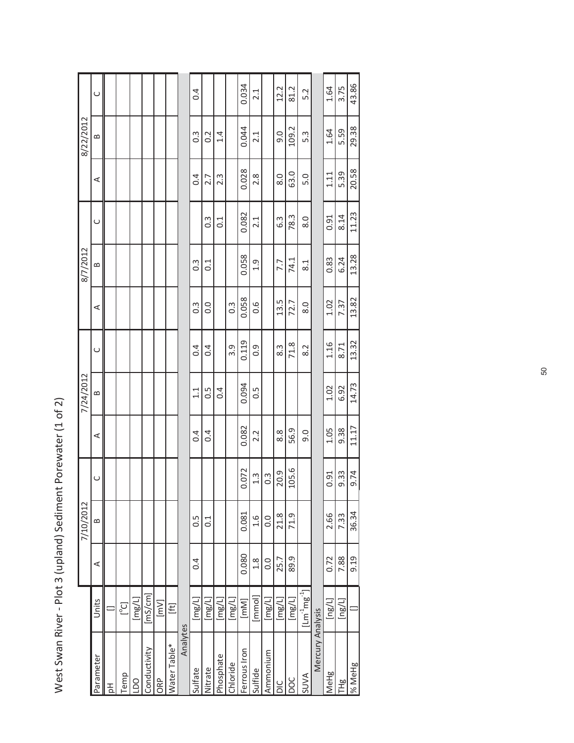| 8/7/2012<br>7/24/2012<br>7/10/2012                                                         |                                          |  |  |                   |                   |                  |                  | 8/22/2012        |        |
|--------------------------------------------------------------------------------------------|------------------------------------------|--|--|-------------------|-------------------|------------------|------------------|------------------|--------|
| $\cup$<br>$\infty$<br>$\prec$<br>$\cup$<br>$\bf{m}$<br>⋖<br>Units                          |                                          |  |  | $\prec$           | $\mathbf{\Omega}$ | $\cup$           | $\prec$          | $\infty$         | $\cup$ |
|                                                                                            |                                          |  |  |                   |                   |                  |                  |                  |        |
| [°c]                                                                                       |                                          |  |  |                   |                   |                  |                  |                  |        |
| [mg/L]                                                                                     |                                          |  |  |                   |                   |                  |                  |                  |        |
| $\left[\mathrm{ms/cm}\right]$                                                              |                                          |  |  |                   |                   |                  |                  |                  |        |
| [mv]                                                                                       |                                          |  |  |                   |                   |                  |                  |                  |        |
| E                                                                                          |                                          |  |  |                   |                   |                  |                  |                  |        |
|                                                                                            |                                          |  |  |                   |                   |                  |                  |                  |        |
| 0.4<br>1.1<br>0.4<br>$0.\overline{5}$<br>0.4<br>[mg/L]                                     |                                          |  |  | $0.\overline{3}$  | $0.\overline{3}$  |                  | 0.4              | $0.\overline{3}$ | 0.4    |
| 0.4<br>$\frac{5}{2}$<br>0.4<br>$\frac{1}{2}$<br>$\lceil \log/L \rceil$                     |                                          |  |  | $\overline{0}$ .  | $\overline{0}$ :  | $0.\overline{3}$ | 2.7              | 0.2              |        |
| 0.4<br>[mg/L]                                                                              |                                          |  |  |                   |                   | $\frac{1}{2}$    | $2.\overline{3}$ | 1.4              |        |
| 3.9<br>[mg/L]                                                                              |                                          |  |  | $0.\overline{3}$  |                   |                  |                  |                  |        |
| 0.119<br>0.094<br>0.082<br>0.072<br>0.081<br>0.080<br>[MN]                                 |                                          |  |  | 0.058             | 0.058             | 0.082            | 0.028            | 0.044            | 0.034  |
| $\overline{0}$ .<br>$\frac{5}{2}$<br>2.2<br>$1.\overline{3}$<br>$-1.6$<br>1.8<br>[mmol]    |                                          |  |  | 0.6               | $\overline{0}$ .  | 2.1              | 2.8              | 2.1              | 2.1    |
| $\frac{3}{2}$<br>$\overline{0}$ .<br>$\overline{0}$ .<br>$\lbrack \text{mg/l} \rbrack$     |                                          |  |  |                   |                   |                  |                  |                  |        |
| 8.3<br>8.8<br>20.9<br>21.8<br>25.7<br>$\lceil \text{mg/L} \rceil$                          |                                          |  |  | 13.5              | 7.7               | 6.3              | 8.0              | 0.6              | 12.2   |
| 71.8<br>56.9<br>105.6<br>71.9<br>89.9<br>[mg/L]                                            |                                          |  |  | 72.7              | 74.1              | 78.3             | 63.0             | 109.2            | 81.2   |
| 8.2<br>9.0<br>$[{\mathsf{L}}{\mathsf{m}}^{\text{-1}}{\mathsf{m}}{\mathsf{g}}^{\text{-1}}]$ |                                          |  |  | $\overline{8}$ .0 | 8.1               | 8.0              | 5.0              | 5.3              | 5.2    |
| Mercury Analysis                                                                           |                                          |  |  |                   |                   |                  |                  |                  |        |
| 1.16<br>1.02<br>1.05<br>0.91<br>2.66<br>0.72<br>[ng/L]                                     |                                          |  |  | 1.02              | 0.83              | 0.91             | 1.11             | 1.64             | 1.64   |
| 8.71<br>6.92<br>9.38<br>9.33<br>7.33<br>7.88<br>$\lbrack \log /L \rbrack$                  |                                          |  |  | 7.37              | 6.24              | 8.14             | 5.39             | 5.59             | 3.75   |
| 9.19                                                                                       | 13.32<br>14.73<br>11.17<br>9.74<br>36.34 |  |  | 13.82             | 13.28             | 11.23            | 20.58            | 29.38            | 43.86  |

West Swan River - Plot 3 (upland) Sediment Porewater (1 of 2) West Swan River - Plot 3 (upland) Sediment Porewater (1 of 2)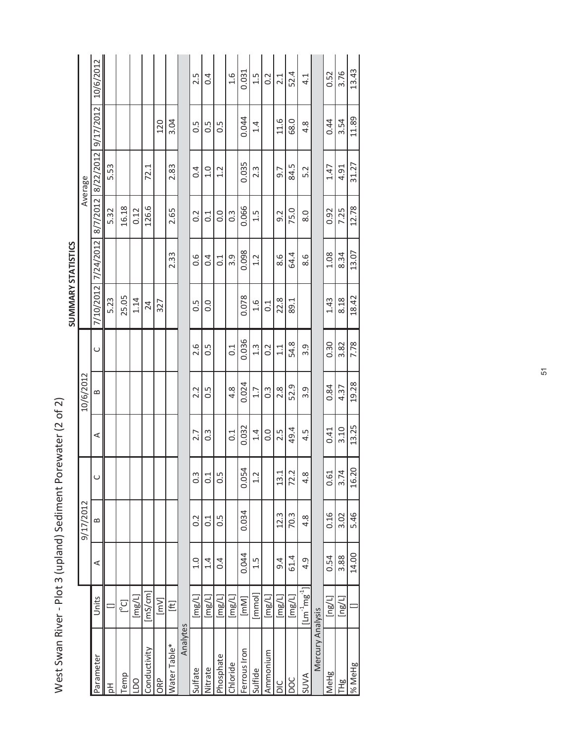|                    |           | 10/6/2012 |      |            |        |              |        |              |          | 2.5              | 0.4                           |               | 1.6              | 0.031        | 1.5              | 0.2               | 2.1                             | 52.4           | $\frac{1}{4}$                                                  |                  | 0.52         | 3.76                      | 13.43     |
|--------------------|-----------|-----------|------|------------|--------|--------------|--------|--------------|----------|------------------|-------------------------------|---------------|------------------|--------------|------------------|-------------------|---------------------------------|----------------|----------------------------------------------------------------|------------------|--------------|---------------------------|-----------|
|                    |           | 9/17/2012 |      |            |        |              | 120    | 3.04         |          | 0.5              | 0.5                           | 0.5           |                  | 0.044        | 1.4              |                   | 11.6                            | 68.0           | 4.8                                                            |                  | 0.44         | 3.54                      | 11.89     |
|                    | Average   | 8/22/2012 | 5.53 |            |        | 72.1         |        | 2.83         |          | 0.4              | 1.0                           | 1.2           |                  | 0.035        | 2.3              |                   | 9.7                             | 84.5           | 5.2                                                            |                  | 1.47         | 4.91                      | 31.27     |
|                    |           | 8/7/2012  | 5.32 | 16.18      | 0.12   | 126.6        |        | 2.65         |          | $\sim$           | 0.1                           | 0.0           | $0.\overline{3}$ | 0.066        | 1.5              |                   | 9.2                             | 75.0           | 8.0                                                            |                  | 0.92         | 7.25                      | 12.78     |
|                    |           | 7/24/2012 |      |            |        |              |        | 2.33         |          | 0.6              | 0.4                           | $\frac{1}{0}$ | 3.9              | 0.098        | 1.2              |                   | 8.6                             | 64.4           | 8.6                                                            |                  | 1.08         | 8.34                      | 13.07     |
| SUMMARY STATISTICS |           | 7/10/2012 | 5.23 | 25.05      | 1.14   | 24           | 327    |              |          | 0.5              | 0.0                           |               |                  | 0.078        | $-1.6$           | $\overline{0}$ .1 | 22.8                            | 89.1           |                                                                |                  | 1.43         | 8.18                      | 18.42     |
|                    |           | $\cup$    |      |            |        |              |        |              |          | 2.6              | 0.5                           |               | 0.1              | 0.036        | $1.\overline{3}$ | 0.2               | 1.1                             | 54.8           | 3.9                                                            |                  | 0.30         | 3.82                      | 7.78      |
|                    | 10/6/2012 | ≃         |      |            |        |              |        |              |          | 2.2              | 0.5                           |               | $4.\overline{8}$ | 0.024        | 1.7              | $0.\overline{3}$  | 2.8                             | 52.9           | 3.9                                                            |                  | 0.84         | 4.37                      | 19.28     |
|                    |           | ⋖         |      |            |        |              |        |              |          | 2.7              | $0.\overline{3}$              |               | 0.1              | 0.032        | 1.4              | 0.0               | 2.5                             | 49.4           | 4.5                                                            |                  | 0.41         | 3.10                      | 13.25     |
|                    |           |           |      |            |        |              |        |              |          | $0.\overline{3}$ | 0.1                           | 0.5           |                  | 0.054        | 1.2              |                   | J<br>$\frac{3}{2}$              | بہ<br>ب<br>72. | $\infty$<br>4                                                  |                  | 0.61         | 3.74                      | 20<br>16. |
|                    | 9/17/2012 | $\bf{e}$  |      |            |        |              |        |              |          | $\sim$           | C <sub>1</sub>                | 0.5           |                  | 0.034        |                  |                   | 12.3                            | 70.3           | 4.8                                                            |                  | 0.16         | 3.02                      | 5.46      |
|                    |           | ⋖         |      |            |        |              |        |              |          | 1.0              | 1.4                           | 0.4           |                  | 0.044        | 1.5              |                   | 9.4                             | 61.4           | 4.9                                                            |                  | 0.54         | 3.88                      | 14.00     |
|                    |           | Units     |      | $[5\circ]$ | [mg/L] | [mS/cm]      | $[NN]$ | E            |          | [mg/L]           | $\lbrack \text{mg/l} \rbrack$ | [mg/L]        | [mg/L]           | [MN]         | [mmol]           | [mg/L]            | $\lbrack \mathsf{mg/l} \rbrack$ | [mg/L]         | $\left[ \mathsf{Lm}^{\text{-1}}\mathsf{mg}^{\text{-1}}\right]$ |                  | [ng/l]       | $\lbrack \log /L \rbrack$ |           |
|                    |           | Parameter | 공    | Temp       | DO     | Conductivity | ORP    | Water Table* | Analytes | Sulfate          | Nitrate                       | Phosphate     | Chloride         | Ferrous Iron | Sulfide          | Ammonium          | $\frac{C}{D}$                   | poc            | <b>AVUS</b>                                                    | Mercury Analysis | <b>IMeHg</b> | TH <sub>g</sub>           | % MeHg    |

West Swan River - Plot 3 (upland) Sediment Porewater (2 of 2) West Swan River - Plot 3 (upland) Sediment Porewater (2 of 2)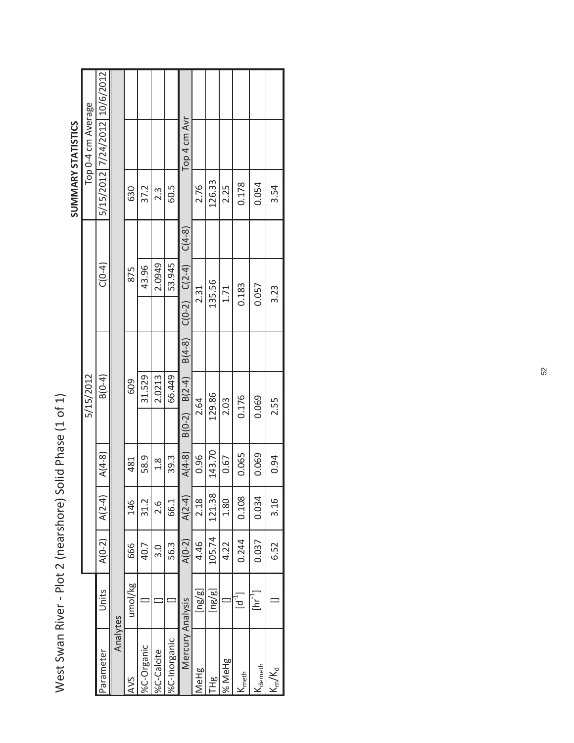| $C(4-8)$<br>2.0949<br>53.945<br>$C(0-2)$ $C(2-4)$<br>$C(0-4)$<br>43.96<br>875<br>135.56<br>0.183<br>0.057<br>1.71<br>3.23<br>2.31<br>$B(4-8)$<br>5/15/2012<br>2.0213<br>$B(0-4)$<br>31.529<br>66.449<br>$B(0-2)$ $B(2-4)$<br>609<br>129.86<br>0.176<br>0.069<br>2.64<br>2.03<br>2.55<br>143.70<br>$A(4-8)$<br>$A(4-8)$<br>0.065<br>0.069<br>0.96<br>0.67<br>0.94<br>58.9<br>39.3<br>$\frac{8}{1}$<br>481<br>$A(2-4)$<br>121.38<br>0.108<br>2.18<br>0.034<br>$A(2-4)$<br>3.16<br>1.80<br>31.2<br>146<br>66.1<br>2.6<br>105.74<br>$A(0-2)$<br>0.244<br>$A(0-2)$<br>0.037<br>4.46<br>4.22<br>6.52<br>56.3<br>666<br>40.7<br>3.0<br>umol/kg<br>Units<br>$\lbrack \mathsf{ng}/\mathsf{g} \rbrack$<br>$\lbrack \mathsf{ng/g} \rbrack$<br>$\left[\ln^{-1}\right]$<br>$\mathsf{I}^{\mathsf{L}}$<br>Mercury Analysis<br>Analytes<br>%C-Inorganic<br>%C-Organic<br>%C-Calcite<br>Parameter<br>% MeHg<br>Ndemeth<br>$K_{\rm m}/K_{\rm d}$<br>MeHg<br>K <sub>meth</sub><br>요<br>프<br>AVS |  |  |  |  |        | <b>SUMMARY STATISTICS</b>     |
|------------------------------------------------------------------------------------------------------------------------------------------------------------------------------------------------------------------------------------------------------------------------------------------------------------------------------------------------------------------------------------------------------------------------------------------------------------------------------------------------------------------------------------------------------------------------------------------------------------------------------------------------------------------------------------------------------------------------------------------------------------------------------------------------------------------------------------------------------------------------------------------------------------------------------------------------------------------------------|--|--|--|--|--------|-------------------------------|
|                                                                                                                                                                                                                                                                                                                                                                                                                                                                                                                                                                                                                                                                                                                                                                                                                                                                                                                                                                              |  |  |  |  |        | Top 0-4 cm Average            |
|                                                                                                                                                                                                                                                                                                                                                                                                                                                                                                                                                                                                                                                                                                                                                                                                                                                                                                                                                                              |  |  |  |  |        | 5/15/2012 7/24/2012 10/6/2012 |
|                                                                                                                                                                                                                                                                                                                                                                                                                                                                                                                                                                                                                                                                                                                                                                                                                                                                                                                                                                              |  |  |  |  |        |                               |
|                                                                                                                                                                                                                                                                                                                                                                                                                                                                                                                                                                                                                                                                                                                                                                                                                                                                                                                                                                              |  |  |  |  | 630    |                               |
|                                                                                                                                                                                                                                                                                                                                                                                                                                                                                                                                                                                                                                                                                                                                                                                                                                                                                                                                                                              |  |  |  |  | 37.2   |                               |
|                                                                                                                                                                                                                                                                                                                                                                                                                                                                                                                                                                                                                                                                                                                                                                                                                                                                                                                                                                              |  |  |  |  | 2.3    |                               |
|                                                                                                                                                                                                                                                                                                                                                                                                                                                                                                                                                                                                                                                                                                                                                                                                                                                                                                                                                                              |  |  |  |  | 60.5   |                               |
|                                                                                                                                                                                                                                                                                                                                                                                                                                                                                                                                                                                                                                                                                                                                                                                                                                                                                                                                                                              |  |  |  |  |        | Top 4 cm Avr                  |
|                                                                                                                                                                                                                                                                                                                                                                                                                                                                                                                                                                                                                                                                                                                                                                                                                                                                                                                                                                              |  |  |  |  | 2.76   |                               |
|                                                                                                                                                                                                                                                                                                                                                                                                                                                                                                                                                                                                                                                                                                                                                                                                                                                                                                                                                                              |  |  |  |  | 126.33 |                               |
|                                                                                                                                                                                                                                                                                                                                                                                                                                                                                                                                                                                                                                                                                                                                                                                                                                                                                                                                                                              |  |  |  |  | 2.25   |                               |
|                                                                                                                                                                                                                                                                                                                                                                                                                                                                                                                                                                                                                                                                                                                                                                                                                                                                                                                                                                              |  |  |  |  | 0.178  |                               |
|                                                                                                                                                                                                                                                                                                                                                                                                                                                                                                                                                                                                                                                                                                                                                                                                                                                                                                                                                                              |  |  |  |  | 0.054  |                               |
|                                                                                                                                                                                                                                                                                                                                                                                                                                                                                                                                                                                                                                                                                                                                                                                                                                                                                                                                                                              |  |  |  |  | 3.54   |                               |

West Swan River - Plot 2 (nearshore) Solid Phase (1 of 1) West Swan River - Plot 2 (nearshore) Solid Phase (1 of 1)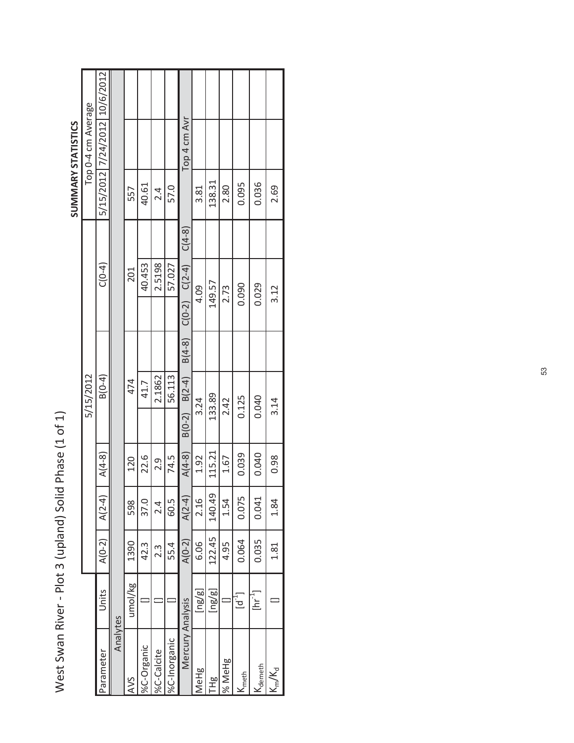|                    |                    | 5/15/2012 7/24/2012 10/6/2012 |          |         |            |                  |              |                   |                                          |        |        |           |                           |             |
|--------------------|--------------------|-------------------------------|----------|---------|------------|------------------|--------------|-------------------|------------------------------------------|--------|--------|-----------|---------------------------|-------------|
|                    | Top 0-4 cm Average |                               |          |         |            |                  |              | Top 4 cm Avr      |                                          |        |        |           |                           |             |
| SUMMARY STATISTICS |                    |                               |          | 557     | 40.61      | 2.4              | 57.0         |                   | 3.81                                     | 138.31 | 2.80   | 0.095     | 0.036                     | 2.69        |
|                    |                    |                               |          |         |            |                  |              | $C(4-8)$          |                                          |        |        |           |                           |             |
|                    |                    | $C(0-4)$                      |          | 201     | 40.453     | 2.5198           | 57.027       | $C(0-2)$ $C(2-4)$ | 4.09                                     | 149.57 | 2.73   | 0.090     | 0.029                     | 3.12        |
|                    |                    |                               |          |         |            |                  |              | $B(4-8)$          |                                          |        |        |           |                           |             |
|                    | 5/15/2012          | $B(0-4)$                      |          | 474     | 41.7       | 2.1862           | 56.113       | $B(0-2)$ $B(2-4)$ | 3.24                                     | 133.89 | 2.42   | 0.125     | 0.040                     | 3.14        |
|                    |                    | $A(4-8)$                      |          | 120     | 22.6       | 2.9              | 74.5         | $A(4-8)$          | 1.92                                     | 115.21 | 1.67   | 0.039     | 0.040                     | 0.98        |
|                    |                    | $A(2-4)$                      |          | 598     | 37.0       | $\frac{4}{2}$    | 60.5         | $A(2-4)$          | 2.16                                     | 140.49 | 1.54   | 0.075     | 0.041                     | 1.84        |
|                    |                    | $A(0-2)$                      |          | 1390    | 42.3       | $2.\overline{3}$ | 55.4         | $A(0-2)$          | 6.06                                     | 122.45 | 4.95   | 0.064     | 0.035                     | 1.81        |
|                    |                    | Units                         |          | umol/kg |            |                  |              |                   | $\lbrack \mathsf{ng}/\mathsf{g} \rbrack$ | [ng/g] |        | $\vec{b}$ | $[\text{hr}^{\text{-1}}]$ |             |
|                    |                    | Parameter                     | Analytes | AVS     | %C-Organic | %C-Calcite       | %C-Inorganic | Mercury Analysis  | MeHg                                     | 은<br>도 | % MeHg | Nmeth     | Ndemeth                   | $K_{m}/K_d$ |

50

ī

West Swan River - Plot 3 (upland) Solid Phase (1 of 1) West Swan River - Plot 3 (upland) Solid Phase (1 of 1)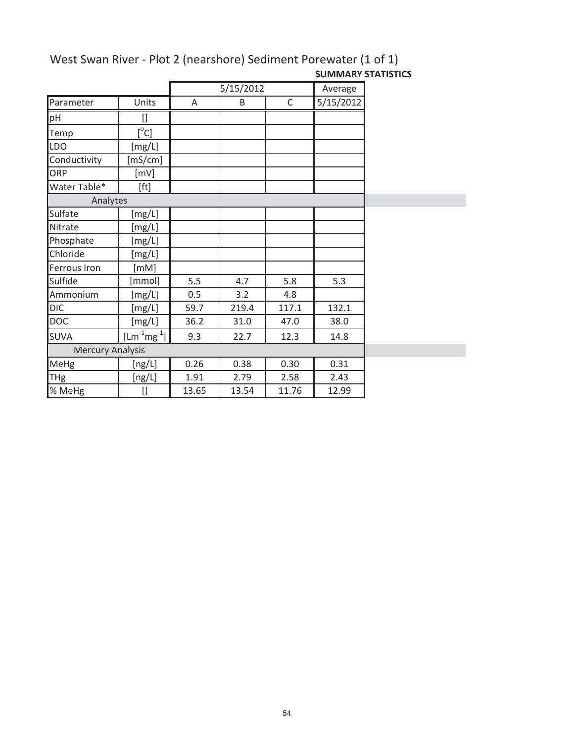|                         |                    |       | 5/15/2012 |              | Average   |
|-------------------------|--------------------|-------|-----------|--------------|-----------|
| Parameter               | Units              | Α     | B         | $\mathsf{C}$ | 5/15/2012 |
| pH                      | []                 |       |           |              |           |
| Temp                    | $[^{\circ}C]$      |       |           |              |           |
| <b>LDO</b>              | [mg/L]             |       |           |              |           |
| Conductivity            | [mS/cm]            |       |           |              |           |
| ORP                     | [mV]               |       |           |              |           |
| Water Table*            | [ft]               |       |           |              |           |
| Analytes                |                    |       |           |              |           |
| Sulfate                 | [mg/L]             |       |           |              |           |
| Nitrate                 | [mg/L]             |       |           |              |           |
| Phosphate               | [mg/L]             |       |           |              |           |
| Chloride                | [mg/L]             |       |           |              |           |
| Ferrous Iron            | [mM]               |       |           |              |           |
| Sulfide                 | [mmol]             | 5.5   | 4.7       | 5.8          | 5.3       |
| Ammonium                | [mg/L]             | 0.5   | 3.2       | 4.8          |           |
| <b>DIC</b>              | [mg/L]             | 59.7  | 219.4     | 117.1        | 132.1     |
| <b>DOC</b>              | [mg/L]             | 36.2  | 31.0      | 47.0         | 38.0      |
| <b>SUVA</b>             | $[Lm^{-1}mg^{-1}]$ | 9.3   | 22.7      | 12.3         | 14.8      |
| <b>Mercury Analysis</b> |                    |       |           |              |           |
| MeHg                    | [ng/L]             | 0.26  | 0.38      | 0.30         | 0.31      |
| THg                     | [ng/L]             | 1.91  | 2.79      | 2.58         | 2.43      |
| % MeHg                  | 0                  | 13.65 | 13.54     | 11.76        | 12.99     |

## West Swan River - Plot 2 (nearshore) Sediment Porewater (1 of 1) **SUMMARY STATISTICS**